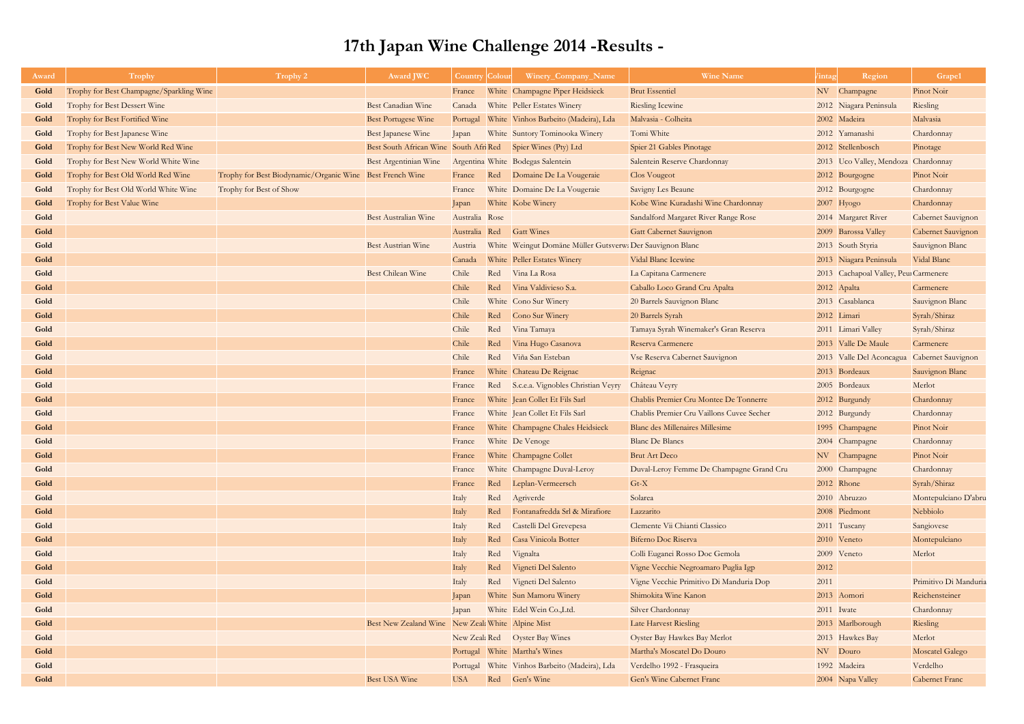| Award | <b>Trophy</b>                            | Trophy 2                                                 | <b>Award JWC</b>                                             | <b>Country Colour</b> |     | Winery_Company_Name                                       | <b>Wine Name</b>                          | /intag     | Region                                | Grape1                    |
|-------|------------------------------------------|----------------------------------------------------------|--------------------------------------------------------------|-----------------------|-----|-----------------------------------------------------------|-------------------------------------------|------------|---------------------------------------|---------------------------|
| Gold  | Trophy for Best Champagne/Sparkling Wine |                                                          |                                                              | France                |     | White Champagne Piper Heidsieck                           | <b>Brut Essentiel</b>                     |            | NV Champagne                          | Pinot Noir                |
| Gold  | Trophy for Best Dessert Wine             |                                                          | <b>Best Canadian Wine</b>                                    | Canada                |     | White Peller Estates Winery                               | <b>Riesling Icewine</b>                   |            | 2012 Niagara Peninsula                | Riesling                  |
| Gold  | Trophy for Best Fortified Wine           |                                                          | <b>Best Portugese Wine</b>                                   | Portugal              |     | White Vinhos Barbeito (Madeira), Lda                      | Malvasia - Colheita                       |            | 2002 Madeira                          | Malvasia                  |
| Gold  | Trophy for Best Japanese Wine            |                                                          | Best Japanese Wine                                           | Japan                 |     | White Suntory Tominooka Winery                            | Tomi White                                |            | 2012 Yamanashi                        | Chardonnay                |
| Gold  | Trophy for Best New World Red Wine       |                                                          | Best South African Wine South Afri Red Spier Wines (Pty) Ltd |                       |     |                                                           | Spier 21 Gables Pinotage                  |            | 2012 Stellenbosch                     | Pinotage                  |
| Gold  | Trophy for Best New World White Wine     |                                                          | Best Argentinian Wine                                        |                       |     | Argentina White Bodegas Salentein                         | Salentein Reserve Chardonnay              |            | 2013 Uco Valley, Mendoza Chardonnay   |                           |
| Gold  | Trophy for Best Old World Red Wine       | Trophy for Best Biodynamic/Organic Wine Best French Wine |                                                              | France                |     | Red Domaine De La Vougeraie                               | <b>Clos Vougeot</b>                       |            | 2012 Bourgogne                        | Pinot Noir                |
| Gold  | Trophy for Best Old World White Wine     | Trophy for Best of Show                                  |                                                              | France                |     | White Domaine De La Vougeraie                             | <b>Savigny Les Beaune</b>                 |            | 2012 Bourgogne                        | Chardonnay                |
| Gold  | Trophy for Best Value Wine               |                                                          |                                                              | Japan                 |     | White Kobe Winery                                         | Kobe Wine Kuradashi Wine Chardonnay       |            | $2007$ Hyogo                          | Chardonnay                |
| Gold  |                                          |                                                          | Best Australian Wine                                         | Australia Rose        |     |                                                           | Sandalford Margaret River Range Rose      |            | 2014 Margaret River                   | Cabernet Sauvignon        |
| Gold  |                                          |                                                          |                                                              | Australia Red         |     | <b>Gatt Wines</b>                                         | Gatt Cabernet Sauvignon                   |            | 2009 Barossa Valley                   | Cabernet Sauvignon        |
| Gold  |                                          |                                                          | <b>Best Austrian Wine</b>                                    | Austria               |     | White Weingut Domäne Müller Gutsverw: Der Sauvignon Blanc |                                           |            | 2013 South Styria                     | Sauvignon Blanc           |
| Gold  |                                          |                                                          |                                                              | Canada                |     | White Peller Estates Winery                               | Vidal Blanc Icewine                       |            | 2013 Niagara Peninsula                | Vidal Blanc               |
| Gold  |                                          |                                                          | <b>Best Chilean Wine</b>                                     | Chile                 | Red | Vina La Rosa                                              | La Capitana Carmenere                     |            | 2013 Cachapoal Valley, Peur Carmenere |                           |
| Gold  |                                          |                                                          |                                                              | Chile                 | Red | Vina Valdivieso S.a.                                      | Caballo Loco Grand Cru Apalta             |            | 2012 Apalta                           | Carmenere                 |
| Gold  |                                          |                                                          |                                                              | Chile                 |     | White Cono Sur Winery                                     | 20 Barrels Sauvignon Blanc                |            | 2013 Casablanca                       | Sauvignon Blanc           |
| Gold  |                                          |                                                          |                                                              | Chile                 |     | Red Cono Sur Winery                                       | 20 Barrels Syrah                          |            | 2012 Limari                           | Syrah/Shiraz              |
| Gold  |                                          |                                                          |                                                              | Chile                 | Red | Vina Tamaya                                               | Tamaya Syrah Winemaker's Gran Reserva     |            | 2011 Limari Valley                    | Syrah/Shiraz              |
| Gold  |                                          |                                                          |                                                              | Chile                 | Red | Vina Hugo Casanova                                        | Reserva Carmenere                         |            | 2013 Valle De Maule                   | Carmenere                 |
| Gold  |                                          |                                                          |                                                              | Chile                 |     | Red Viña San Esteban                                      | Vse Reserva Cabernet Sauvignon            |            | 2013 Valle Del Aconcagua              | <b>Cabernet Sauvignon</b> |
| Gold  |                                          |                                                          |                                                              | France                |     | White Chateau De Reignac                                  | Reignac                                   |            | 2013 Bordeaux                         | Sauvignon Blanc           |
| Gold  |                                          |                                                          |                                                              | France                |     | Red S.c.e.a. Vignobles Christian Veyry                    | Château Veyry                             |            | 2005 Bordeaux                         | Merlot                    |
| Gold  |                                          |                                                          |                                                              | France                |     | White Jean Collet Et Fils Sarl                            | Chablis Premier Cru Montee De Tonnerre    |            | 2012 Burgundy                         | Chardonnay                |
| Gold  |                                          |                                                          |                                                              | France                |     | White Jean Collet Et Fils Sarl                            | Chablis Premier Cru Vaillons Cuvee Secher |            | 2012 Burgundy                         | Chardonnay                |
| Gold  |                                          |                                                          |                                                              | France                |     | White Champagne Chales Heidsieck                          | Blanc des Millenaires Millesime           |            | 1995 Champagne                        | Pinot Noir                |
| Gold  |                                          |                                                          |                                                              | France                |     | White De Venoge                                           | <b>Blanc De Blancs</b>                    |            | 2004 Champagne                        | Chardonnay                |
| Gold  |                                          |                                                          |                                                              | France                |     | White Champagne Collet                                    | <b>Brut Art Deco</b>                      |            | NV Champagne                          | Pinot Noir                |
| Gold  |                                          |                                                          |                                                              | France                |     | White Champagne Duval-Leroy                               | Duval-Leroy Femme De Champagne Grand Cru  |            | 2000 Champagne                        | Chardonnay                |
| Gold  |                                          |                                                          |                                                              | France                | Red | Leplan-Vermeersch                                         | $Gt-X$                                    |            | 2012 Rhone                            | Syrah/Shiraz              |
| Gold  |                                          |                                                          |                                                              | Italy                 | Red | Agriverde                                                 | Solarea                                   |            | 2010 Abruzzo                          | Montepulciano D'abru      |
| Gold  |                                          |                                                          |                                                              | Italy                 | Red | Fontanafredda Srl & Mirafiore                             | Lazzarito                                 |            | 2008 Piedmont                         | Nebbiolo                  |
| Gold  |                                          |                                                          |                                                              | Italy                 | Red | Castelli Del Grevepesa                                    | Clemente Vii Chianti Classico             |            | 2011 Tuscany                          | Sangiovese                |
| Gold  |                                          |                                                          |                                                              | Italy                 | Red | Casa Vinicola Botter                                      | <b>Biferno Doc Riserva</b>                |            | 2010 Veneto                           | Montepulciano             |
| Gold  |                                          |                                                          |                                                              | Italy                 | Red | Vignalta                                                  | Colli Euganei Rosso Doc Gemola            |            | 2009 Veneto                           | Merlot                    |
| Gold  |                                          |                                                          |                                                              | Italy                 | Red | Vigneti Del Salento                                       | Vigne Vecchie Negroamaro Puglia Igp       | 2012       |                                       |                           |
| Gold  |                                          |                                                          |                                                              | Italy                 | Red | Vigneti Del Salento                                       | Vigne Vecchie Primitivo Di Manduria Dop   | 2011       |                                       | Primitivo Di Manduria     |
| Gold  |                                          |                                                          |                                                              | Japan                 |     | White Sun Mamoru Winery                                   | Shimokita Wine Kanon                      |            | 2013 Aomori                           | Reichensteiner            |
| Gold  |                                          |                                                          |                                                              | Japan                 |     | White Edel Wein Co., Ltd.                                 | Silver Chardonnay                         | 2011 Iwate |                                       | Chardonnay                |
| Gold  |                                          |                                                          | Best New Zealand Wine New Zeal: White Alpine Mist            |                       |     |                                                           | <b>Late Harvest Riesling</b>              |            | 2013 Marlborough                      | Riesling                  |
| Gold  |                                          |                                                          |                                                              |                       |     | New Zeal: Red Oyster Bay Wines                            | <b>Oyster Bay Hawkes Bay Merlot</b>       |            | 2013 Hawkes Bay                       | Merlot                    |
| Gold  |                                          |                                                          |                                                              |                       |     | Portugal White Martha's Wines                             | Martha's Moscatel Do Douro                |            | NV Douro                              | <b>Moscatel Galego</b>    |
| Gold  |                                          |                                                          |                                                              |                       |     | Portugal White Vinhos Barbeito (Madeira), Lda             | Verdelho 1992 - Frasqueira                |            | 1992 Madeira                          | Verdelho                  |
| Gold  |                                          |                                                          | Best USA Wine                                                | <b>USA</b>            |     | Red Gen's Wine                                            | Gen's Wine Cabernet Franc                 |            | 2004 Napa Valley                      | <b>Cabernet Franc</b>     |

## **17th Japan Wine Challenge 2014 -Results -**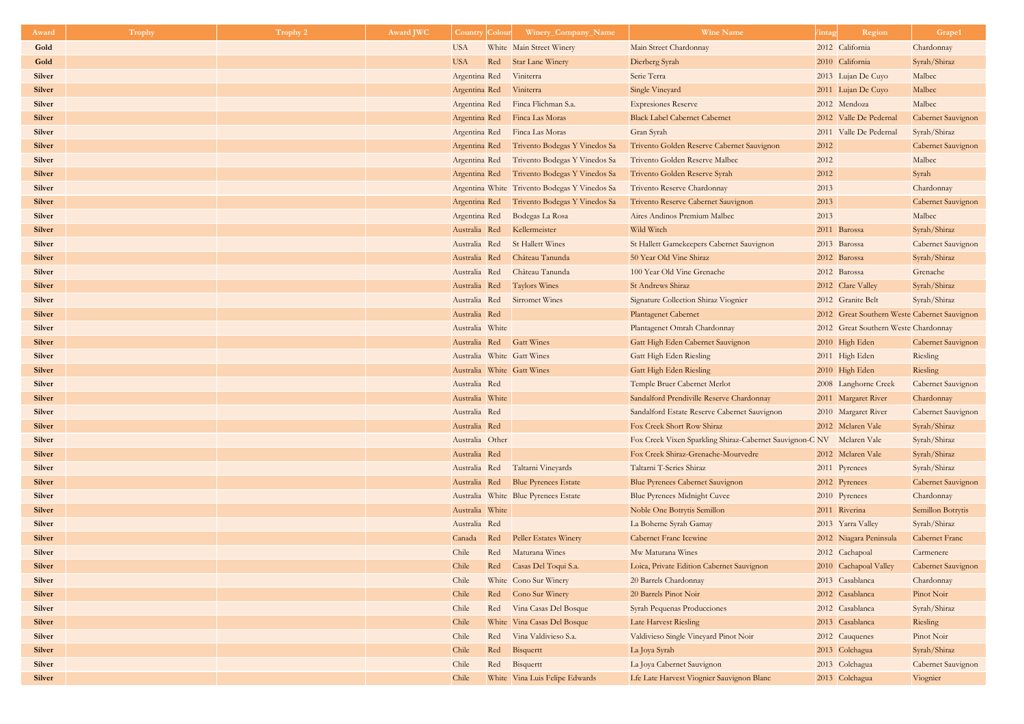| Award         | <b>Trophy</b> | Trophy 2 | <b>Award JWC</b> | <b>Country Colour</b> |     | Winery_Company_Name                           | <b>Wine Name</b>                                                      | /intag | Region                                       | Grape1                    |
|---------------|---------------|----------|------------------|-----------------------|-----|-----------------------------------------------|-----------------------------------------------------------------------|--------|----------------------------------------------|---------------------------|
| Gold          |               |          |                  | <b>USA</b>            |     | White Main Street Winery                      | Main Street Chardonnay                                                |        | 2012 California                              | Chardonnay                |
| Gold          |               |          |                  | <b>USA</b>            | Red | <b>Star Lane Winery</b>                       | Dierberg Syrah                                                        |        | 2010 California                              | Syrah/Shiraz              |
| <b>Silver</b> |               |          |                  | Argentina Red         |     | Viniterra                                     | Serie Terra                                                           |        | 2013 Lujan De Cuyo                           | Malbec                    |
| <b>Silver</b> |               |          |                  | Argentina Red         |     | Viniterra                                     | Single Vineyard                                                       |        | 2011 Lujan De Cuyo                           | Malbec                    |
| <b>Silver</b> |               |          |                  |                       |     | Argentina Red Finca Flichman S.a.             | <b>Expresiones Reserve</b>                                            |        | 2012 Mendoza                                 | Malbec                    |
| <b>Silver</b> |               |          |                  |                       |     | Argentina Red Finca Las Moras                 | <b>Black Label Cabernet Cabernet</b>                                  |        | 2012 Valle De Pedernal                       | Cabernet Sauvignon        |
| <b>Silver</b> |               |          |                  |                       |     | Argentina Red Finca Las Moras                 | Gran Syrah                                                            |        | 2011 Valle De Pedernal                       | Syrah/Shiraz              |
| <b>Silver</b> |               |          |                  |                       |     | Argentina Red Trivento Bodegas Y Vinedos Sa   | Trivento Golden Reserve Cabernet Sauvignon                            | 2012   |                                              | Cabernet Sauvignon        |
| <b>Silver</b> |               |          |                  | Argentina Red         |     | Trivento Bodegas Y Vinedos Sa                 | Trivento Golden Reserve Malbec                                        | 2012   |                                              | Malbec                    |
| <b>Silver</b> |               |          |                  |                       |     | Argentina Red Trivento Bodegas Y Vinedos Sa   | Trivento Golden Reserve Syrah                                         | 2012   |                                              | Syrah                     |
| <b>Silver</b> |               |          |                  |                       |     | Argentina White Trivento Bodegas Y Vinedos Sa | Trivento Reserve Chardonnay                                           | 2013   |                                              | Chardonnay                |
| <b>Silver</b> |               |          |                  |                       |     | Argentina Red Trivento Bodegas Y Vinedos Sa   | Trivento Reserve Cabernet Sauvignon                                   | 2013   |                                              | Cabernet Sauvignon        |
| <b>Silver</b> |               |          |                  | Argentina Red         |     | Bodegas La Rosa                               | Aires Andinos Premium Malbec                                          | 2013   |                                              | Malbec                    |
| <b>Silver</b> |               |          |                  | Australia Red         |     | Kellermeister                                 | Wild Witch                                                            |        | 2011 Barossa                                 | Syrah/Shiraz              |
| <b>Silver</b> |               |          |                  | Australia Red         |     | <b>St Hallett Wines</b>                       | St Hallett Gamekeepers Cabernet Sauvignon                             |        | 2013 Barossa                                 | Cabernet Sauvignon        |
| <b>Silver</b> |               |          |                  | Australia Red         |     | Château Tanunda                               | 50 Year Old Vine Shiraz                                               |        | 2012 Barossa                                 | Syrah/Shiraz              |
| <b>Silver</b> |               |          |                  | Australia Red         |     | Château Tanunda                               | 100 Year Old Vine Grenache                                            |        | 2012 Barossa                                 | Grenache                  |
| <b>Silver</b> |               |          |                  | Australia Red         |     | <b>Taylors Wines</b>                          | St Andrews Shiraz                                                     |        | 2012 Clare Valley                            | Syrah/Shiraz              |
| <b>Silver</b> |               |          |                  |                       |     | Australia Red Sirromet Wines                  | Signature Collection Shiraz Viognier                                  |        | 2012 Granite Belt                            | Syrah/Shiraz              |
| <b>Silver</b> |               |          |                  | Australia Red         |     |                                               | <b>Plantagenet Cabernet</b>                                           |        | 2012 Great Southern Weste Cabernet Sauvignon |                           |
| <b>Silver</b> |               |          |                  | Australia White       |     |                                               | Plantagenet Omrah Chardonnay                                          |        | 2012 Great Southern Weste Chardonnay         |                           |
| <b>Silver</b> |               |          |                  |                       |     | Australia Red Gatt Wines                      | Gatt High Eden Cabernet Sauvignon                                     |        | 2010 High Eden                               | Cabernet Sauvignon        |
| <b>Silver</b> |               |          |                  |                       |     | Australia White Gatt Wines                    | Gatt High Eden Riesling                                               |        | 2011 High Eden                               | Riesling                  |
| <b>Silver</b> |               |          |                  |                       |     | Australia White Gatt Wines                    | Gatt High Eden Riesling                                               |        | 2010 High Eden                               | Riesling                  |
| <b>Silver</b> |               |          |                  | Australia Red         |     |                                               | Temple Bruer Cabernet Merlot                                          |        | 2008 Langhorne Creek                         | <b>Cabernet Sauvignon</b> |
| <b>Silver</b> |               |          |                  | Australia White       |     |                                               | Sandalford Prendiville Reserve Chardonnay                             |        | 2011 Margaret River                          | Chardonnay                |
| <b>Silver</b> |               |          |                  | Australia Red         |     |                                               | Sandalford Estate Reserve Cabernet Sauvignon                          |        | 2010 Margaret River                          | Cabernet Sauvignon        |
| <b>Silver</b> |               |          |                  | Australia Red         |     |                                               | Fox Creek Short Row Shiraz                                            |        | 2012 Mclaren Vale                            | Syrah/Shiraz              |
| <b>Silver</b> |               |          |                  | Australia Other       |     |                                               | Fox Creek Vixen Sparkling Shiraz-Cabernet Sauvignon-C NV Mclaren Vale |        |                                              | Syrah/Shiraz              |
| <b>Silver</b> |               |          |                  | Australia Red         |     |                                               | Fox Creek Shiraz-Grenache-Mourvedre                                   |        | 2012 Mclaren Vale                            | Syrah/Shiraz              |
| <b>Silver</b> |               |          |                  |                       |     | Australia Red Taltarni Vineyards              | Taltarni T-Series Shiraz                                              |        | 2011 Pyrenees                                | Syrah/Shiraz              |
| <b>Silver</b> |               |          |                  | Australia Red         |     | <b>Blue Pyrenees Estate</b>                   | Blue Pyrenees Cabernet Sauvignon                                      |        | 2012 Pyrenees                                | Cabernet Sauvignon        |
| <b>Silver</b> |               |          |                  |                       |     | Australia White Blue Pyrenees Estate          | <b>Blue Pyrenees Midnight Cuvee</b>                                   |        | 2010 Pyrenees                                | Chardonnay                |
| <b>Silver</b> |               |          |                  | Australia White       |     |                                               | Noble One Botrytis Semillon                                           |        | 2011 Riverina                                | Semillon Botrytis         |
| <b>Silver</b> |               |          |                  | Australia Red         |     |                                               | La Boheme Syrah Gamay                                                 |        | 2013 Yarra Valley                            | Syrah/Shiraz              |
| <b>Silver</b> |               |          |                  | Canada                | Red | Peller Estates Winery                         | <b>Cabernet Franc Icewine</b>                                         |        | 2012 Niagara Peninsula                       | <b>Cabernet Franc</b>     |
| <b>Silver</b> |               |          |                  | Chile                 | Red | Maturana Wines                                | Mw Maturana Wines                                                     |        | 2012 Cachapoal                               | Carmenere                 |
| <b>Silver</b> |               |          |                  | Chile                 | Red | Casas Del Toqui S.a.                          | Loica, Private Edition Cabernet Sauvignon                             |        | 2010 Cachapoal Valley                        | Cabernet Sauvignon        |
| <b>Silver</b> |               |          |                  | Chile                 |     | White Cono Sur Winery                         | 20 Barrels Chardonnay                                                 |        | 2013 Casablanca                              | Chardonnay                |
| <b>Silver</b> |               |          |                  | Chile                 |     | Red Cono Sur Winery                           | 20 Barrels Pinot Noir                                                 |        | 2012 Casablanca                              | Pinot Noir                |
| <b>Silver</b> |               |          |                  | Chile                 |     | Red Vina Casas Del Bosque                     | <b>Syrah Pequenas Producciones</b>                                    |        | 2012 Casablanca                              | Syrah/Shiraz              |
| <b>Silver</b> |               |          |                  | Chile                 |     | White Vina Casas Del Bosque                   | <b>Late Harvest Riesling</b>                                          |        | 2013 Casablanca                              | Riesling                  |
| <b>Silver</b> |               |          |                  | Chile                 | Red | Vina Valdivieso S.a.                          | Valdivieso Single Vineyard Pinot Noir                                 |        | 2012 Cauquenes                               | Pinot Noir                |
| <b>Silver</b> |               |          |                  | Chile                 | Red | Bisquertt                                     | La Joya Syrah                                                         |        | 2013 Colchagua                               | Syrah/Shiraz              |
| <b>Silver</b> |               |          |                  | Chile<br>Chile        | Red | Bisquertt                                     | La Joya Cabernet Sauvignon                                            |        | 2013 Colchagua                               | Cabernet Sauvignon        |
| <b>Silver</b> |               |          |                  |                       |     | White Vina Luis Felipe Edwards                | Lfe Late Harvest Viognier Sauvignon Blanc                             |        | 2013 Colchagua                               | Viognier                  |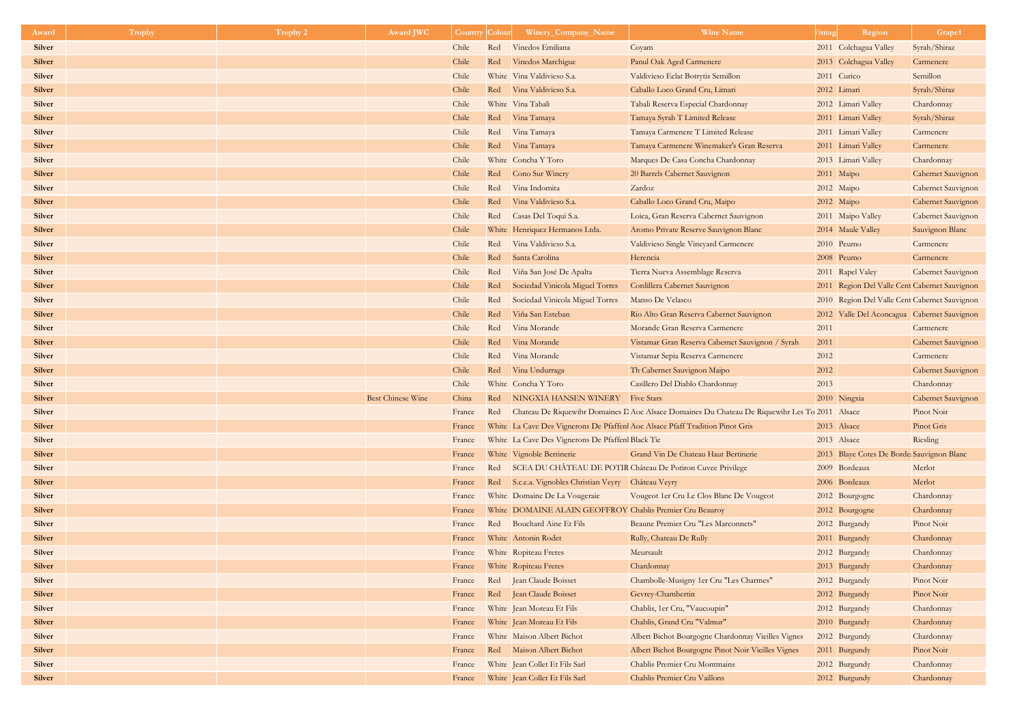| Award         | <b>Trophy</b> | <b>Trophy 2</b> | <b>Award JWC</b>         | Country | Colour | Winery_Company_Name                                      | <b>Wine Name</b>                                                                               | <i>l</i> intag | Region                                        | Grape1                    |
|---------------|---------------|-----------------|--------------------------|---------|--------|----------------------------------------------------------|------------------------------------------------------------------------------------------------|----------------|-----------------------------------------------|---------------------------|
| <b>Silver</b> |               |                 |                          | Chile   | Red    | Vinedos Emiliana                                         | Coyam                                                                                          |                | 2011 Colchagua Valley                         | Syrah/Shiraz              |
| <b>Silver</b> |               |                 |                          | Chile   | Red    | Vinedos Marchigue                                        | Panul Oak Aged Carmenere                                                                       |                | 2013 Colchagua Valley                         | Carmenere                 |
| <b>Silver</b> |               |                 |                          | Chile   |        | White Vina Valdivieso S.a.                               | Valdivieso Eclat Botrytis Semillon                                                             |                | 2011 Curico                                   | Semillon                  |
| <b>Silver</b> |               |                 |                          | Chile   |        | Red Vina Valdivieso S.a.                                 | Caballo Loco Grand Cru, Limari                                                                 |                | 2012 Limari                                   | Syrah/Shiraz              |
| <b>Silver</b> |               |                 |                          | Chile   |        | White Vina Tabali                                        | Tabali Reserva Especial Chardonnay                                                             |                | 2012 Limari Valley                            | Chardonnay                |
| <b>Silver</b> |               |                 |                          | Chile   | Red    | Vina Tamaya                                              | Tamaya Syrah T Limited Release                                                                 |                | 2011 Limari Valley                            | Syrah/Shiraz              |
| <b>Silver</b> |               |                 |                          | Chile   | Red    | Vina Tamaya                                              | Tamaya Carmenere T Limited Release                                                             |                | 2011 Limari Valley                            | Carmenere                 |
| <b>Silver</b> |               |                 |                          | Chile   |        | Red Vina Tamaya                                          | Tamaya Carmenere Winemaker's Gran Reserva                                                      |                | 2011 Limari Valley                            | Carmenere                 |
| Silver        |               |                 |                          | Chile   |        | White Concha Y Toro                                      | Marques De Casa Concha Chardonnay                                                              |                | 2013 Limari Valley                            | Chardonnay                |
| <b>Silver</b> |               |                 |                          | Chile   |        | Red Cono Sur Winery                                      | 20 Barrels Cabernet Sauvignon                                                                  | 2011 Maipo     |                                               | Cabernet Sauvignon        |
| Silver        |               |                 |                          | Chile   | Red    | Vina Indomita                                            | Zardoz                                                                                         |                | 2012 Maipo                                    | Cabernet Sauvignon        |
| <b>Silver</b> |               |                 |                          | Chile   | Red    | Vina Valdivieso S.a.                                     | Caballo Loco Grand Cru, Maipo                                                                  |                | 2012 Maipo                                    | Cabernet Sauvignon        |
| <b>Silver</b> |               |                 |                          | Chile   | Red    | Casas Del Toqui S.a.                                     | Loica, Gran Reserva Cabernet Sauvignon                                                         |                | 2011 Maipo Valley                             | Cabernet Sauvignon        |
| <b>Silver</b> |               |                 |                          | Chile   |        | White Henriquez Hermanos Ltda.                           | Aromo Private Reserve Sauvignon Blanc                                                          |                | 2014 Maule Valley                             | Sauvignon Blanc           |
| <b>Silver</b> |               |                 |                          | Chile   | Red    | Vina Valdivieso S.a.                                     | Valdivieso Single Vineyard Carmenere                                                           |                | 2010 Peumo                                    | Carmenere                 |
| <b>Silver</b> |               |                 |                          | Chile   | Red    | Santa Carolina                                           | Herencia                                                                                       |                | 2008 Peumo                                    | Carmenere                 |
| <b>Silver</b> |               |                 |                          | Chile   | Red    | Viña San José De Apalta                                  | Tierra Nueva Assemblage Reserva                                                                |                | 2011 Rapel Valey                              | <b>Cabernet Sauvignon</b> |
| <b>Silver</b> |               |                 |                          | Chile   | Red    | Sociedad Vinicola Miguel Torres                          | Cordillera Cabernet Sauvignon                                                                  |                | 2011 Region Del Valle Cent Cabernet Sauvignon |                           |
| <b>Silver</b> |               |                 |                          | Chile   | Red    | Sociedad Vinicola Miguel Torres                          | Manso De Velasco                                                                               |                | 2010 Region Del Valle Cent Cabernet Sauvignon |                           |
| <b>Silver</b> |               |                 |                          | Chile   | Red    | Viña San Esteban                                         | Rio Alto Gran Reserva Cabernet Sauvignon                                                       |                | 2012 Valle Del Aconcagua Cabernet Sauvignon   |                           |
| <b>Silver</b> |               |                 |                          | Chile   | Red    | Vina Morande                                             | Morande Gran Reserva Carmenere                                                                 | 2011           |                                               | Carmenere                 |
| <b>Silver</b> |               |                 |                          | Chile   | Red    | Vina Morande                                             | Vistamar Gran Reserva Cabernet Sauvignon / Syrah                                               | 2011           |                                               | Cabernet Sauvignon        |
| <b>Silver</b> |               |                 |                          | Chile   | Red    | Vina Morande                                             | Vistamar Sepia Reserva Carmenere                                                               | 2012           |                                               | Carmenere                 |
| <b>Silver</b> |               |                 |                          | Chile   | Red    | Vina Undurraga                                           | Th Cabernet Sauvignon Maipo                                                                    | 2012           |                                               | Cabernet Sauvignon        |
| Silver        |               |                 |                          | Chile   |        | White Concha Y Toro                                      | Casillero Del Diablo Chardonnay                                                                | 2013           |                                               | Chardonnay                |
| <b>Silver</b> |               |                 | <b>Best Chinese Wine</b> | China   |        | Red NINGXIA HANSEN WINERY Five Stars                     |                                                                                                |                | 2010 Ningxia                                  | Cabernet Sauvignon        |
| <b>Silver</b> |               |                 |                          | France  | Red    |                                                          | Chateau De Riquewihr Domaines D Aoc Alsace Domaines Du Chateau De Riquewihr Les To 2011 Alsace |                |                                               | Pinot Noir                |
| <b>Silver</b> |               |                 |                          | France  |        |                                                          | White La Cave Des Vignerons De Pfaffenl Aoc Alsace Pfaff Tradition Pinot Gris                  |                | 2013 Alsace                                   | Pinot Gris                |
| <b>Silver</b> |               |                 |                          | France  |        | White La Cave Des Vignerons De Pfaffenl Black Tie        |                                                                                                |                | 2013 Alsace                                   | Riesling                  |
| <b>Silver</b> |               |                 |                          | France  |        | White Vignoble Bertinerie                                | Grand Vin De Chateau Haut Bertinerie                                                           |                | 2013 Blaye Cotes De Borde Sauvignon Blanc     |                           |
| <b>Silver</b> |               |                 |                          | France  |        |                                                          | Red SCEA DU CHÂTEAU DE POTIR Château De Potiron Cuvee Privilege                                |                | 2009 Bordeaux                                 | Merlot                    |
| <b>Silver</b> |               |                 |                          | France  | Red    | S.c.e.a. Vignobles Christian Veyry Château Veyry         |                                                                                                |                | 2006 Bordeaux                                 | Merlot                    |
| <b>Silver</b> |               |                 |                          | France  |        | White Domaine De La Vougeraie                            | Vougeot 1er Cru Le Clos Blanc De Vougeot                                                       |                | 2012 Bourgogne                                | Chardonnay                |
| <b>Silver</b> |               |                 |                          | France  |        | White DOMAINE ALAIN GEOFFROY Chablis Premier Cru Beauroy |                                                                                                |                | 2012 Bourgogne                                | Chardonnay                |
| Silver        |               |                 |                          | France  |        | Red Bouchard Aine Et Fils                                | Beaune Premier Cru "Les Marconnets"                                                            |                | 2012 Burgandy                                 | Pinot Noir                |
| <b>Silver</b> |               |                 |                          | France  |        | White Antonin Rodet                                      | Rully, Chateau De Rully                                                                        |                | 2011 Burgandy                                 | Chardonnay                |
| <b>Silver</b> |               |                 |                          | France  |        | White Ropiteau Freres                                    | Meursault                                                                                      |                | 2012 Burgandy                                 | Chardonnay                |
| <b>Silver</b> |               |                 |                          | France  |        | White Ropiteau Freres                                    | Chardonnay                                                                                     |                | 2013 Burgandy                                 | Chardonnay                |
| <b>Silver</b> |               |                 |                          | France  |        | Red Jean Claude Boisset                                  | Chambolle-Musigny 1er Cru "Les Charmes"                                                        |                | 2012 Burgandy                                 | Pinot Noir                |
| <b>Silver</b> |               |                 |                          | France  |        | Red Jean Claude Boisset                                  | Gevrey-Chambertin                                                                              |                | 2012 Burgandy                                 | Pinot Noir                |
| <b>Silver</b> |               |                 |                          | France  |        | White Jean Moreau Et Fils                                | Chablis, 1er Cru, "Vaucoupin"                                                                  |                | 2012 Burgandy                                 | Chardonnay                |
| <b>Silver</b> |               |                 |                          | France  |        | White Jean Moreau Et Fils                                | Chablis, Grand Cru "Valmur"                                                                    |                | 2010 Burgandy                                 | Chardonnay                |
| <b>Silver</b> |               |                 |                          | France  |        | White Maison Albert Bichot                               | Albert Bichot Bourgogne Chardonnay Vieilles Vignes                                             |                | 2012 Burgundy                                 | Chardonnay                |
| <b>Silver</b> |               |                 |                          | France  |        | Red Maison Albert Bichot                                 | Albert Bichot Bourgogne Pinot Noir Vieilles Vignes                                             |                | 2011 Burgundy                                 | Pinot Noir                |
| Silver        |               |                 |                          | France  |        | White Jean Collet Et Fils Sarl                           | Chablis Premier Cru Montmains                                                                  |                | 2012 Burgundy                                 | Chardonnay                |
| <b>Silver</b> |               |                 |                          | France  |        | White Jean Collet Et Fils Sarl                           | Chablis Premier Cru Vaillons                                                                   |                | 2012 Burgundy                                 | Chardonnay                |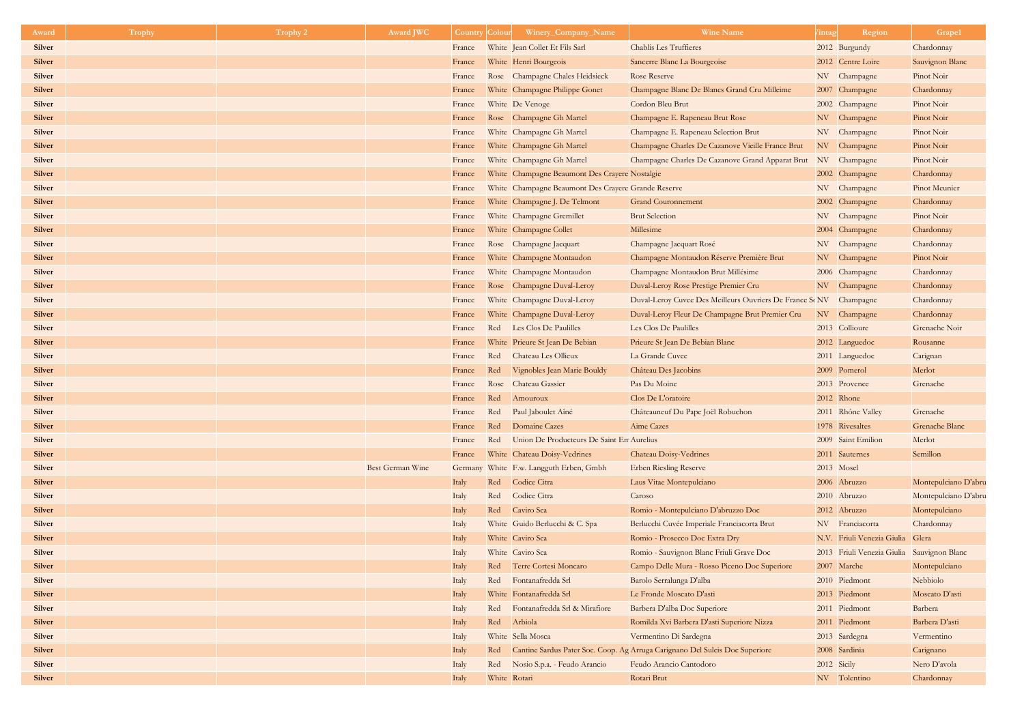| Award                          | Trophy | Trophy 2 | <b>Award JWC</b>        | <b>Country Colour</b> | Winery_Company_Name                                 | <b>Wine Name</b>                                                             | /intag      | Region                                     | Grape1                     |
|--------------------------------|--------|----------|-------------------------|-----------------------|-----------------------------------------------------|------------------------------------------------------------------------------|-------------|--------------------------------------------|----------------------------|
| <b>Silver</b>                  |        |          |                         | France                | White Jean Collet Et Fils Sarl                      | <b>Chablis Les Truffieres</b>                                                |             | 2012 Burgundy                              | Chardonnay                 |
| <b>Silver</b>                  |        |          |                         | France                | White Henri Bourgeois                               | Sancerre Blanc La Bourgeoise                                                 |             | 2012 Centre Loire                          | Sauvignon Blanc            |
| <b>Silver</b>                  |        |          |                         | France                | Rose Champagne Chales Heidsieck                     | <b>Rose Reserve</b>                                                          |             | NV Champagne                               | Pinot Noir                 |
| <b>Silver</b>                  |        |          |                         | France                | White Champagne Philippe Gonet                      | Champagne Blanc De Blancs Grand Cru Milleime                                 |             | 2007 Champagne                             | Chardonnay                 |
| <b>Silver</b>                  |        |          |                         | France                | White De Venoge                                     | Cordon Bleu Brut                                                             |             | 2002 Champagne                             | Pinot Noir                 |
| <b>Silver</b>                  |        |          |                         | France                | Rose Champagne Gh Martel                            | Champagne E. Rapeneau Brut Rose                                              |             | NV Champagne                               | Pinot Noir                 |
| <b>Silver</b>                  |        |          |                         | France                | White Champagne Gh Martel                           | Champagne E. Rapeneau Selection Brut                                         |             | NV Champagne                               | Pinot Noir                 |
| <b>Silver</b>                  |        |          |                         | France                | White Champagne Gh Martel                           | Champagne Charles De Cazanove Vieille France Brut                            |             | NV Champagne                               | Pinot Noir                 |
| <b>Silver</b>                  |        |          |                         | France                | White Champagne Gh Martel                           | Champagne Charles De Cazanove Grand Apparat Brut                             | NV          | Champagne                                  | Pinot Noir                 |
| <b>Silver</b>                  |        |          |                         | France                | White Champagne Beaumont Des Crayere Nostalgie      |                                                                              |             | 2002 Champagne                             | Chardonnay                 |
| <b>Silver</b>                  |        |          |                         | France                | White Champagne Beaumont Des Crayere Grande Reserve |                                                                              |             | NV Champagne                               | Pinot Meunier              |
| <b>Silver</b>                  |        |          |                         | France                | White Champagne J. De Telmont                       | <b>Grand Couronnement</b>                                                    |             | 2002 Champagne                             | Chardonnay                 |
| <b>Silver</b>                  |        |          |                         | France                | White Champagne Gremillet                           | <b>Brut Selection</b>                                                        |             | NV Champagne                               | Pinot Noir                 |
| <b>Silver</b>                  |        |          |                         | France                | White Champagne Collet                              | Millesime                                                                    |             | 2004 Champagne                             | Chardonnay                 |
| <b>Silver</b>                  |        |          |                         | France                | Rose Champagne Jacquart                             | Champagne Jacquart Rosé                                                      |             | NV Champagne                               | Chardonnay                 |
| <b>Silver</b>                  |        |          |                         | France                | White Champagne Montaudon                           | Champagne Montaudon Réserve Première Brut                                    |             | NV Champagne                               | Pinot Noir                 |
| <b>Silver</b>                  |        |          |                         | France                | White Champagne Montaudon                           | Champagne Montaudon Brut Millésime                                           |             | 2006 Champagne                             | Chardonnay                 |
| <b>Silver</b>                  |        |          |                         | France                | Rose Champagne Duval-Leroy                          | Duval-Leroy Rose Prestige Premier Cru                                        |             | NV Champagne                               | Chardonnay                 |
| <b>Silver</b>                  |        |          |                         | France                | White Champagne Duval-Leroy                         | Duval-Leroy Cuvee Des Meilleurs Ouvriers De France ScNV Champagne            |             |                                            | Chardonnay                 |
| <b>Silver</b>                  |        |          |                         | France                | White Champagne Duval-Leroy                         | Duval-Leroy Fleur De Champagne Brut Premier Cru                              |             | NV Champagne                               | Chardonnay                 |
| <b>Silver</b>                  |        |          |                         | France                | Red Les Clos De Paulilles                           | Les Clos De Paulilles                                                        |             | 2013 Collioure                             | Grenache Noir              |
| <b>Silver</b>                  |        |          |                         | France                | White Prieure St Jean De Bebian                     | Prieure St Jean De Bebian Blanc                                              |             | 2012 Languedoc                             | Rousanne                   |
| <b>Silver</b>                  |        |          |                         | France                | Red<br>Chateau Les Ollieux                          | La Grande Cuvee                                                              |             | 2011 Languedoc                             | Carignan                   |
| <b>Silver</b>                  |        |          |                         | France                | Vignobles Jean Marie Bouldy<br>Red                  | Château Des Jacobins                                                         |             | 2009 Pomerol                               | Merlot                     |
| <b>Silver</b>                  |        |          |                         | France                | Rose Chateau Gassier                                | Pas Du Moine                                                                 |             | 2013 Provence                              | Grenache                   |
| <b>Silver</b><br><b>Silver</b> |        |          |                         | France                | Red<br>Amouroux                                     | Clos De L'oratoire                                                           |             | 2012 Rhone                                 |                            |
| <b>Silver</b>                  |        |          |                         | France                | Paul Jaboulet Aîné<br>Red<br>Red<br>Domaine Cazes   | Châteauneuf Du Pape Joël Robuchon<br>Aime Cazes                              |             | 2011 Rhône Valley<br>1978 Rivesaltes       | Grenache<br>Grenache Blanc |
| <b>Silver</b>                  |        |          |                         | France<br>France      | Red<br>Union De Producteurs De Saint En Aurelius    |                                                                              |             | 2009 Saint Emilion                         | Merlot                     |
| <b>Silver</b>                  |        |          |                         | France                | White Chateau Doisy-Vedrines                        | Chateau Doisy-Vedrines                                                       |             | 2011 Sauternes                             | Semillon                   |
| <b>Silver</b>                  |        |          | <b>Best German Wine</b> |                       | Germany White F.w. Langguth Erben, Gmbh             | <b>Erben Riesling Reserve</b>                                                | 2013 Mosel  |                                            |                            |
| <b>Silver</b>                  |        |          | Italy                   |                       | Red<br>Codice Citra                                 | Laus Vitae Montepulciano                                                     |             | 2006 Abruzzo                               | Montepulciano D'abru       |
| <b>Silver</b>                  |        |          | Italy                   |                       | Codice Citra<br>Red                                 | Caroso                                                                       |             | 2010 Abruzzo                               | Montepulciano D'abru       |
| <b>Silver</b>                  |        |          | Italy                   |                       | Caviro Sca<br>Red                                   | Romio - Montepulciano D'abruzzo Doc                                          |             | 2012 Abruzzo                               | Montepulciano              |
| <b>Silver</b>                  |        |          | Italy                   |                       | White Guido Berlucchi & C. Spa                      | Berlucchi Cuvée Imperiale Franciacorta Brut                                  |             | NV Franciacorta                            | Chardonnay                 |
| <b>Silver</b>                  |        |          | Italy                   |                       | White Caviro Sca                                    | Romio - Prosecco Doc Extra Dry                                               |             | N.V. Friuli Venezia Giulia Glera           |                            |
| <b>Silver</b>                  |        |          | Italy                   |                       | White Caviro Sca                                    | Romio - Sauvignon Blanc Friuli Grave Doc                                     |             | 2013 Friuli Venezia Giulia Sauvignon Blanc |                            |
| <b>Silver</b>                  |        |          | Italy                   |                       | Terre Cortesi Moncaro<br>Red                        | Campo Delle Mura - Rosso Piceno Doc Superiore                                |             | 2007 Marche                                | Montepulciano              |
| <b>Silver</b>                  |        |          | Italy                   |                       | Red Fontanafredda Srl                               | Barolo Serralunga D'alba                                                     |             | 2010 Piedmont                              | Nebbiolo                   |
| <b>Silver</b>                  |        |          | Italy                   |                       | White Fontanafredda Srl                             | Le Fronde Moscato D'asti                                                     |             | 2013 Piedmont                              | Moscato D'asti             |
| <b>Silver</b>                  |        |          | Italy                   |                       | Fontanafredda Srl & Mirafiore<br>Red                | Barbera D'alba Doc Superiore                                                 |             | 2011 Piedmont                              | Barbera                    |
| <b>Silver</b>                  |        |          | Italy                   |                       | Arbiola<br>Red                                      | Romilda Xvi Barbera D'asti Superiore Nizza                                   |             | 2011 Piedmont                              | Barbera D'asti             |
| <b>Silver</b>                  |        |          | Italy                   |                       | White Sella Mosca                                   | Vermentino Di Sardegna                                                       |             | 2013 Sardegna                              | Vermentino                 |
| <b>Silver</b>                  |        |          | Italy                   |                       | Red                                                 | Cantine Sardus Pater Soc. Coop. Ag Arruga Carignano Del Sulcis Doc Superiore |             | 2008 Sardinia                              | Carignano                  |
| <b>Silver</b>                  |        |          | Italy                   |                       | Nosio S.p.a. - Feudo Arancio<br>Red                 | Feudo Arancio Cantodoro                                                      | 2012 Sicily |                                            | Nero D'avola               |
| <b>Silver</b>                  |        |          | Italy                   |                       | White Rotari                                        | Rotari Brut                                                                  |             | NV Tolentino                               | Chardonnay                 |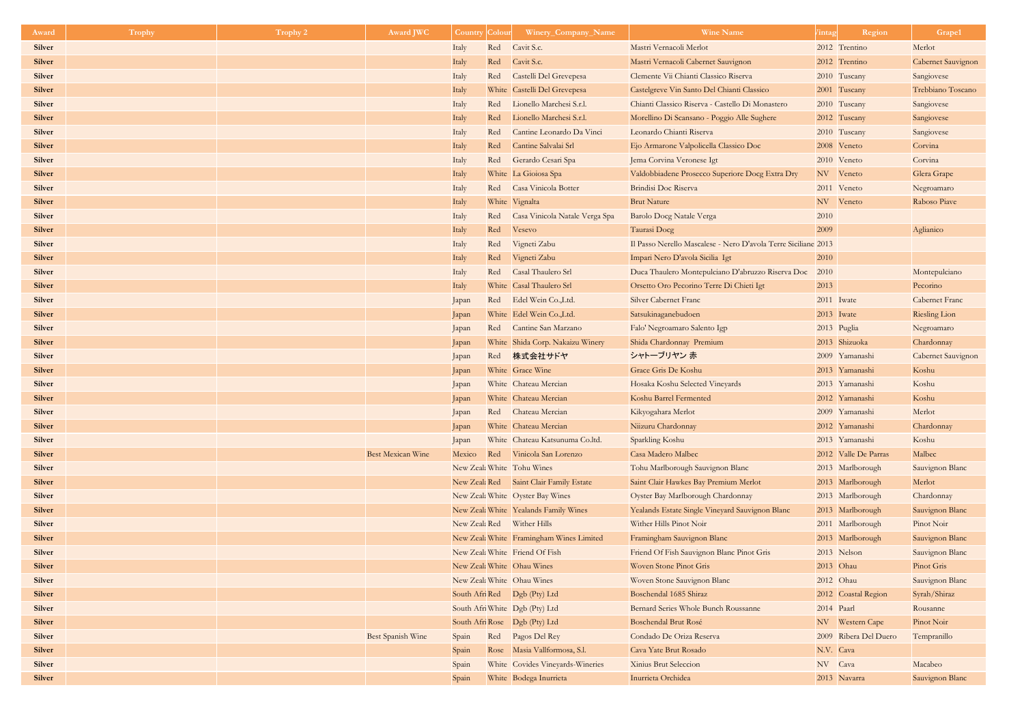| Award         | <b>Trophy</b> | Trophy 2 | <b>Award JWC</b>         | <b>Country</b> | Colour | Winery_Company_Name                      | <b>Wine Name</b>                                               | intag        | Region                | Grape1                |
|---------------|---------------|----------|--------------------------|----------------|--------|------------------------------------------|----------------------------------------------------------------|--------------|-----------------------|-----------------------|
| <b>Silver</b> |               |          |                          | Italy          | Red    | Cavit S.c.                               | Mastri Vernacoli Merlot                                        |              | 2012 Trentino         | Merlot                |
| <b>Silver</b> |               |          |                          | Italy          | Red    | Cavit S.c.                               | Mastri Vernacoli Cabernet Sauvignon                            |              | 2012 Trentino         | Cabernet Sauvignon    |
| <b>Silver</b> |               |          |                          | Italy          | Red    | Castelli Del Grevepesa                   | Clemente Vii Chianti Classico Riserva                          |              | 2010 Tuscany          | Sangiovese            |
| <b>Silver</b> |               |          |                          | Italy          |        | White Castelli Del Grevepesa             | Castelgreve Vin Santo Del Chianti Classico                     |              | 2001 Tuscany          | Trebbiano Toscano     |
| <b>Silver</b> |               |          |                          | Italy          | Red    | Lionello Marchesi S.r.l.                 | Chianti Classico Riserva - Castello Di Monastero               |              | 2010 Tuscany          | Sangiovese            |
| <b>Silver</b> |               |          |                          | Italy          | Red    | Lionello Marchesi S.r.l.                 | Morellino Di Scansano - Poggio Alle Sughere                    |              | 2012 Tuscany          | Sangiovese            |
| <b>Silver</b> |               |          |                          | Italy          | Red    | Cantine Leonardo Da Vinci                | Leonardo Chianti Riserva                                       |              | 2010 Tuscany          | Sangiovese            |
| <b>Silver</b> |               |          |                          | Italy          | Red    | Cantine Salvalai Srl                     | Ejo Armarone Valpolicella Classico Doc                         |              | 2008 Veneto           | Corvina               |
| <b>Silver</b> |               |          |                          | Italy          | Red    | Gerardo Cesari Spa                       | Jema Corvina Veronese Igt                                      |              | 2010 Veneto           | Corvina               |
| <b>Silver</b> |               |          |                          | Italy          |        | White La Gioiosa Spa                     | Valdobbiadene Prosecco Superiore Docg Extra Dry                |              | NV Veneto             | Glera Grape           |
| <b>Silver</b> |               |          |                          | Italy          | Red    | Casa Vinicola Botter                     | Brindisi Doc Riserva                                           |              | 2011 Veneto           | Negroamaro            |
| <b>Silver</b> |               |          |                          | Italy          |        | White Vignalta                           | <b>Brut Nature</b>                                             |              | NV Veneto             | Raboso Piave          |
| <b>Silver</b> |               |          |                          | Italy          | Red    | Casa Vinicola Natale Verga Spa           | <b>Barolo Docg Natale Verga</b>                                | 2010         |                       |                       |
| <b>Silver</b> |               |          |                          | Italy          | Red    | Vesevo                                   | Taurasi Docg                                                   | 2009         |                       | Aglianico             |
| <b>Silver</b> |               |          |                          | Italy          | Red    | Vigneti Zabu                             | Il Passo Nerello Mascalese - Nero D'avola Terre Siciliane 2013 |              |                       |                       |
| <b>Silver</b> |               |          |                          | Italy          | Red    | Vigneti Zabu                             | Impari Nero D'avola Sicilia Igt                                | 2010         |                       |                       |
| <b>Silver</b> |               |          |                          | Italy          | Red    | Casal Thaulero Srl                       | Duca Thaulero Montepulciano D'abruzzo Riserva Doc              | 2010         |                       | Montepulciano         |
| <b>Silver</b> |               |          |                          | Italy          |        | White Casal Thaulero Srl                 | Orsetto Oro Pecorino Terre Di Chieti Igt                       | 2013         |                       | Pecorino              |
| <b>Silver</b> |               |          |                          | Japan          |        | Red Edel Wein Co., Ltd.                  | <b>Silver Cabernet Franc</b>                                   | 2011 Iwate   |                       | <b>Cabernet Franc</b> |
| <b>Silver</b> |               |          |                          | Japan          |        | White Edel Wein Co., Ltd.                | Satsukinaganebudoen                                            | $2013$ Iwate |                       | <b>Riesling Lion</b>  |
| <b>Silver</b> |               |          |                          | Japan          |        | Red Cantine San Marzano                  | Falo' Negroamaro Salento Igp                                   | 2013 Puglia  |                       | Negroamaro            |
| <b>Silver</b> |               |          |                          | Japan          |        | White Shida Corp. Nakaizu Winery         | Shida Chardonnay Premium                                       |              | 2013 Shizuoka         | Chardonnay            |
| <b>Silver</b> |               |          |                          | Japan          |        | Red 株式会社サドヤ                              | シャトーブリヤン 赤                                                     |              | 2009 Yamanashi        | Cabernet Sauvignon    |
| <b>Silver</b> |               |          |                          | Japan          |        | White Grace Wine                         | Grace Gris De Koshu                                            |              | 2013 Yamanashi        | Koshu                 |
| <b>Silver</b> |               |          |                          | Japan          |        | White Chateau Mercian                    | Hosaka Koshu Selected Vineyards                                |              | 2013 Yamanashi        | Koshu                 |
| <b>Silver</b> |               |          |                          | Japan          |        | White Chateau Mercian                    | Koshu Barrel Fermented                                         |              | 2012 Yamanashi        | Koshu                 |
| <b>Silver</b> |               |          |                          | Japan          |        | Red Chateau Mercian                      | Kikyogahara Merlot                                             |              | 2009 Yamanashi        | Merlot                |
| <b>Silver</b> |               |          |                          | Japan          |        | White Chateau Mercian                    | Niizuru Chardonnay                                             |              | 2012 Yamanashi        | Chardonnay            |
| <b>Silver</b> |               |          |                          | Japan          |        | White Chateau Katsunuma Co.ltd.          | Sparkling Koshu                                                |              | 2013 Yamanashi        | Koshu                 |
| <b>Silver</b> |               |          | <b>Best Mexican Wine</b> | Mexico         |        | Red Vinicola San Lorenzo                 | Casa Madero Malbec                                             |              | 2012 Valle De Parras  | Malbec                |
| <b>Silver</b> |               |          |                          |                |        | New Zeal: White Tohu Wines               | Tohu Marlborough Sauvignon Blanc                               |              | 2013 Marlborough      | Sauvignon Blanc       |
| <b>Silver</b> |               |          |                          |                |        | New Zeak Red Saint Clair Family Estate   | Saint Clair Hawkes Bay Premium Merlot                          |              | 2013 Marlborough      | Merlot                |
| <b>Silver</b> |               |          |                          |                |        | New Zeal: White Oyster Bay Wines         | Oyster Bay Marlborough Chardonnay                              |              | 2013 Marlborough      | Chardonnay            |
| <b>Silver</b> |               |          |                          |                |        | New Zeak White Yealands Family Wines     | Yealands Estate Single Vineyard Sauvignon Blanc                |              | 2013 Marlborough      | Sauvignon Blanc       |
| <b>Silver</b> |               |          |                          |                |        | New Zeal: Red Wither Hills               | Wither Hills Pinot Noir                                        |              | 2011 Marlborough      | Pinot Noir            |
| <b>Silver</b> |               |          |                          |                |        | New Zeal: White Framingham Wines Limited | Framingham Sauvignon Blanc                                     |              | 2013 Marlborough      | Sauvignon Blanc       |
| <b>Silver</b> |               |          |                          |                |        | New Zeal: White Friend Of Fish           | Friend Of Fish Sauvignon Blanc Pinot Gris                      |              | 2013 Nelson           | Sauvignon Blanc       |
| <b>Silver</b> |               |          |                          |                |        | New Zeal: White Ohau Wines               | <b>Woven Stone Pinot Gris</b>                                  | 2013 Ohau    |                       | Pinot Gris            |
| <b>Silver</b> |               |          |                          |                |        | New Zeal: White Ohau Wines               | Woven Stone Sauvignon Blanc                                    | 2012 Ohau    |                       | Sauvignon Blanc       |
| <b>Silver</b> |               |          |                          |                |        | South Afri Red   Dgb (Pty) Ltd           | Boschendal 1685 Shiraz                                         |              | 2012 Coastal Region   | Syrah/Shiraz          |
| <b>Silver</b> |               |          |                          |                |        | South Afri White Dgb (Pty) Ltd           | Bernard Series Whole Bunch Roussanne                           | 2014 Paarl   |                       | Rousanne              |
| <b>Silver</b> |               |          |                          |                |        | South Afri Rose   Dgb (Pty) Ltd          | Boschendal Brut Rosé                                           |              | NV Western Cape       | Pinot Noir            |
| <b>Silver</b> |               |          | <b>Best Spanish Wine</b> | Spain          |        | Red Pagos Del Rey                        | Condado De Oriza Reserva                                       |              | 2009 Ribera Del Duero | Tempranillo           |
| <b>Silver</b> |               |          |                          | Spain          |        | Rose Masia Vallformosa, S.l.             | Cava Yate Brut Rosado                                          | N.V. Cava    |                       |                       |
| <b>Silver</b> |               |          |                          | Spain          |        | White Covides Vineyards-Wineries         | <b>Xinius Brut Seleccion</b>                                   | NV Cava      |                       | Macabeo               |
| <b>Silver</b> |               |          |                          | Spain          |        | White Bodega Inurrieta                   | Inurrieta Orchidea                                             |              | 2013 Navarra          | Sauvignon Blanc       |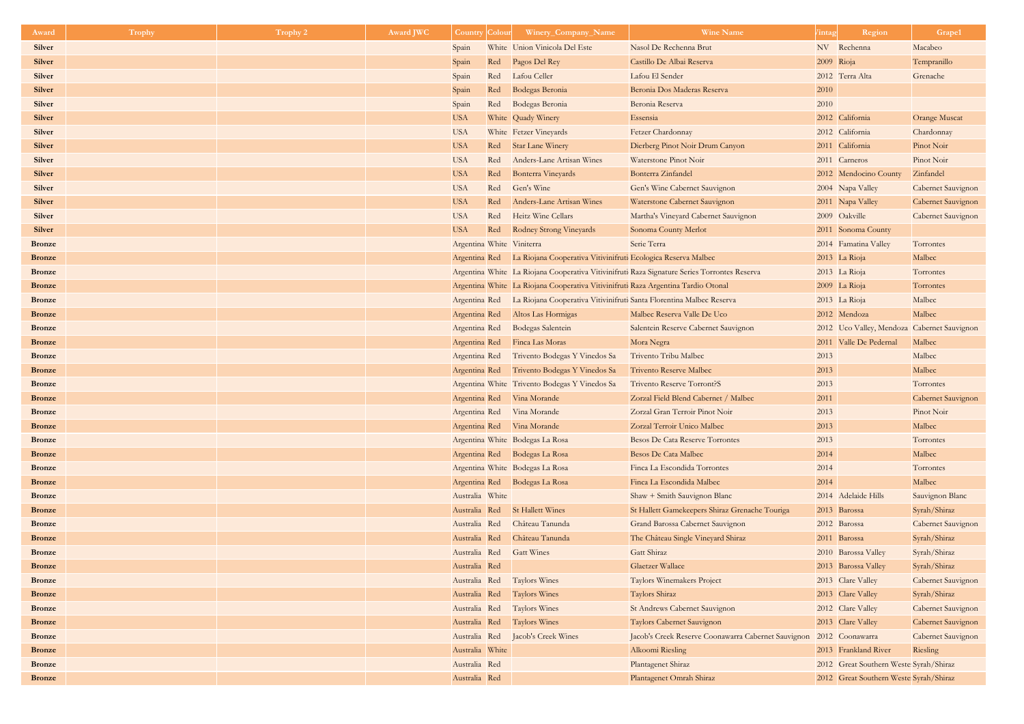| Award         | <b>Trophy</b> | <b>Trophy 2</b> | <b>Award JWC</b> | <b>Country Colour</b>     | Winery_Company_Name                                                                | <b>Wine Name</b>                                                                             | <i>l</i> intag      | Region                                 | Grape1                                      |
|---------------|---------------|-----------------|------------------|---------------------------|------------------------------------------------------------------------------------|----------------------------------------------------------------------------------------------|---------------------|----------------------------------------|---------------------------------------------|
| <b>Silver</b> |               |                 |                  | Spain                     | White Union Vinicola Del Este                                                      | Nasol De Rechenna Brut                                                                       | NV Rechenna         |                                        | Macabeo                                     |
| <b>Silver</b> |               |                 |                  | Spain<br>Red              | Pagos Del Rey                                                                      | Castillo De Albai Reserva                                                                    | 2009 Rioja          |                                        | Tempranillo                                 |
| <b>Silver</b> |               |                 |                  | Red<br>Spain              | Lafou Celler                                                                       | Lafou El Sender                                                                              | 2012 Terra Alta     |                                        | Grenache                                    |
| <b>Silver</b> |               |                 |                  | Red<br>Spain              | Bodegas Beronia                                                                    | Beronia Dos Maderas Reserva                                                                  | 2010                |                                        |                                             |
| <b>Silver</b> |               |                 |                  | Spain<br>Red              | Bodegas Beronia                                                                    | Beronia Reserva                                                                              | 2010                |                                        |                                             |
| <b>Silver</b> |               |                 |                  | <b>USA</b>                | White Quady Winery                                                                 | Essensia                                                                                     | 2012 California     |                                        | <b>Orange Muscat</b>                        |
| <b>Silver</b> |               |                 |                  | <b>USA</b>                | White Fetzer Vineyards                                                             | Fetzer Chardonnay                                                                            | 2012 California     |                                        | Chardonnay                                  |
| <b>Silver</b> |               |                 |                  | <b>USA</b>                | Red Star Lane Winery                                                               | Dierberg Pinot Noir Drum Canyon                                                              | 2011 California     |                                        | Pinot Noir                                  |
| <b>Silver</b> |               |                 |                  | <b>USA</b><br>Red         | Anders-Lane Artisan Wines                                                          | Waterstone Pinot Noir                                                                        | 2011 Carneros       |                                        | Pinot Noir                                  |
| <b>Silver</b> |               |                 |                  | <b>USA</b><br>Red         | <b>Bonterra Vineyards</b>                                                          | Bonterra Zinfandel                                                                           |                     | 2012 Mendocino County                  | Zinfandel                                   |
| <b>Silver</b> |               |                 |                  | <b>USA</b>                | Red Gen's Wine                                                                     | Gen's Wine Cabernet Sauvignon                                                                | 2004 Napa Valley    |                                        | <b>Cabernet Sauvignon</b>                   |
| <b>Silver</b> |               |                 |                  | <b>USA</b><br>Red         | Anders-Lane Artisan Wines                                                          | Waterstone Cabernet Sauvignon                                                                | 2011 Napa Valley    |                                        | Cabernet Sauvignon                          |
| <b>Silver</b> |               |                 |                  | <b>USA</b>                | Red Heitz Wine Cellars                                                             | Martha's Vineyard Cabernet Sauvignon                                                         | 2009 Oakville       |                                        | <b>Cabernet Sauvignon</b>                   |
| <b>Silver</b> |               |                 |                  | <b>USA</b><br>Red         | Rodney Strong Vineyards                                                            | Sonoma County Merlot                                                                         |                     | 2011 Sonoma County                     |                                             |
| <b>Bronze</b> |               |                 |                  | Argentina White Viniterra |                                                                                    | Serie Terra                                                                                  |                     | 2014 Famatina Valley                   | Torrontes                                   |
| <b>Bronze</b> |               |                 |                  |                           | Argentina Red La Riojana Cooperativa Vitivinifruti Ecologica Reserva Malbec        |                                                                                              | 2013 La Rioja       |                                        | Malbec                                      |
| <b>Bronze</b> |               |                 |                  |                           |                                                                                    | Argentina White La Riojana Cooperativa Vitivinifruti Raza Signature Series Torrontes Reserva | 2013 La Rioja       |                                        | Torrontes                                   |
| <b>Bronze</b> |               |                 |                  |                           | Argentina White La Riojana Cooperativa Vitivinifruti Raza Argentina Tardio Otonal  |                                                                                              | 2009 La Rioja       |                                        | Torrontes                                   |
| <b>Bronze</b> |               |                 |                  |                           | Argentina Red La Riojana Cooperativa Vitivinifruti Santa Florentina Malbec Reserva |                                                                                              | $2013$ La Rioja     |                                        | Malbec                                      |
| <b>Bronze</b> |               |                 |                  | Argentina Red             | Altos Las Hormigas                                                                 | Malbec Reserva Valle De Uco                                                                  | 2012 Mendoza        |                                        | Malbec                                      |
| <b>Bronze</b> |               |                 |                  |                           | Argentina Red Bodegas Salentein                                                    | Salentein Reserve Cabernet Sauvignon                                                         |                     |                                        | 2012 Uco Valley, Mendoza Cabernet Sauvignon |
| <b>Bronze</b> |               |                 |                  |                           | Argentina Red Finca Las Moras                                                      | Mora Negra                                                                                   |                     | 2011 Valle De Pedernal                 | Malbec                                      |
| <b>Bronze</b> |               |                 |                  |                           | Argentina Red Trivento Bodegas Y Vinedos Sa                                        | Trivento Tribu Malbec                                                                        | 2013                |                                        | Malbec                                      |
| <b>Bronze</b> |               |                 |                  |                           | Argentina Red Trivento Bodegas Y Vinedos Sa                                        | <b>Trivento Reserve Malbec</b>                                                               | 2013                |                                        | Malbec                                      |
| <b>Bronze</b> |               |                 |                  |                           | Argentina White Trivento Bodegas Y Vinedos Sa                                      | <b>Trivento Reserve Torront?S</b>                                                            | 2013                |                                        | Torrontes                                   |
| <b>Bronze</b> |               |                 |                  |                           | Argentina Red Vina Morande                                                         | Zorzal Field Blend Cabernet / Malbec                                                         | 2011                |                                        | Cabernet Sauvignon                          |
| <b>Bronze</b> |               |                 |                  |                           | Argentina Red Vina Morande                                                         | Zorzal Gran Terroir Pinot Noir                                                               | 2013                |                                        | Pinot Noir                                  |
| <b>Bronze</b> |               |                 |                  |                           | Argentina Red Vina Morande                                                         | Zorzal Terroir Unico Malbec                                                                  | 2013                |                                        | Malbec                                      |
| <b>Bronze</b> |               |                 |                  |                           | Argentina White Bodegas La Rosa                                                    | <b>Besos De Cata Reserve Torrontes</b>                                                       | 2013                |                                        | Torrontes                                   |
| <b>Bronze</b> |               |                 |                  |                           | Argentina Red Bodegas La Rosa                                                      | <b>Besos De Cata Malbec</b>                                                                  | 2014                |                                        | Malbec                                      |
| <b>Bronze</b> |               |                 |                  |                           | Argentina White Bodegas La Rosa                                                    | Finca La Escondida Torrontes                                                                 | 2014                |                                        | Torrontes                                   |
| <b>Bronze</b> |               |                 |                  |                           | Argentina Red Bodegas La Rosa                                                      | Finca La Escondida Malbec                                                                    | 2014                |                                        | Malbec                                      |
| <b>Bronze</b> |               |                 |                  | Australia White           |                                                                                    | Shaw + Smith Sauvignon Blanc                                                                 | 2014 Adelaide Hills |                                        | Sauvignon Blanc                             |
| <b>Bronze</b> |               |                 |                  | Australia Red             | <b>St Hallett Wines</b>                                                            | St Hallett Gamekeepers Shiraz Grenache Touriga                                               | 2013 Barossa        |                                        | Syrah/Shiraz                                |
| <b>Bronze</b> |               |                 |                  | Australia Red             | Château Tanunda                                                                    | Grand Barossa Cabernet Sauvignon                                                             | 2012 Barossa        |                                        | <b>Cabernet Sauvignon</b>                   |
| <b>Bronze</b> |               |                 |                  | Australia Red             | Château Tanunda                                                                    | The Château Single Vineyard Shiraz                                                           | 2011 Barossa        |                                        | Syrah/Shiraz                                |
| <b>Bronze</b> |               |                 |                  | Australia Red             | <b>Gatt Wines</b>                                                                  | Gatt Shiraz                                                                                  | 2010 Barossa Valley |                                        | Syrah/Shiraz                                |
| <b>Bronze</b> |               |                 |                  | Australia Red             |                                                                                    | <b>Glaetzer Wallace</b>                                                                      | 2013 Barossa Valley |                                        | Syrah/Shiraz                                |
| <b>Bronze</b> |               |                 |                  | Australia Red             | <b>Taylors Wines</b>                                                               | Taylors Winemakers Project                                                                   | 2013 Clare Valley   |                                        | <b>Cabernet Sauvignon</b>                   |
| <b>Bronze</b> |               |                 |                  | Australia Red             | <b>Taylors Wines</b>                                                               | Taylors Shiraz                                                                               | 2013 Clare Valley   |                                        | Syrah/Shiraz                                |
| <b>Bronze</b> |               |                 |                  | Australia Red             | <b>Taylors Wines</b>                                                               | St Andrews Cabernet Sauvignon                                                                | 2012 Clare Valley   |                                        | <b>Cabernet Sauvignon</b>                   |
| <b>Bronze</b> |               |                 |                  | Australia Red             | <b>Taylors Wines</b>                                                               | Taylors Cabernet Sauvignon                                                                   | 2013 Clare Valley   |                                        | Cabernet Sauvignon                          |
| <b>Bronze</b> |               |                 |                  | Australia Red             | Jacob's Creek Wines                                                                | Jacob's Creek Reserve Coonawarra Cabernet Sauvignon                                          | 2012 Coonawarra     |                                        | <b>Cabernet Sauvignon</b>                   |
| <b>Bronze</b> |               |                 |                  | Australia White           |                                                                                    | Alkoomi Riesling                                                                             |                     | 2013 Frankland River                   | Riesling                                    |
| <b>Bronze</b> |               |                 |                  | Australia Red             |                                                                                    | Plantagenet Shiraz                                                                           |                     | 2012 Great Southern Weste Syrah/Shiraz |                                             |
| <b>Bronze</b> |               |                 |                  | Australia Red             |                                                                                    | Plantagenet Omrah Shiraz                                                                     |                     | 2012 Great Southern Weste Syrah/Shiraz |                                             |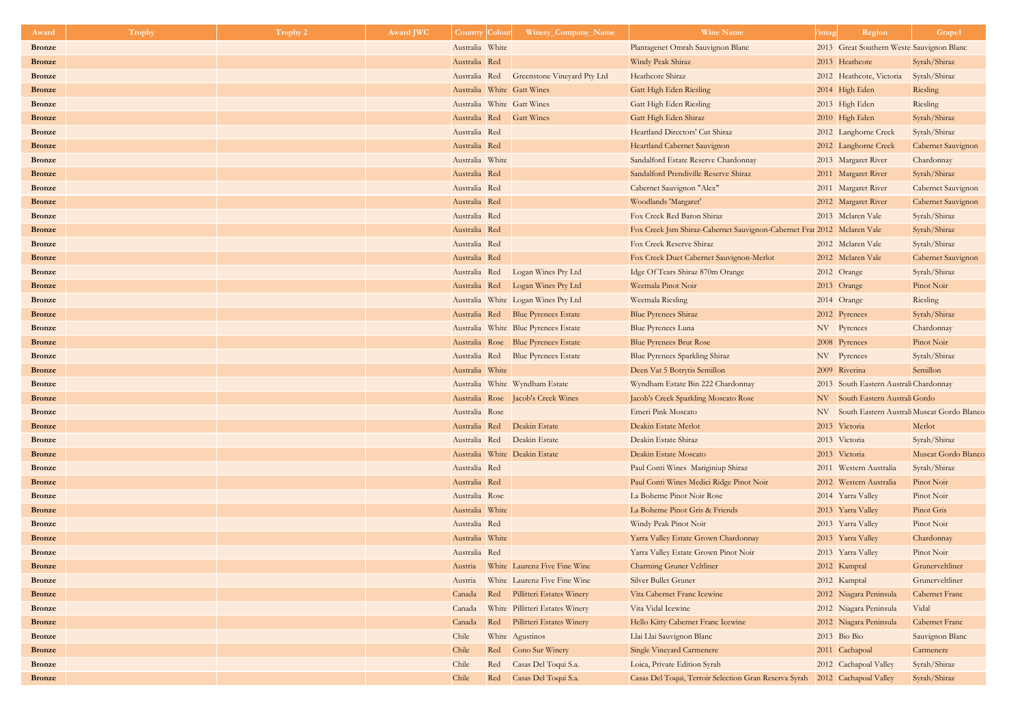| Award                          | Trophy | Trophy 2 | <b>Award JWC</b> | <b>Country Colour</b>      | Winery_Company_Name                              | <b>Wine Name</b>                                                        | intag | Region                                        | Grape1                       |
|--------------------------------|--------|----------|------------------|----------------------------|--------------------------------------------------|-------------------------------------------------------------------------|-------|-----------------------------------------------|------------------------------|
| <b>Bronze</b>                  |        |          |                  | Australia White            |                                                  | Plantagenet Omrah Sauvignon Blanc                                       |       | 2013 Great Southern Weste Sauvignon Blanc     |                              |
| <b>Bronze</b>                  |        |          |                  | Australia Red              |                                                  | Windy Peak Shiraz                                                       |       | 2013 Heathcote                                | Syrah/Shiraz                 |
| <b>Bronze</b>                  |        |          |                  | Australia Red              | <b>Greenstone Vineyard Pty Ltd</b>               | Heathcote Shiraz                                                        |       | 2012 Heathcote, Victoria                      | Syrah/Shiraz                 |
| <b>Bronze</b>                  |        |          |                  | Australia White Gatt Wines |                                                  | Gatt High Eden Riesling                                                 |       | 2014 High Eden                                | Riesling                     |
| <b>Bronze</b>                  |        |          |                  | Australia White Gatt Wines |                                                  | <b>Gatt High Eden Riesling</b>                                          |       | 2013 High Eden                                | Riesling                     |
| <b>Bronze</b>                  |        |          |                  | Australia Red Gatt Wines   |                                                  | Gatt High Eden Shiraz                                                   |       | 2010 High Eden                                | Syrah/Shiraz                 |
| <b>Bronze</b>                  |        |          |                  | Australia Red              |                                                  | Heartland Directors' Cut Shiraz                                         |       | 2012 Langhorne Creek                          | Syrah/Shiraz                 |
| <b>Bronze</b>                  |        |          |                  | Australia Red              |                                                  | Heartland Cabernet Sauvignon                                            |       | 2012 Langhorne Creek                          | Cabernet Sauvignon           |
| <b>Bronze</b>                  |        |          |                  | Australia White            |                                                  | Sandalford Estate Reserve Chardonnay                                    |       | 2013 Margaret River                           | Chardonnay                   |
| <b>Bronze</b>                  |        |          |                  | Australia Red              |                                                  | Sandalford Prendiville Reserve Shiraz                                   |       | 2011 Margaret River                           | Syrah/Shiraz                 |
| <b>Bronze</b>                  |        |          |                  | Australia Red              |                                                  | Cabernet Sauvignon "Alex"                                               |       | 2011 Margaret River                           | <b>Cabernet Sauvignon</b>    |
| <b>Bronze</b>                  |        |          |                  | Australia Red              |                                                  | Woodlands 'Margaret'                                                    |       | 2012 Margaret River                           | Cabernet Sauvignon           |
| <b>Bronze</b>                  |        |          |                  | Australia Red              |                                                  | Fox Creek Red Baron Shiraz                                              |       | 2013 Mclaren Vale                             | Syrah/Shiraz                 |
| <b>Bronze</b>                  |        |          |                  | Australia Red              |                                                  | Fox Creek Jsm Shiraz-Cabernet Sauvignon-Cabernet Frar 2012 Mclaren Vale |       |                                               | Syrah/Shiraz                 |
| <b>Bronze</b>                  |        |          |                  | Australia Red              |                                                  | Fox Creek Reserve Shiraz                                                |       | 2012 Mclaren Vale                             | Syrah/Shiraz                 |
| <b>Bronze</b>                  |        |          |                  | Australia Red              |                                                  | Fox Creek Duet Cabernet Sauvignon-Merlot                                |       | 2012 Mclaren Vale                             | Cabernet Sauvignon           |
| <b>Bronze</b>                  |        |          |                  | Australia Red              | Logan Wines Pty Ltd                              | Idge Of Tears Shiraz 870m Orange                                        |       | 2012 Orange                                   | Syrah/Shiraz                 |
| <b>Bronze</b>                  |        |          |                  | Australia Red              | Logan Wines Pty Ltd                              | Weemala Pinot Noir                                                      |       | 2013 Orange                                   | Pinot Noir                   |
| <b>Bronze</b>                  |        |          |                  |                            | Australia White Logan Wines Pty Ltd              | Weemala Riesling                                                        |       | 2014 Orange                                   | Riesling                     |
| <b>Bronze</b>                  |        |          |                  |                            | Australia Red Blue Pyrenees Estate               | <b>Blue Pyrenees Shiraz</b>                                             |       | 2012 Pyrenees                                 | Syrah/Shiraz                 |
| <b>Bronze</b>                  |        |          |                  |                            | Australia White Blue Pyrenees Estate             | <b>Blue Pyrenees Luna</b>                                               |       | NV Pyrenees                                   | Chardonnay                   |
| <b>Bronze</b>                  |        |          |                  |                            | Australia Rose Blue Pyrenees Estate              | <b>Blue Pyrenees Brut Rose</b>                                          |       | 2008 Pyrenees                                 | Pinot Noir                   |
| <b>Bronze</b>                  |        |          |                  |                            | Australia Red Blue Pyrenees Estate               | Blue Pyrenees Sparkling Shiraz                                          |       | NV Pyrenees                                   | Syrah/Shiraz                 |
| <b>Bronze</b>                  |        |          |                  | Australia White            |                                                  | Deen Vat 5 Botrytis Semillon                                            |       | 2009 Riverina                                 | Semillon                     |
| <b>Bronze</b>                  |        |          |                  |                            | Australia White Wyndham Estate                   | Wyndham Estate Bin 222 Chardonnay                                       |       | 2013 South Eastern Australi Chardonnay        |                              |
| <b>Bronze</b>                  |        |          |                  |                            | Australia Rose Jacob's Creek Wines               | Jacob's Creek Sparkling Moscato Rose                                    |       | NV South Eastern Australi Gordo               |                              |
| <b>Bronze</b>                  |        |          |                  | Australia Rose             |                                                  | Emeri Pink Moscato                                                      |       | NV South Eastern Australi Muscat Gordo Blanco |                              |
| <b>Bronze</b>                  |        |          |                  | Australia Red              | Deakin Estate                                    | Deakin Estate Merlot                                                    |       | 2013 Victoria                                 | Merlot                       |
| <b>Bronze</b>                  |        |          |                  |                            | Australia Red Deakin Estate                      | Deakin Estate Shiraz                                                    |       | 2013 Victoria                                 | Syrah/Shiraz                 |
| <b>Bronze</b>                  |        |          |                  |                            | Australia White Deakin Estate                    | Deakin Estate Moscato                                                   |       | 2013 Victoria                                 | Muscat Gordo Blanco          |
| <b>Bronze</b>                  |        |          |                  | Australia Red              |                                                  | Paul Conti Wines Mariginiup Shiraz                                      |       | 2011 Western Australia                        | Syrah/Shiraz                 |
| <b>Bronze</b>                  |        |          |                  | Australia Red              |                                                  | Paul Conti Wines Medici Ridge Pinot Noir                                |       | 2012 Western Australia                        | Pinot Noir                   |
| <b>Bronze</b>                  |        |          |                  | Australia Rose             |                                                  | La Boheme Pinot Noir Rose                                               |       | 2014 Yarra Valley                             | Pinot Noir                   |
| <b>Bronze</b>                  |        |          |                  | Australia White            |                                                  | La Boheme Pinot Gris & Friends                                          |       | 2013 Yarra Valley                             | Pinot Gris                   |
| <b>Bronze</b>                  |        |          |                  | Australia Red              |                                                  | Windy Peak Pinot Noir                                                   |       | 2013 Yarra Valley                             | Pinot Noir                   |
| <b>Bronze</b>                  |        |          |                  | Australia White            |                                                  | Yarra Valley Estate Grown Chardonnay                                    |       | 2013 Yarra Valley                             | Chardonnay                   |
| <b>Bronze</b>                  |        |          |                  | Australia Red              |                                                  | Yarra Valley Estate Grown Pinot Noir                                    |       | 2013 Yarra Valley                             | Pinot Noir                   |
| <b>Bronze</b>                  |        |          |                  |                            | Austria White Laurenz Five Fine Wine             | <b>Charming Gruner Veltliner</b>                                        |       | 2012 Kamptal                                  | Grunerveltliner              |
| <b>Bronze</b>                  |        |          |                  | Austria                    | White Laurenz Five Fine Wine                     | <b>Silver Bullet Gruner</b>                                             |       | 2012 Kamptal                                  | Grunerveltliner              |
| <b>Bronze</b>                  |        |          |                  |                            | Canada Red Pillitteri Estates Winery             | Vita Cabernet Franc Icewine<br>Vita Vidal Icewine                       |       | 2012 Niagara Peninsula                        | Cabernet Franc<br>Vidal      |
| <b>Bronze</b>                  |        |          |                  | Canada                     | White Pillitteri Estates Winery                  |                                                                         |       | 2012 Niagara Peninsula                        | <b>Cabernet Franc</b>        |
| <b>Bronze</b><br><b>Bronze</b> |        |          |                  | Canada<br>Chile            | Red Pillitteri Estates Winery<br>White Agustinos | Hello Kitty Cabernet Franc Icewine                                      |       | 2012 Niagara Peninsula<br>2013 Bio Bio        |                              |
| <b>Bronze</b>                  |        |          |                  | Chile<br>Red               | Cono Sur Winery                                  | Llai Llai Sauvignon Blanc<br><b>Single Vineyard Carmenere</b>           |       | 2011 Cachapoal                                | Sauvignon Blanc<br>Carmenere |
| <b>Bronze</b>                  |        |          |                  | Chile<br>Red               | Casas Del Toqui S.a.                             | Loica, Private Edition Syrah                                            |       | 2012 Cachapoal Valley                         | Syrah/Shiraz                 |
| <b>Bronze</b>                  |        |          |                  | Chile                      | Red Casas Del Toqui S.a.                         | Casas Del Toqui, Terroir Selection Gran Reserva Syrah                   |       | 2012 Cachapoal Valley                         | Syrah/Shiraz                 |
|                                |        |          |                  |                            |                                                  |                                                                         |       |                                               |                              |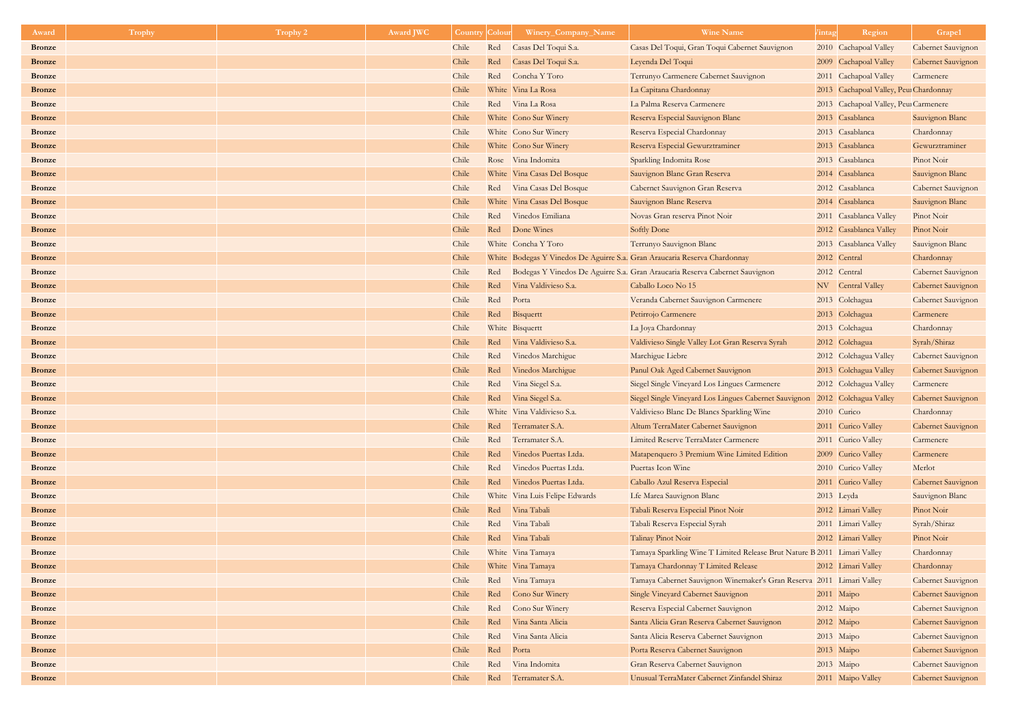| Award         | Trophy | Trophy 2 | Award JWC | <b>Country</b> | Colour | Winery_Company_Name            | <b>Wine Name</b>                                                            | Region<br><i>l</i> intag               | Grape1                    |
|---------------|--------|----------|-----------|----------------|--------|--------------------------------|-----------------------------------------------------------------------------|----------------------------------------|---------------------------|
| <b>Bronze</b> |        |          |           | Chile          | Red    | Casas Del Toqui S.a.           | Casas Del Toqui, Gran Toqui Cabernet Sauvignon                              | 2010 Cachapoal Valley                  | Cabernet Sauvignon        |
| <b>Bronze</b> |        |          |           | Chile          | Red    | Casas Del Toqui S.a.           | Leyenda Del Toqui                                                           | 2009 Cachapoal Valley                  | Cabernet Sauvignon        |
| <b>Bronze</b> |        |          |           | Chile          | Red    | Concha Y Toro                  | Terrunyo Carmenere Cabernet Sauvignon                                       | 2011 Cachapoal Valley                  | Carmenere                 |
| <b>Bronze</b> |        |          |           | Chile          |        | White Vina La Rosa             | La Capitana Chardonnay                                                      | 2013 Cachapoal Valley, Peur Chardonnay |                           |
| <b>Bronze</b> |        |          |           | Chile          |        | Red Vina La Rosa               | La Palma Reserva Carmenere                                                  | 2013 Cachapoal Valley, Peur Carmenere  |                           |
| <b>Bronze</b> |        |          |           | Chile          |        | White Cono Sur Winery          | Reserva Especial Sauvignon Blanc                                            | 2013 Casablanca                        | Sauvignon Blanc           |
| <b>Bronze</b> |        |          |           | Chile          |        | White Cono Sur Winery          | Reserva Especial Chardonnay                                                 | 2013 Casablanca                        | Chardonnay                |
| <b>Bronze</b> |        |          |           | Chile          |        | White Cono Sur Winery          | Reserva Especial Gewurztraminer                                             | 2013 Casablanca                        | Gewurztraminer            |
| <b>Bronze</b> |        |          |           | Chile          |        | Rose Vina Indomita             | Sparkling Indomita Rose                                                     | 2013 Casablanca                        | Pinot Noir                |
| <b>Bronze</b> |        |          |           | Chile          |        | White Vina Casas Del Bosque    | Sauvignon Blanc Gran Reserva                                                | 2014 Casablanca                        | Sauvignon Blanc           |
| <b>Bronze</b> |        |          |           | Chile          |        | Red Vina Casas Del Bosque      | Cabernet Sauvignon Gran Reserva                                             | 2012 Casablanca                        | <b>Cabernet Sauvignon</b> |
| <b>Bronze</b> |        |          |           | Chile          |        | White Vina Casas Del Bosque    | Sauvignon Blanc Reserva                                                     | 2014 Casablanca                        | Sauvignon Blanc           |
| <b>Bronze</b> |        |          |           | Chile          |        | Red Vinedos Emiliana           | Novas Gran reserva Pinot Noir                                               | 2011 Casablanca Valley                 | Pinot Noir                |
| <b>Bronze</b> |        |          |           | Chile          | Red    | Done Wines                     | Softly Done                                                                 | 2012 Casablanca Valley                 | Pinot Noir                |
| <b>Bronze</b> |        |          |           | Chile          |        | White Concha Y Toro            | Terrunyo Sauvignon Blanc                                                    | 2013 Casablanca Valley                 | Sauvignon Blanc           |
| <b>Bronze</b> |        |          |           | Chile          |        |                                | White Bodegas Y Vinedos De Aguirre S.a. Gran Araucaria Reserva Chardonnay   | 2012 Central                           | Chardonnay                |
| <b>Bronze</b> |        |          |           | Chile          | Red    |                                | Bodegas Y Vinedos De Aguirre S.a. Gran Araucaria Reserva Cabernet Sauvignon | 2012 Central                           | <b>Cabernet Sauvignon</b> |
| <b>Bronze</b> |        |          |           | Chile          | Red    | Vina Valdivieso S.a.           | Caballo Loco No 15                                                          | NV Central Valley                      | Cabernet Sauvignon        |
| <b>Bronze</b> |        |          |           | Chile          | Red    | Porta                          | Veranda Cabernet Sauvignon Carmenere                                        | 2013 Colchagua                         | <b>Cabernet Sauvignon</b> |
| <b>Bronze</b> |        |          |           | Chile          | Red    | Bisquertt                      | Petirrojo Carmenere                                                         | 2013 Colchagua                         | Carmenere                 |
| <b>Bronze</b> |        |          |           | Chile          |        | White Bisquertt                | La Joya Chardonnay                                                          | 2013 Colchagua                         | Chardonnay                |
| <b>Bronze</b> |        |          |           | Chile          | Red    | Vina Valdivieso S.a.           | Valdivieso Single Valley Lot Gran Reserva Syrah                             | 2012 Colchagua                         | Syrah/Shiraz              |
| <b>Bronze</b> |        |          |           | Chile          | Red    | Vinedos Marchigue              | Marchigue Liebre                                                            | 2012 Colchagua Valley                  | Cabernet Sauvignon        |
| <b>Bronze</b> |        |          |           | Chile          | Red    | Vinedos Marchigue              | Panul Oak Aged Cabernet Sauvignon                                           | 2013 Colchagua Valley                  | <b>Cabernet Sauvignon</b> |
| <b>Bronze</b> |        |          |           | Chile          | Red    | Vina Siegel S.a.               | Siegel Single Vineyard Los Lingues Carmenere                                | 2012 Colchagua Valley                  | Carmenere                 |
| <b>Bronze</b> |        |          |           | Chile          | Red    | Vina Siegel S.a.               | Siegel Single Vineyard Los Lingues Cabernet Sauvignon                       | 2012 Colchagua Valley                  | Cabernet Sauvignon        |
| <b>Bronze</b> |        |          |           | Chile          |        | White Vina Valdivieso S.a.     | Valdivieso Blanc De Blancs Sparkling Wine                                   | 2010 Curico                            | Chardonnay                |
| <b>Bronze</b> |        |          |           | Chile          | Red    | Terramater S.A.                | Altum TerraMater Cabernet Sauvignon                                         | 2011 Curico Valley                     | Cabernet Sauvignon        |
| <b>Bronze</b> |        |          |           | Chile          | Red    | Terramater S.A.                | Limited Reserve TerraMater Carmenere                                        | 2011 Curico Valley                     | Carmenere                 |
| <b>Bronze</b> |        |          |           | Chile          | Red    | Vinedos Puertas Ltda.          | Matapenquero 3 Premium Wine Limited Edition                                 | 2009 Curico Valley                     | Carmenere                 |
| <b>Bronze</b> |        |          |           | Chile          | Red    | Vinedos Puertas Ltda.          | Puertas Icon Wine                                                           | 2010 Curico Valley                     | Merlot                    |
| <b>Bronze</b> |        |          |           | Chile          | Red    | Vinedos Puertas Ltda.          | Caballo Azul Reserva Especial                                               | 2011 Curico Valley                     | Cabernet Sauvignon        |
| <b>Bronze</b> |        |          |           | Chile          |        | White Vina Luis Felipe Edwards | Lfe Marea Sauvignon Blanc                                                   | 2013 Leyda                             | Sauvignon Blanc           |
| <b>Bronze</b> |        |          |           | Chile          | Red    | Vina Tabali                    | Tabali Reserva Especial Pinot Noir                                          | 2012 Limari Valley                     | Pinot Noir                |
| <b>Bronze</b> |        |          |           | Chile          | Red    | Vina Tabali                    | Tabali Reserva Especial Syrah                                               | 2011 Limari Valley                     | Syrah/Shiraz              |
| <b>Bronze</b> |        |          |           | Chile          | Red    | Vina Tabali                    | Talinay Pinot Noir                                                          | 2012 Limari Valley                     | Pinot Noir                |
| <b>Bronze</b> |        |          |           | Chile          |        | White Vina Tamaya              | Tamaya Sparkling Wine T Limited Release Brut Nature B 2011 Limari Valley    |                                        | Chardonnay                |
| <b>Bronze</b> |        |          |           | Chile          |        | White Vina Tamaya              | Tamaya Chardonnay T Limited Release                                         | 2012 Limari Valley                     | Chardonnay                |
| <b>Bronze</b> |        |          |           | Chile          |        | Red Vina Tamaya                | Tamaya Cabernet Sauvignon Winemaker's Gran Reserva                          | 2011 Limari Valley                     | <b>Cabernet Sauvignon</b> |
| <b>Bronze</b> |        |          |           | Chile          | Red    | Cono Sur Winery                | Single Vineyard Cabernet Sauvignon                                          | $2011$ Maipo                           | Cabernet Sauvignon        |
| <b>Bronze</b> |        |          |           | Chile          | Red    | Cono Sur Winery                | Reserva Especial Cabernet Sauvignon                                         | 2012 Maipo                             | <b>Cabernet Sauvignon</b> |
| <b>Bronze</b> |        |          |           | Chile          | Red    | Vina Santa Alicia              | Santa Alicia Gran Reserva Cabernet Sauvignon                                | 2012 Maipo                             | Cabernet Sauvignon        |
| <b>Bronze</b> |        |          |           | Chile          | Red    | Vina Santa Alicia              | Santa Alicia Reserva Cabernet Sauvignon                                     | 2013 Maipo                             | <b>Cabernet Sauvignon</b> |
| <b>Bronze</b> |        |          |           | Chile          | Red    | Porta                          | Porta Reserva Cabernet Sauvignon                                            | 2013 Maipo                             | Cabernet Sauvignon        |
| <b>Bronze</b> |        |          |           | Chile          | Red    | Vina Indomita                  | Gran Reserva Cabernet Sauvignon                                             | 2013 Maipo                             | <b>Cabernet Sauvignon</b> |
| <b>Bronze</b> |        |          |           | Chile          | Red    | Terramater S.A.                | Unusual TerraMater Cabernet Zinfandel Shiraz                                | 2011 Maipo Valley                      | <b>Cabernet Sauvignon</b> |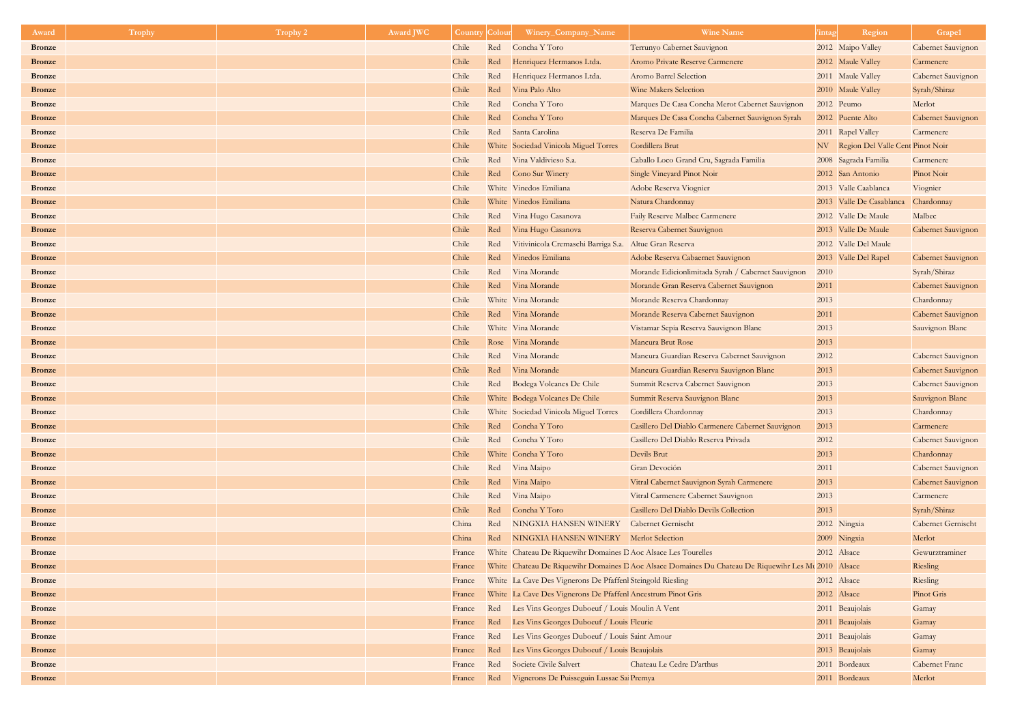| Award         | <b>Trophy</b> | Trophy 2 | <b>Award JWC</b> | <b>Country Colour</b> |     | Winery_Company_Name                                            | <b>Wine Name</b>                                                                                     | Region<br><i>l</i> intag            | Grape1                    |
|---------------|---------------|----------|------------------|-----------------------|-----|----------------------------------------------------------------|------------------------------------------------------------------------------------------------------|-------------------------------------|---------------------------|
| <b>Bronze</b> |               |          |                  | Chile                 | Red | Concha Y Toro                                                  | Terrunyo Cabernet Sauvignon                                                                          | 2012 Maipo Valley                   | Cabernet Sauvignon        |
| <b>Bronze</b> |               |          |                  | Chile                 | Red | Henriquez Hermanos Ltda.                                       | Aromo Private Reserve Carmenere                                                                      | 2012 Maule Valley                   | Carmenere                 |
| <b>Bronze</b> |               |          |                  | Chile                 | Red | Henriquez Hermanos Ltda.                                       | Aromo Barrel Selection                                                                               | 2011 Maule Valley                   | <b>Cabernet Sauvignon</b> |
| <b>Bronze</b> |               |          |                  | Chile                 | Red | Vina Palo Alto                                                 | <b>Wine Makers Selection</b>                                                                         | 2010 Maule Valley                   | Syrah/Shiraz              |
| <b>Bronze</b> |               |          |                  | Chile                 | Red | Concha Y Toro                                                  | Marques De Casa Concha Merot Cabernet Sauvignon                                                      | 2012 Peumo                          | Merlot                    |
| <b>Bronze</b> |               |          |                  | Chile                 | Red | Concha Y Toro                                                  | Marques De Casa Concha Cabernet Sauvignon Syrah                                                      | 2012 Puente Alto                    | Cabernet Sauvignon        |
| <b>Bronze</b> |               |          |                  | Chile                 | Red | Santa Carolina                                                 | Reserva De Familia                                                                                   | 2011 Rapel Valley                   | Carmenere                 |
| <b>Bronze</b> |               |          |                  | Chile                 |     | White Sociedad Vinicola Miguel Torres                          | Cordillera Brut                                                                                      | NV Region Del Valle Cent Pinot Noir |                           |
| <b>Bronze</b> |               |          |                  | Chile                 | Red | Vina Valdivieso S.a.                                           | Caballo Loco Grand Cru, Sagrada Familia                                                              | 2008 Sagrada Familia                | Carmenere                 |
| <b>Bronze</b> |               |          |                  | Chile                 |     | Red Cono Sur Winery                                            | Single Vineyard Pinot Noir                                                                           | 2012 San Antonio                    | Pinot Noir                |
| <b>Bronze</b> |               |          |                  | Chile                 |     | White Vinedos Emiliana                                         | Adobe Reserva Viognier                                                                               | 2013 Valle Caablanca                | Viognier                  |
| <b>Bronze</b> |               |          |                  | Chile                 |     | White Vinedos Emiliana                                         | Natura Chardonnay                                                                                    | 2013 Valle De Casablanca Chardonnay |                           |
| <b>Bronze</b> |               |          |                  | Chile                 | Red | Vina Hugo Casanova                                             | Faily Reserve Malbec Carmenere                                                                       | 2012 Valle De Maule                 | Malbec                    |
| <b>Bronze</b> |               |          |                  | Chile                 | Red | Vina Hugo Casanova                                             | Reserva Cabernet Sauvignon                                                                           | 2013 Valle De Maule                 | Cabernet Sauvignon        |
| <b>Bronze</b> |               |          |                  | Chile                 | Red | Vitivinicola Cremaschi Barriga S.a. Altue Gran Reserva         |                                                                                                      | 2012 Valle Del Maule                |                           |
| <b>Bronze</b> |               |          |                  | Chile                 | Red | Vinedos Emiliana                                               | Adobe Reserva Cabaernet Sauvignon                                                                    | 2013 Valle Del Rapel                | Cabernet Sauvignon        |
| <b>Bronze</b> |               |          |                  | Chile                 | Red | Vina Morande                                                   | Morande Edicionlimitada Syrah / Cabernet Sauvignon                                                   | 2010                                | Syrah/Shiraz              |
| <b>Bronze</b> |               |          |                  | Chile                 | Red | Vina Morande                                                   | Morande Gran Reserva Cabernet Sauvignon                                                              | 2011                                | Cabernet Sauvignon        |
| <b>Bronze</b> |               |          |                  | Chile                 |     | White Vina Morande                                             | Morande Reserva Chardonnay                                                                           | 2013                                | Chardonnay                |
| <b>Bronze</b> |               |          |                  | Chile                 |     | Red Vina Morande                                               | Morande Reserva Cabernet Sauvignon                                                                   | 2011                                | Cabernet Sauvignon        |
| <b>Bronze</b> |               |          |                  | Chile                 |     | White Vina Morande                                             | Vistamar Sepia Reserva Sauvignon Blanc                                                               | 2013                                | Sauvignon Blanc           |
| <b>Bronze</b> |               |          |                  | Chile                 |     | Rose Vina Morande                                              | Mancura Brut Rose                                                                                    | 2013                                |                           |
| <b>Bronze</b> |               |          |                  | Chile                 |     | Red Vina Morande                                               | Mancura Guardian Reserva Cabernet Sauvignon                                                          | 2012                                | <b>Cabernet Sauvignon</b> |
| <b>Bronze</b> |               |          |                  | Chile                 | Red | Vina Morande                                                   | Mancura Guardian Reserva Sauvignon Blanc                                                             | 2013                                | Cabernet Sauvignon        |
| <b>Bronze</b> |               |          |                  | Chile                 | Red | Bodega Volcanes De Chile                                       | Summit Reserva Cabernet Sauvignon                                                                    | 2013                                | <b>Cabernet Sauvignon</b> |
| <b>Bronze</b> |               |          |                  | Chile                 |     | White Bodega Volcanes De Chile                                 | Summit Reserva Sauvignon Blanc                                                                       | 2013                                | Sauvignon Blanc           |
| <b>Bronze</b> |               |          |                  | Chile                 |     | White Sociedad Vinicola Miguel Torres                          | Cordillera Chardonnay                                                                                | 2013                                | Chardonnay                |
| <b>Bronze</b> |               |          |                  | Chile                 | Red | Concha Y Toro                                                  | Casillero Del Diablo Carmenere Cabernet Sauvignon                                                    | 2013                                | Carmenere                 |
| <b>Bronze</b> |               |          |                  | Chile                 |     | Red Concha Y Toro                                              | Casillero Del Diablo Reserva Privada                                                                 | 2012                                | <b>Cabernet Sauvignon</b> |
| <b>Bronze</b> |               |          |                  | Chile                 |     | White Concha Y Toro                                            | Devils Brut                                                                                          | 2013                                | Chardonnay                |
| <b>Bronze</b> |               |          |                  | Chile                 |     | Red Vina Maipo                                                 | Gran Devoción                                                                                        | 2011                                | <b>Cabernet Sauvignon</b> |
| <b>Bronze</b> |               |          |                  | Chile                 | Red | Vina Maipo                                                     | Vitral Cabernet Sauvignon Syrah Carmenere                                                            | 2013                                | Cabernet Sauvignon        |
| <b>Bronze</b> |               |          |                  | Chile                 | Red | Vina Maipo                                                     | Vitral Carmenere Cabernet Sauvignon                                                                  | 2013                                | Carmenere                 |
| <b>Bronze</b> |               |          |                  | Chile                 | Red | Concha Y Toro                                                  | Casillero Del Diablo Devils Collection                                                               | 2013                                | Syrah/Shiraz              |
| <b>Bronze</b> |               |          |                  | China                 | Red | NINGXIA HANSEN WINERY                                          | <b>Cabernet Gernischt</b>                                                                            | 2012 Ningxia                        | <b>Cabernet Gernischt</b> |
| <b>Bronze</b> |               |          |                  | China                 | Red | NINGXIA HANSEN WINERY Merlot Selection                         |                                                                                                      | 2009 Ningxia                        | Merlot                    |
| <b>Bronze</b> |               |          |                  | France                |     | White Chateau De Riquewihr Domaines D Aoc Alsace Les Tourelles |                                                                                                      | 2012 Alsace                         | Gewurztraminer            |
| <b>Bronze</b> |               |          |                  | France                |     |                                                                | White Chateau De Riquewihr Domaines D Aoc Alsace Domaines Du Chateau De Riquewihr Les Mu 2010 Alsace |                                     | Riesling                  |
| <b>Bronze</b> |               |          |                  | France                |     | White La Cave Des Vignerons De Pfaffenl Steingold Riesling     |                                                                                                      | 2012 Alsace                         | Riesling                  |
| <b>Bronze</b> |               |          |                  | France                |     | White La Cave Des Vignerons De Pfaffenl Ancestrum Pinot Gris   |                                                                                                      | 2012 Alsace                         | Pinot Gris                |
| <b>Bronze</b> |               |          |                  | France                |     | Red Les Vins Georges Duboeuf / Louis Moulin A Vent             |                                                                                                      | 2011 Beaujolais                     | Gamay                     |
| <b>Bronze</b> |               |          |                  | France                | Red | Les Vins Georges Duboeuf / Louis Fleurie                       |                                                                                                      | 2011 Beaujolais                     | Gamay                     |
| <b>Bronze</b> |               |          |                  | France                | Red | Les Vins Georges Duboeuf / Louis Saint Amour                   |                                                                                                      | 2011 Beaujolais                     | Gamay                     |
| <b>Bronze</b> |               |          |                  | France                | Red | Les Vins Georges Duboeuf / Louis Beaujolais                    |                                                                                                      | 2013 Beaujolais                     | Gamay                     |
| <b>Bronze</b> |               |          |                  | France                | Red | Societe Civile Salvert                                         | Chateau Le Cedre D'arthus                                                                            | 2011 Bordeaux                       | <b>Cabernet Franc</b>     |
| <b>Bronze</b> |               |          |                  | France                | Red | Vignerons De Puisseguin Lussac Sai Premya                      |                                                                                                      | 2011 Bordeaux                       | Merlot                    |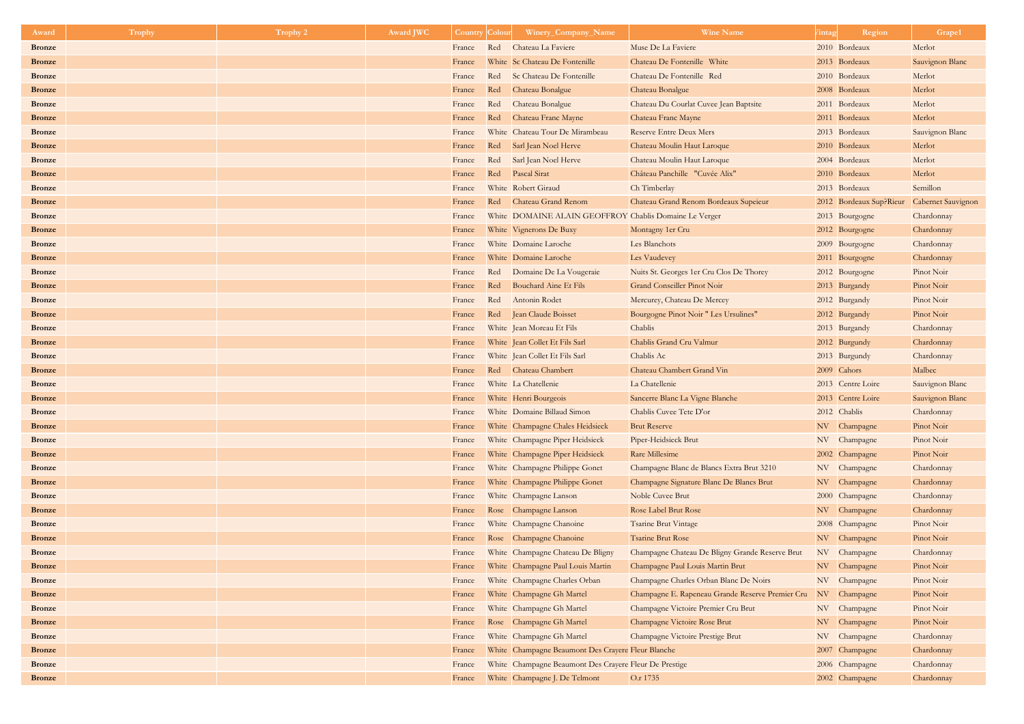| Award                          | <b>Trophy</b> | Trophy 2 | <b>Award JWC</b> | <b>Country Colour</b> |     | Winery_Company_Name                                    | <b>Wine Name</b>                                 | <i>l</i> intag | Region                                     | Grape1                   |
|--------------------------------|---------------|----------|------------------|-----------------------|-----|--------------------------------------------------------|--------------------------------------------------|----------------|--------------------------------------------|--------------------------|
| <b>Bronze</b>                  |               |          |                  | France                | Red | Chateau La Faviere                                     | Muse De La Faviere                               |                | 2010 Bordeaux                              | Merlot                   |
| <b>Bronze</b>                  |               |          |                  | France                |     | White Sc Chateau De Fontenille                         | Chateau De Fontenille White                      |                | 2013 Bordeaux                              | Sauvignon Blanc          |
| <b>Bronze</b>                  |               |          |                  | France                |     | Red Sc Chateau De Fontenille                           | Chateau De Fontenille Red                        |                | 2010 Bordeaux                              | Merlot                   |
| <b>Bronze</b>                  |               |          |                  | France                | Red | Chateau Bonalgue                                       | Chateau Bonalgue                                 |                | 2008 Bordeaux                              | Merlot                   |
| <b>Bronze</b>                  |               |          |                  | France                | Red | Chateau Bonalgue                                       | Chateau Du Courlat Cuvee Jean Baptsite           |                | 2011 Bordeaux                              | Merlot                   |
| <b>Bronze</b>                  |               |          |                  | France                | Red | Chateau Franc Mayne                                    | Chateau Franc Mayne                              |                | 2011 Bordeaux                              | Merlot                   |
| <b>Bronze</b>                  |               |          |                  | France                |     | White Chateau Tour De Mirambeau                        | <b>Reserve Entre Deux Mers</b>                   |                | 2013 Bordeaux                              | Sauvignon Blanc          |
| <b>Bronze</b>                  |               |          |                  | France                | Red | Sarl Jean Noel Herve                                   | Chateau Moulin Haut Laroque                      |                | 2010 Bordeaux                              | Merlot                   |
| <b>Bronze</b>                  |               |          |                  | France                | Red | Sarl Jean Noel Herve                                   | Chateau Moulin Haut Laroque                      |                | 2004 Bordeaux                              | Merlot                   |
| <b>Bronze</b>                  |               |          |                  | France                | Red | Pascal Sirat                                           | Château Panchille "Cuvée Alix"                   |                | 2010 Bordeaux                              | Merlot                   |
| <b>Bronze</b>                  |               |          |                  | France                |     | White Robert Giraud                                    | Ch Timberlay                                     |                | 2013 Bordeaux                              | Semillon                 |
| <b>Bronze</b>                  |               |          |                  | France                |     | Red Chateau Grand Renom                                | Chateau Grand Renom Bordeaux Supeieur            |                | 2012 Bordeaux Sup?Rieur Cabernet Sauvignon |                          |
| <b>Bronze</b>                  |               |          |                  | France                |     | White DOMAINE ALAIN GEOFFROY Chablis Domaine Le Verger |                                                  |                | 2013 Bourgogne                             | Chardonnay               |
| <b>Bronze</b>                  |               |          |                  | France                |     | White Vignerons De Buxy                                | Montagny 1er Cru                                 |                | 2012 Bourgogne                             | Chardonnay               |
| <b>Bronze</b>                  |               |          |                  | France                |     | White Domaine Laroche                                  | Les Blanchots                                    |                | 2009 Bourgogne                             | Chardonnay               |
| <b>Bronze</b>                  |               |          |                  | France                |     | White Domaine Laroche                                  | Les Vaudevey                                     |                | 2011 Bourgogne                             | Chardonnay               |
| <b>Bronze</b>                  |               |          |                  | France                |     | Red Domaine De La Vougeraie                            | Nuits St. Georges 1er Cru Clos De Thorey         |                | 2012 Bourgogne                             | Pinot Noir               |
| <b>Bronze</b>                  |               |          |                  | France                | Red | Bouchard Aine Et Fils                                  | <b>Grand Conseiller Pinot Noir</b>               |                | 2013 Burgandy                              | Pinot Noir               |
| <b>Bronze</b>                  |               |          |                  | France                |     | Red Antonin Rodet                                      | Mercurey, Chateau De Mercey                      |                | 2012 Burgandy                              | Pinot Noir               |
| <b>Bronze</b>                  |               |          |                  | France                |     | Red Jean Claude Boisset                                | Bourgogne Pinot Noir " Les Ursulines"            |                | 2012 Burgandy                              | Pinot Noir               |
| <b>Bronze</b>                  |               |          |                  | France                |     | White Jean Moreau Et Fils                              | Chablis                                          |                | 2013 Burgandy                              | Chardonnay               |
| <b>Bronze</b>                  |               |          |                  | France                |     | White Jean Collet Et Fils Sarl                         | Chablis Grand Cru Valmur                         |                | 2012 Burgundy                              | Chardonnay               |
| <b>Bronze</b>                  |               |          |                  | France                |     | White Jean Collet Et Fils Sarl                         | Chablis Ac                                       |                | 2013 Burgundy                              | Chardonnay               |
| <b>Bronze</b>                  |               |          |                  | France                | Red | Chateau Chambert                                       | Chateau Chambert Grand Vin                       |                | 2009 Cahors                                | Malbec                   |
| <b>Bronze</b>                  |               |          |                  | France                |     | White La Chatellenie                                   | La Chatellenie                                   |                | 2013 Centre Loire                          | Sauvignon Blanc          |
| <b>Bronze</b>                  |               |          |                  | France                |     | White Henri Bourgeois                                  | Sancerre Blanc La Vigne Blanche                  |                | 2013 Centre Loire                          | Sauvignon Blanc          |
| <b>Bronze</b>                  |               |          |                  | France                |     | White Domaine Billaud Simon                            | Chablis Cuvee Tete D'or                          |                | 2012 Chablis                               | Chardonnay               |
| <b>Bronze</b>                  |               |          |                  | France                |     | White Champagne Chales Heidsieck                       | <b>Brut Reserve</b>                              |                | NV Champagne                               | Pinot Noir               |
| <b>Bronze</b>                  |               |          |                  | France                |     | White Champagne Piper Heidsieck                        | Piper-Heidsieck Brut                             |                | NV Champagne                               | Pinot Noir               |
| <b>Bronze</b>                  |               |          |                  | France                |     | White Champagne Piper Heidsieck                        | Rare Millesime                                   |                | 2002 Champagne                             | Pinot Noir               |
| <b>Bronze</b>                  |               |          |                  | France                |     | White Champagne Philippe Gonet                         | Champagne Blanc de Blancs Extra Brut 3210        |                | NV Champagne                               | Chardonnay               |
| <b>Bronze</b>                  |               |          |                  | France                |     | White Champagne Philippe Gonet                         | Champagne Signature Blanc De Blancs Brut         |                | NV Champagne                               | Chardonnay               |
| <b>Bronze</b>                  |               |          |                  | France                |     | White Champagne Lanson                                 | Noble Cuvee Brut                                 |                | 2000 Champagne                             | Chardonnay               |
| <b>Bronze</b>                  |               |          |                  | France                |     | Rose Champagne Lanson                                  | <b>Rose Label Brut Rose</b>                      |                | NV Champagne                               | Chardonnay               |
| <b>Bronze</b>                  |               |          |                  | France                |     | White Champagne Chanoine                               | <b>Tsarine Brut Vintage</b>                      |                | 2008 Champagne                             | Pinot Noir               |
| <b>Bronze</b>                  |               |          |                  | France                |     | Rose Champagne Chanoine                                | <b>Tsarine Brut Rose</b>                         |                | NV Champagne                               | Pinot Noir               |
| <b>Bronze</b>                  |               |          |                  | France                |     | White Champagne Chateau De Bligny                      | Champagne Chateau De Bligny Grande Reserve Brut  |                | NV Champagne                               | Chardonnay               |
| <b>Bronze</b>                  |               |          |                  | France                |     | White Champagne Paul Louis Martin                      | Champagne Paul Louis Martin Brut                 |                | NV Champagne                               | Pinot Noir               |
| <b>Bronze</b>                  |               |          |                  | France                |     | White Champagne Charles Orban                          | Champagne Charles Orban Blanc De Noirs           |                | NV Champagne                               | Pinot Noir               |
| <b>Bronze</b>                  |               |          |                  | France                |     | White Champagne Gh Martel                              | Champagne E. Rapeneau Grande Reserve Premier Cru |                | NV Champagne                               | Pinot Noir               |
| <b>Bronze</b><br><b>Bronze</b> |               |          |                  | France                |     | White Champagne Gh Martel<br>Rose Champagne Gh Martel  | Champagne Victoire Premier Cru Brut              |                | NV Champagne                               | Pinot Noir<br>Pinot Noir |
| <b>Bronze</b>                  |               |          |                  | France                |     | White Champagne Gh Martel                              | Champagne Victoire Rose Brut                     |                | NV Champagne<br>NV Champagne               | Chardonnay               |
| <b>Bronze</b>                  |               |          |                  | France<br>France      |     | White Champagne Beaumont Des Crayere Fleur Blanche     | Champagne Victoire Prestige Brut                 |                | 2007 Champagne                             | Chardonnay               |
| <b>Bronze</b>                  |               |          |                  | France                |     | White Champagne Beaumont Des Crayere Fleur De Prestige |                                                  |                | 2006 Champagne                             | Chardonnay               |
| <b>Bronze</b>                  |               |          |                  | France                |     | White Champagne J. De Telmont                          | O.r 1735                                         |                | 2002 Champagne                             | Chardonnay               |
|                                |               |          |                  |                       |     |                                                        |                                                  |                |                                            |                          |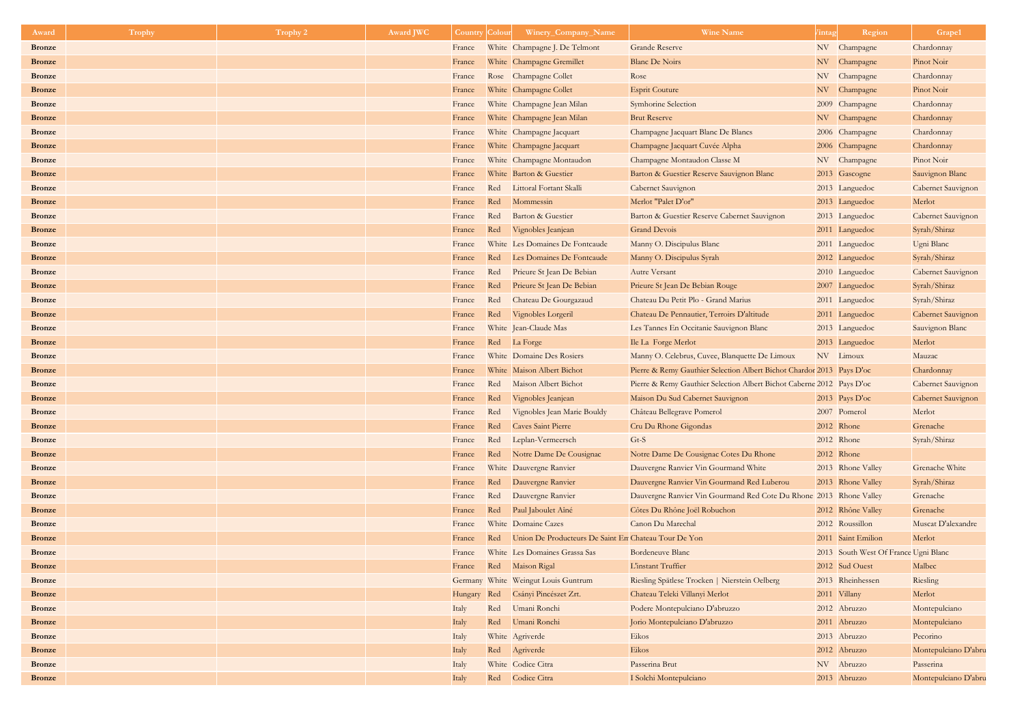| Award         | <b>Trophy</b> | Trophy 2 | <b>Award JWC</b> | <b>Country Colour</b> |     | Winery_Company_Name                                      | <b>Wine Name</b>                                                      | Region<br><i>l</i> intag             | Grape1                    |
|---------------|---------------|----------|------------------|-----------------------|-----|----------------------------------------------------------|-----------------------------------------------------------------------|--------------------------------------|---------------------------|
| <b>Bronze</b> |               |          |                  | France                |     | White Champagne J. De Telmont                            | <b>Grande Reserve</b>                                                 | NV Champagne                         | Chardonnay                |
| <b>Bronze</b> |               |          |                  | France                |     | White Champagne Gremillet                                | <b>Blanc De Noirs</b>                                                 | NV Champagne                         | Pinot Noir                |
| <b>Bronze</b> |               |          |                  | France                |     | Rose Champagne Collet                                    | Rose                                                                  | NV Champagne                         | Chardonnay                |
| <b>Bronze</b> |               |          |                  | France                |     | White Champagne Collet                                   | <b>Esprit Couture</b>                                                 | NV Champagne                         | Pinot Noir                |
| <b>Bronze</b> |               |          |                  | France                |     | White Champagne Jean Milan                               | <b>Symhorine Selection</b>                                            | 2009 Champagne                       | Chardonnay                |
| <b>Bronze</b> |               |          |                  | France                |     | White Champagne Jean Milan                               | <b>Brut Reserve</b>                                                   | NV Champagne                         | Chardonnay                |
| <b>Bronze</b> |               |          |                  | France                |     | White Champagne Jacquart                                 | Champagne Jacquart Blanc De Blancs                                    | 2006 Champagne                       | Chardonnay                |
| <b>Bronze</b> |               |          |                  | France                |     | White Champagne Jacquart                                 | Champagne Jacquart Cuvée Alpha                                        | 2006 Champagne                       | Chardonnay                |
| <b>Bronze</b> |               |          |                  | France                |     | White Champagne Montaudon                                | Champagne Montaudon Classe M                                          | NV Champagne                         | Pinot Noir                |
| <b>Bronze</b> |               |          |                  | France                |     | White Barton & Guestier                                  | Barton & Guestier Reserve Sauvignon Blanc                             | 2013 Gascogne                        | Sauvignon Blanc           |
| <b>Bronze</b> |               |          |                  | France                |     | Red Littoral Fortant Skalli                              | <b>Cabernet Sauvignon</b>                                             | 2013 Languedoc                       | Cabernet Sauvignon        |
| <b>Bronze</b> |               |          |                  | France                | Red | Mommessin                                                | Merlot "Palet D'or"                                                   | 2013 Languedoc                       | Merlot                    |
| <b>Bronze</b> |               |          |                  | France                | Red | Barton & Guestier                                        | Barton & Guestier Reserve Cabernet Sauvignon                          | 2013 Languedoc                       | <b>Cabernet Sauvignon</b> |
| <b>Bronze</b> |               |          |                  | France                | Red | Vignobles Jeanjean                                       | <b>Grand Devois</b>                                                   | 2011 Languedoc                       | Syrah/Shiraz              |
| <b>Bronze</b> |               |          |                  | France                |     | White Les Domaines De Fontcaude                          | Manny O. Discipulus Blanc                                             | 2011 Languedoc                       | Ugni Blanc                |
| <b>Bronze</b> |               |          |                  | France                | Red | Les Domaines De Fontcaude                                | Manny O. Discipulus Syrah                                             | 2012 Languedoc                       | Syrah/Shiraz              |
| <b>Bronze</b> |               |          |                  | France                | Red | Prieure St Jean De Bebian                                | <b>Autre Versant</b>                                                  | 2010 Languedoc                       | Cabernet Sauvignon        |
| <b>Bronze</b> |               |          |                  | France                | Red | Prieure St Jean De Bebian                                | Prieure St Jean De Bebian Rouge                                       | 2007 Languedoc                       | Syrah/Shiraz              |
| <b>Bronze</b> |               |          |                  | France                | Red | Chateau De Gourgazaud                                    | Chateau Du Petit Plo - Grand Marius                                   | 2011 Languedoc                       | Syrah/Shiraz              |
| <b>Bronze</b> |               |          |                  | France                | Red | Vignobles Lorgeril                                       | Chateau De Pennautier, Terroirs D'altitude                            | 2011 Languedoc                       | Cabernet Sauvignon        |
| <b>Bronze</b> |               |          |                  | France                |     | White Jean-Claude Mas                                    | Les Tannes En Occitanie Sauvignon Blanc                               | 2013 Languedoc                       | Sauvignon Blanc           |
| <b>Bronze</b> |               |          |                  | France                |     | Red La Forge                                             | Ile La Forge Merlot                                                   | 2013 Languedoc                       | Merlot                    |
| <b>Bronze</b> |               |          |                  | France                |     | White Domaine Des Rosiers                                | Manny O. Celebrus, Cuvee, Blanquette De Limoux                        | NV Limoux                            | Mauzac                    |
| <b>Bronze</b> |               |          |                  | France                |     | White Maison Albert Bichot                               | Pierre & Remy Gauthier Selection Albert Bichot Chardor 2013 Pays D'oc |                                      | Chardonnay                |
| <b>Bronze</b> |               |          |                  | France                | Red | Maison Albert Bichot                                     | Pierre & Remy Gauthier Selection Albert Bichot Caberne 2012 Pays D'oc |                                      | Cabernet Sauvignon        |
| <b>Bronze</b> |               |          |                  | France                | Red | Vignobles Jeanjean                                       | Maison Du Sud Cabernet Sauvignon                                      | 2013 Pays D'oc                       | Cabernet Sauvignon        |
| <b>Bronze</b> |               |          |                  | France                | Red | Vignobles Jean Marie Bouldy                              | Château Bellegrave Pomerol                                            | 2007 Pomerol                         | Merlot                    |
| <b>Bronze</b> |               |          |                  | France                | Red | <b>Caves Saint Pierre</b>                                | Cru Du Rhone Gigondas                                                 | 2012 Rhone                           | Grenache                  |
| <b>Bronze</b> |               |          |                  | France                | Red | Leplan-Vermeersch                                        | Gt-S                                                                  | 2012 Rhone                           | Syrah/Shiraz              |
| <b>Bronze</b> |               |          |                  | France                |     | Red Notre Dame De Cousignac                              | Notre Dame De Cousignac Cotes Du Rhone                                | 2012 Rhone                           |                           |
| <b>Bronze</b> |               |          |                  | France                |     | White Dauvergne Ranvier                                  | Dauvergne Ranvier Vin Gourmand White                                  | 2013 Rhone Valley                    | Grenache White            |
| <b>Bronze</b> |               |          |                  | France                |     | Red Dauvergne Ranvier                                    | Dauvergne Ranvier Vin Gourmand Red Luberou                            | 2013 Rhone Valley                    | Syrah/Shiraz              |
| <b>Bronze</b> |               |          |                  | France                | Red | Dauvergne Ranvier                                        | Dauvergne Ranvier Vin Gourmand Red Cote Du Rhone 2013 Rhone Valley    |                                      | Grenache                  |
| <b>Bronze</b> |               |          |                  | France                |     | Red Paul Jaboulet Aîné                                   | Côtes Du Rhône Joël Robuchon                                          | 2012 Rhône Valley                    | Grenache                  |
| <b>Bronze</b> |               |          |                  | France                |     | White Domaine Cazes                                      | Canon Du Marechal                                                     | 2012 Roussillon                      | Muscat D'alexandre        |
| <b>Bronze</b> |               |          |                  | France                |     | Red Union De Producteurs De Saint En Chateau Tour De Yon |                                                                       | 2011 Saint Emilion                   | Merlot                    |
| <b>Bronze</b> |               |          |                  | France                |     | White Les Domaines Grassa Sas                            | <b>Bordeneuve Blanc</b>                                               | 2013 South West Of France Ugni Blanc |                           |
| <b>Bronze</b> |               |          |                  | France                |     | Red Maison Rigal                                         | L'instant Truffier                                                    | 2012 Sud Ouest                       | Malbec                    |
| <b>Bronze</b> |               |          |                  |                       |     | Germany White Weingut Louis Guntrum                      | Riesling Spätlese Trocken   Nierstein Oelberg                         | 2013 Rheinhessen                     | Riesling                  |
| <b>Bronze</b> |               |          |                  |                       |     | Hungary Red Csányi Pincészet Zrt.                        | Chateau Teleki Villanyi Merlot                                        | 2011 Villany                         | Merlot                    |
| <b>Bronze</b> |               |          |                  | Italy                 |     | Red Umani Ronchi                                         | Podere Montepulciano D'abruzzo                                        | 2012 Abruzzo                         | Montepulciano             |
| <b>Bronze</b> |               |          |                  | Italy                 |     | Red Umani Ronchi                                         | Jorio Montepulciano D'abruzzo                                         | 2011 Abruzzo                         | Montepulciano             |
| <b>Bronze</b> |               |          |                  | Italy                 |     | White Agriverde                                          | Eikos                                                                 | 2013 Abruzzo                         | Pecorino                  |
| <b>Bronze</b> |               |          |                  | Italy                 |     | Red Agriverde                                            | Eikos                                                                 | 2012 Abruzzo                         | Montepulciano D'abru      |
| <b>Bronze</b> |               |          |                  | Italy                 |     | White Codice Citra                                       | Passerina Brut                                                        | NV Abruzzo                           | Passerina                 |
| <b>Bronze</b> |               |          |                  | Italy                 |     | Red Codice Citra                                         | I Solchi Montepulciano                                                | 2013 Abruzzo                         | Montepulciano D'abru      |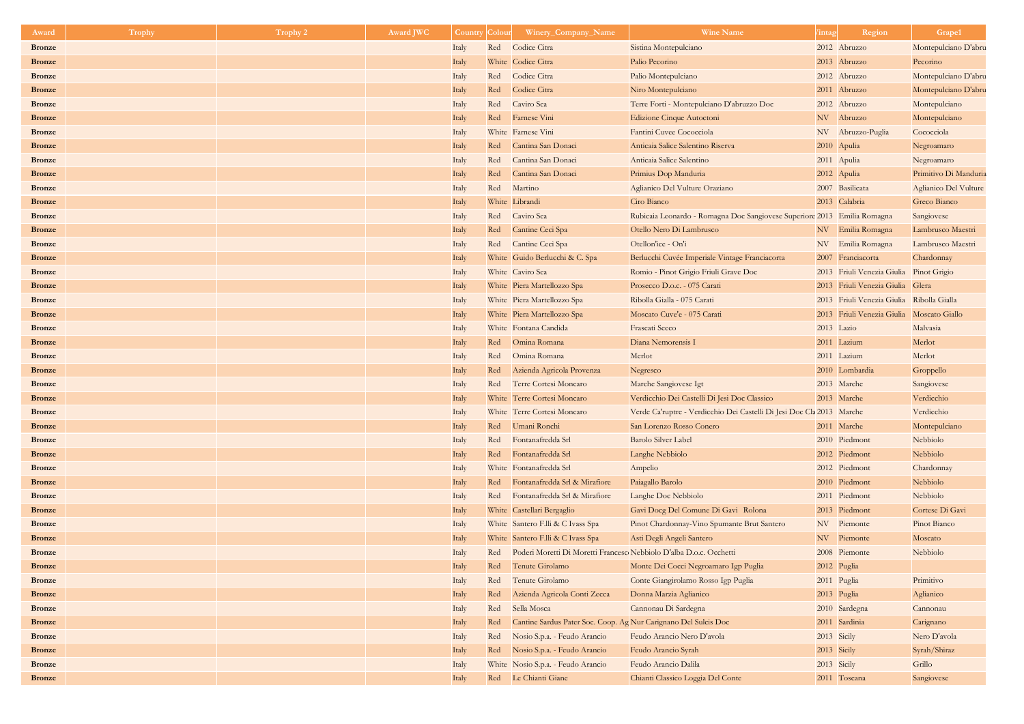| Award         | <b>Trophy</b> | <b>Trophy 2</b> | <b>Award JWC</b> | Country | <b>Colour</b> | Winery_Company_Name                                                | <b>Wine Name</b>                                                         | Region<br>/intag                          | Grape1                |
|---------------|---------------|-----------------|------------------|---------|---------------|--------------------------------------------------------------------|--------------------------------------------------------------------------|-------------------------------------------|-----------------------|
| <b>Bronze</b> |               |                 |                  | Italy   |               | Red Codice Citra                                                   | Sistina Montepulciano                                                    | 2012 Abruzzo                              | Montepulciano D'abru  |
| <b>Bronze</b> |               |                 |                  | Italy   |               | White Codice Citra                                                 | Palio Pecorino                                                           | 2013 Abruzzo                              | Pecorino              |
| <b>Bronze</b> |               |                 |                  | Italy   | Red           | Codice Citra                                                       | Palio Montepulciano                                                      | 2012 Abruzzo                              | Montepulciano D'abru  |
| <b>Bronze</b> |               |                 |                  | Italy   | Red           | Codice Citra                                                       | Niro Montepulciano                                                       | 2011 Abruzzo                              | Montepulciano D'abru  |
| <b>Bronze</b> |               |                 |                  | Italy   | Red           | Caviro Sca                                                         | Terre Forti - Montepulciano D'abruzzo Doc                                | 2012 Abruzzo                              | Montepulciano         |
| <b>Bronze</b> |               |                 |                  | Italy   |               | Red Farnese Vini                                                   | Edizione Cinque Autoctoni                                                | NV Abruzzo                                | Montepulciano         |
| <b>Bronze</b> |               |                 |                  | Italy   |               | White Farnese Vini                                                 | Fantini Cuvee Cococciola                                                 | NV Abruzzo-Puglia                         | Cococciola            |
| <b>Bronze</b> |               |                 |                  | Italy   |               | Red Cantina San Donaci                                             | Anticaia Salice Salentino Riserva                                        | 2010 Apulia                               | Negroamaro            |
| <b>Bronze</b> |               |                 |                  | Italy   | Red           | Cantina San Donaci                                                 | Anticaia Salice Salentino                                                | 2011 Apulia                               | Negroamaro            |
| <b>Bronze</b> |               |                 |                  | Italy   | Red           | Cantina San Donaci                                                 | Primius Dop Manduria                                                     | 2012 Apulia                               | Primitivo Di Manduria |
| <b>Bronze</b> |               |                 |                  | Italy   | Red           | Martino                                                            | Aglianico Del Vulture Oraziano                                           | 2007 Basilicata                           | Aglianico Del Vulture |
| <b>Bronze</b> |               |                 |                  | Italy   |               | White Librandi                                                     | Ciro Bianco                                                              | 2013 Calabria                             | Greco Bianco          |
| <b>Bronze</b> |               |                 |                  | Italy   | Red           | Caviro Sca                                                         | Rubicaia Leonardo - Romagna Doc Sangiovese Superiore 2013 Emilia Romagna |                                           | Sangiovese            |
| <b>Bronze</b> |               |                 |                  | Italy   | Red           | Cantine Ceci Spa                                                   | Otello Nero Di Lambrusco                                                 | NV Emilia Romagna                         | Lambrusco Maestri     |
| <b>Bronze</b> |               |                 |                  | Italy   |               | Red Cantine Ceci Spa                                               | Otellon'ice - On'i                                                       | NV Emilia Romagna                         | Lambrusco Maestri     |
| <b>Bronze</b> |               |                 |                  | Italy   |               | White Guido Berlucchi & C. Spa                                     | Berlucchi Cuvée Imperiale Vintage Franciacorta                           | 2007 Franciacorta                         | Chardonnay            |
| <b>Bronze</b> |               |                 |                  | Italy   |               | White Caviro Sca                                                   | Romio - Pinot Grigio Friuli Grave Doc                                    | 2013 Friuli Venezia Giulia Pinot Grigio   |                       |
| <b>Bronze</b> |               |                 |                  | Italy   |               | White Piera Martellozzo Spa                                        | Prosecco D.o.c. - 075 Carati                                             | 2013 Friuli Venezia Giulia Glera          |                       |
| <b>Bronze</b> |               |                 |                  | Italy   |               | White Piera Martellozzo Spa                                        | Ribolla Gialla - 075 Carati                                              | 2013 Friuli Venezia Giulia Ribolla Gialla |                       |
| <b>Bronze</b> |               |                 |                  | Italy   |               | White Piera Martellozzo Spa                                        | Moscato Cuve'e - 075 Carati                                              | 2013 Friuli Venezia Giulia Moscato Giallo |                       |
| <b>Bronze</b> |               |                 |                  | Italy   |               | White Fontana Candida                                              | Frascati Secco                                                           | 2013 Lazio                                | Malvasia              |
| <b>Bronze</b> |               |                 |                  | Italy   |               | Red Omina Romana                                                   | Diana Nemorensis I                                                       | 2011 Lazium                               | Merlot                |
| <b>Bronze</b> |               |                 |                  | Italy   |               | Red Omina Romana                                                   | Merlot                                                                   | 2011 Lazium                               | Merlot                |
| <b>Bronze</b> |               |                 |                  | Italy   | Red           | Azienda Agricola Provenza                                          | Negresco                                                                 | 2010 Lombardia                            | Groppello             |
| <b>Bronze</b> |               |                 |                  | Italy   | Red           | Terre Cortesi Moncaro                                              | Marche Sangiovese Igt                                                    | 2013 Marche                               | Sangiovese            |
| <b>Bronze</b> |               |                 |                  | Italy   |               | White Terre Cortesi Moncaro                                        | Verdicchio Dei Castelli Di Jesi Doc Classico                             | 2013 Marche                               | Verdicchio            |
| <b>Bronze</b> |               |                 |                  | Italy   |               | White Terre Cortesi Moncaro                                        | Verde Ca'ruptre - Verdicchio Dei Castelli Di Jesi Doc Cla 2013 Marche    |                                           | Verdicchio            |
| <b>Bronze</b> |               |                 |                  | Italy   |               | Red Umani Ronchi                                                   | San Lorenzo Rosso Conero                                                 | 2011 Marche                               | Montepulciano         |
| <b>Bronze</b> |               |                 |                  | Italy   |               | Red Fontanafredda Srl                                              | <b>Barolo Silver Label</b>                                               | 2010 Piedmont                             | Nebbiolo              |
| <b>Bronze</b> |               |                 |                  | Italy   |               | Red Fontanafredda Srl                                              | Langhe Nebbiolo                                                          | 2012 Piedmont                             | Nebbiolo              |
| <b>Bronze</b> |               |                 |                  | Italy   |               | White Fontanafredda Srl                                            | Ampelio                                                                  | 2012 Piedmont                             | Chardonnay            |
| <b>Bronze</b> |               |                 |                  | Italy   | Red           | Fontanafredda Srl & Mirafiore                                      | Paiagallo Barolo                                                         | 2010 Piedmont                             | Nebbiolo              |
| <b>Bronze</b> |               |                 |                  | Italy   | Red           | Fontanafredda Srl & Mirafiore                                      | Langhe Doc Nebbiolo                                                      | 2011 Piedmont                             | Nebbiolo              |
| <b>Bronze</b> |               |                 |                  | Italy   |               | White Castellari Bergaglio                                         | Gavi Docg Del Comune Di Gavi Rolona                                      | 2013 Piedmont                             | Cortese Di Gavi       |
| <b>Bronze</b> |               |                 |                  | Italy   |               | White Santero F.lli & C Ivass Spa                                  | Pinot Chardonnay-Vino Spumante Brut Santero                              | NV Piemonte                               | Pinot Bianco          |
| <b>Bronze</b> |               |                 |                  | Italy   |               | White Santero F.lli & C Ivass Spa                                  | Asti Degli Angeli Santero                                                | NV Piemonte                               | Moscato               |
| <b>Bronze</b> |               |                 |                  | Italy   | Red           | Poderi Moretti Di Moretti Francesc Nebbiolo D'alba D.o.c. Occhetti |                                                                          | 2008 Piemonte                             | Nebbiolo              |
| <b>Bronze</b> |               |                 |                  | Italy   | Red           | Tenute Girolamo                                                    | Monte Dei Cocci Negroamaro Igp Puglia                                    | 2012 Puglia                               |                       |
| <b>Bronze</b> |               |                 |                  | Italy   | Red           | Tenute Girolamo                                                    | Conte Giangirolamo Rosso Igp Puglia                                      | 2011 Puglia                               | Primitivo             |
| <b>Bronze</b> |               |                 |                  | Italy   | Red           | Azienda Agricola Conti Zecca                                       | Donna Marzia Aglianico                                                   | 2013 Puglia                               | Aglianico             |
| <b>Bronze</b> |               |                 |                  | Italy   | Red           | Sella Mosca                                                        | Cannonau Di Sardegna                                                     | 2010 Sardegna                             | Cannonau              |
| <b>Bronze</b> |               |                 |                  | Italy   | Red           | Cantine Sardus Pater Soc. Coop. Ag Nur Carignano Del Sulcis Doc    |                                                                          | 2011 Sardinia                             | Carignano             |
| <b>Bronze</b> |               |                 |                  | Italy   | Red           | Nosio S.p.a. - Feudo Arancio                                       | Feudo Arancio Nero D'avola                                               | 2013 Sicily                               | Nero D'avola          |
| <b>Bronze</b> |               |                 |                  | Italy   | Red           | Nosio S.p.a. - Feudo Arancio                                       | Feudo Arancio Syrah                                                      | 2013 Sicily                               | Syrah/Shiraz          |
| <b>Bronze</b> |               |                 |                  | Italy   |               | White Nosio S.p.a. - Feudo Arancio                                 | Feudo Arancio Dalila                                                     | 2013 Sicily                               | Grillo                |
| <b>Bronze</b> |               |                 |                  | Italy   |               | Red Le Chianti Giane                                               | Chianti Classico Loggia Del Conte                                        | 2011 Toscana                              | Sangiovese            |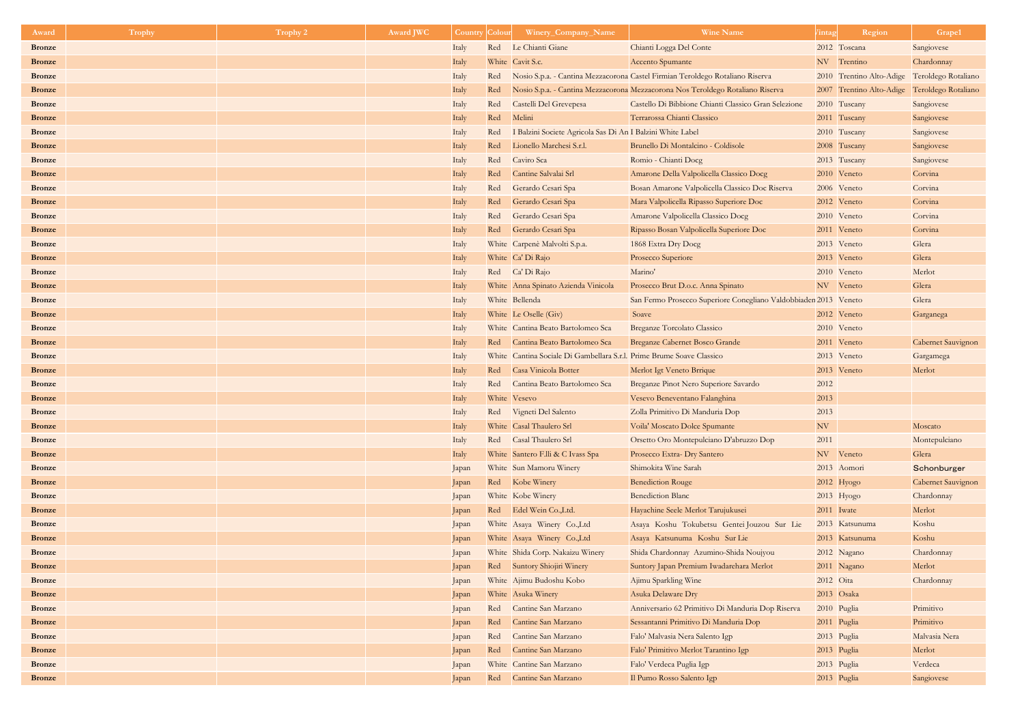| Award                          | Trophy | Trophy 2 | Award JWC | <b>Country</b> | Colour | Winery_Company_Name                                                   | <b>Wine Name</b>                                                               | Region<br><i>l</i> intag                     | Grape1                           |
|--------------------------------|--------|----------|-----------|----------------|--------|-----------------------------------------------------------------------|--------------------------------------------------------------------------------|----------------------------------------------|----------------------------------|
| <b>Bronze</b>                  |        |          |           | Italy          |        | Red Le Chianti Giane                                                  | Chianti Logga Del Conte                                                        | 2012 Toscana                                 | Sangiovese                       |
| <b>Bronze</b>                  |        |          |           | Italy          |        | White Cavit S.c.                                                      | Accento Spumante                                                               | NV Trentino                                  | Chardonnay                       |
| <b>Bronze</b>                  |        |          |           | Italy          | Red    |                                                                       | Nosio S.p.a. - Cantina Mezzacorona Castel Firmian Teroldego Rotaliano Riserva  | 2010 Trentino Alto-Adige Teroldego Rotaliano |                                  |
| <b>Bronze</b>                  |        |          |           | Italy          | Red    |                                                                       | Nosio S.p.a. - Cantina Mezzacorona Mezzacorona Nos Teroldego Rotaliano Riserva | 2007 Trentino Alto-Adige Teroldego Rotaliano |                                  |
| <b>Bronze</b>                  |        |          |           | Italy          | Red    | Castelli Del Grevepesa                                                | Castello Di Bibbione Chianti Classico Gran Selezione                           | 2010 Tuscany                                 | Sangiovese                       |
| <b>Bronze</b>                  |        |          |           | Italy          | Red    | Melini                                                                | Terrarossa Chianti Classico                                                    | 2011 Tuscany                                 | Sangiovese                       |
| <b>Bronze</b>                  |        |          |           | Italy          | Red    | Balzini Societe Agricola Sas Di An I Balzini White Label              |                                                                                | 2010 Tuscany                                 | Sangiovese                       |
| <b>Bronze</b>                  |        |          |           | Italy          | Red    | Lionello Marchesi S.r.l.                                              | Brunello Di Montalcino - Coldisole                                             | 2008 Tuscany                                 | Sangiovese                       |
| <b>Bronze</b>                  |        |          |           | Italy          | Red    | Caviro Sca                                                            | Romio - Chianti Docg                                                           | 2013 Tuscany                                 | Sangiovese                       |
| <b>Bronze</b>                  |        |          |           | Italy          | Red    | Cantine Salvalai Srl                                                  | Amarone Della Valpolicella Classico Docg                                       | 2010 Veneto                                  | Corvina                          |
| <b>Bronze</b>                  |        |          |           | Italy          | Red    | Gerardo Cesari Spa                                                    | Bosan Amarone Valpolicella Classico Doc Riserva                                | 2006 Veneto                                  | Corvina                          |
| <b>Bronze</b>                  |        |          |           | Italy          | Red    | Gerardo Cesari Spa                                                    | Mara Valpolicella Ripasso Superiore Doc                                        | 2012 Veneto                                  | Corvina                          |
| <b>Bronze</b>                  |        |          |           | Italy          | Red    | Gerardo Cesari Spa                                                    | Amarone Valpolicella Classico Docg                                             | 2010 Veneto                                  | Corvina                          |
| <b>Bronze</b>                  |        |          |           | Italy          | Red    | Gerardo Cesari Spa                                                    | Ripasso Bosan Valpolicella Superiore Doc                                       | 2011 Veneto                                  | Corvina                          |
| <b>Bronze</b>                  |        |          |           | Italy          |        | White Carpenè Malvolti S.p.a.                                         | 1868 Extra Dry Docg                                                            | 2013 Veneto                                  | Glera                            |
| <b>Bronze</b>                  |        |          |           | Italy          |        | White Ca' Di Rajo                                                     | Prosecco Superiore                                                             | 2013 Veneto                                  | Glera                            |
| <b>Bronze</b>                  |        |          |           | Italy          |        | Red Ca' Di Rajo                                                       | Marino'                                                                        | 2010 Veneto                                  | Merlot                           |
| <b>Bronze</b>                  |        |          |           | Italy          |        | White Anna Spinato Azienda Vinicola                                   | Prosecco Brut D.o.c. Anna Spinato                                              | NV Veneto                                    | Glera                            |
| <b>Bronze</b>                  |        |          |           | Italy          |        | White Bellenda                                                        | San Fermo Prosecco Superiore Conegliano Valdobbiaden 2013 Veneto               |                                              | Glera                            |
| <b>Bronze</b>                  |        |          |           | Italy          |        | White Le Oselle (Giv)                                                 | Soave                                                                          | 2012 Veneto                                  | Garganega                        |
| <b>Bronze</b>                  |        |          |           | Italy          |        | White Cantina Beato Bartolomeo Sca                                    | Breganze Torcolato Classico                                                    | 2010 Veneto                                  |                                  |
| <b>Bronze</b>                  |        |          |           | Italy          | Red    | Cantina Beato Bartolomeo Sca                                          | Breganze Cabernet Bosco Grande                                                 | 2011 Veneto                                  | Cabernet Sauvignon               |
| <b>Bronze</b>                  |        |          |           | Italy          |        | White Cantina Sociale Di Gambellara S.r.l. Prime Brume Soave Classico |                                                                                | 2013 Veneto                                  | Gargamega                        |
| <b>Bronze</b>                  |        |          |           | Italy          | Red    | Casa Vinicola Botter                                                  | Merlot Igt Veneto Brrique                                                      | 2013 Veneto                                  | Merlot                           |
| <b>Bronze</b>                  |        |          |           | Italy          | Red    | Cantina Beato Bartolomeo Sca                                          | Breganze Pinot Nero Superiore Savardo                                          | 2012                                         |                                  |
| <b>Bronze</b>                  |        |          |           | Italy          |        | White Vesevo                                                          | Vesevo Beneventano Falanghina                                                  | 2013                                         |                                  |
| <b>Bronze</b>                  |        |          |           | Italy          |        | Red Vigneti Del Salento                                               | Zolla Primitivo Di Manduria Dop                                                | 2013                                         |                                  |
| <b>Bronze</b>                  |        |          |           | Italy          |        | White Casal Thaulero Srl                                              | Voila' Moscato Dolce Spumante                                                  | NV                                           | Moscato                          |
| <b>Bronze</b>                  |        |          |           | Italy          |        | Red Casal Thaulero Srl                                                | Orsetto Oro Montepulciano D'abruzzo Dop                                        | 2011                                         | Montepulciano                    |
| <b>Bronze</b>                  |        |          |           | Italy          |        | White Santero F.lli & C Ivass Spa                                     | Prosecco Extra- Dry Santero                                                    | NV Veneto                                    | Glera                            |
| <b>Bronze</b><br><b>Bronze</b> |        |          |           | Japan          |        | White Sun Mamoru Winery                                               | Shimokita Wine Sarah<br><b>Benediction Rouge</b>                               | 2013 Aomori                                  | Schonburger                      |
| <b>Bronze</b>                  |        |          |           | Japan          |        | Red Kobe Winery<br>White Kobe Winery                                  | <b>Benediction Blanc</b>                                                       | $2012$ Hyogo<br>$2013$ Hyogo                 | Cabernet Sauvignon<br>Chardonnay |
| <b>Bronze</b>                  |        |          |           | Japan<br>Japan |        | Red Edel Wein Co., Ltd.                                               | Hayachine Seele Merlot Tarujukusei                                             | 2011 Iwate                                   | Merlot                           |
| <b>Bronze</b>                  |        |          |           | Japan          |        | White Asaya Winery Co.,Ltd                                            | Asaya Koshu Tokubetsu Gentei Jouzou Sur Lie                                    | 2013 Katsunuma                               | Koshu                            |
| <b>Bronze</b>                  |        |          |           | Japan          |        | White Asaya Winery Co.,Ltd                                            | Asaya Katsunuma Koshu Sur Lie                                                  | 2013 Katsunuma                               | Koshu                            |
| <b>Bronze</b>                  |        |          |           | Japan          |        | White Shida Corp. Nakaizu Winery                                      | Shida Chardonnay Azumino-Shida Noujyou                                         | 2012 Nagano                                  | Chardonnay                       |
| <b>Bronze</b>                  |        |          |           | Japan          |        | Red Suntory Shiojiri Winery                                           | Suntory Japan Premium Iwadarehara Merlot                                       | 2011 Nagano                                  | Merlot                           |
| <b>Bronze</b>                  |        |          |           | Japan          |        | White Ajimu Budoshu Kobo                                              | Ajimu Sparkling Wine                                                           | 2012 Oita                                    | Chardonnay                       |
| <b>Bronze</b>                  |        |          |           | Japan          |        | White Asuka Winery                                                    | Asuka Delaware Dry                                                             | 2013 Osaka                                   |                                  |
| <b>Bronze</b>                  |        |          |           | Japan          |        | Red Cantine San Marzano                                               | Anniversario 62 Primitivo Di Manduria Dop Riserva                              | 2010 Puglia                                  | Primitivo                        |
| <b>Bronze</b>                  |        |          |           | Japan          | Red    | Cantine San Marzano                                                   | Sessantanni Primitivo Di Manduria Dop                                          | 2011 Puglia                                  | Primitivo                        |
| <b>Bronze</b>                  |        |          |           | Japan          | Red    | Cantine San Marzano                                                   | Falo' Malvasia Nera Salento Igp                                                | 2013 Puglia                                  | Malvasia Nera                    |
| <b>Bronze</b>                  |        |          |           | Japan          | Red    | Cantine San Marzano                                                   | Falo' Primitivo Merlot Tarantino Igp                                           | 2013 Puglia                                  | Merlot                           |
| <b>Bronze</b>                  |        |          |           | Japan          |        | White Cantine San Marzano                                             | Falo' Verdeca Puglia Igp                                                       | 2013 Puglia                                  | Verdeca                          |
| <b>Bronze</b>                  |        |          |           | Japan          | Red    | Cantine San Marzano                                                   | Il Pumo Rosso Salento Igp                                                      | 2013 Puglia                                  | Sangiovese                       |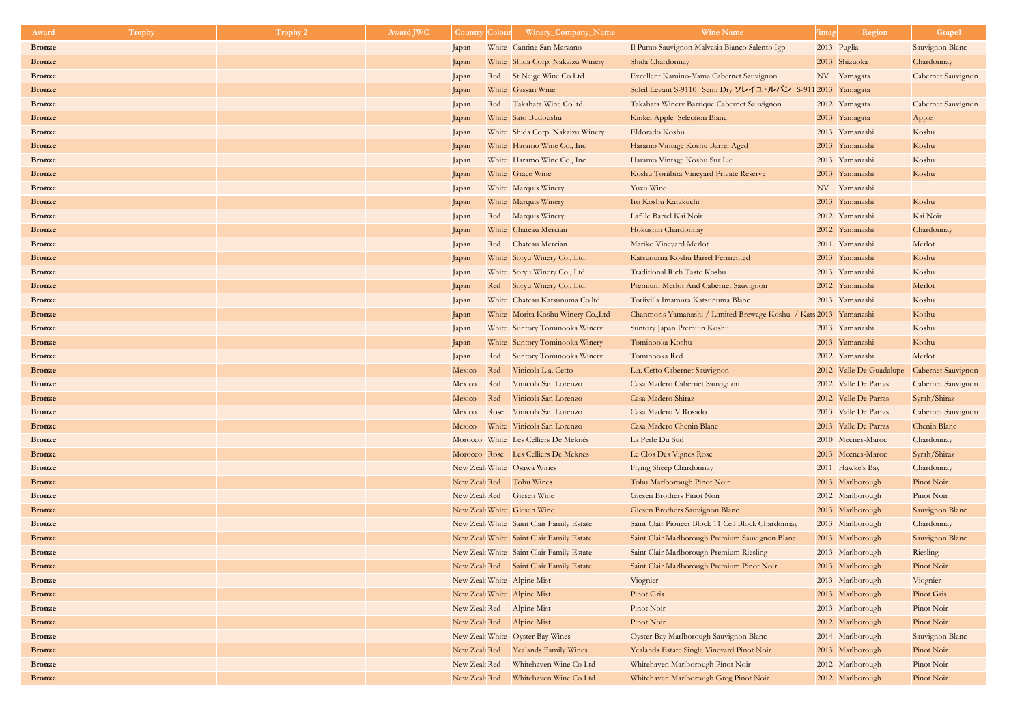| Award         | Trophy | Trophy 2 | <b>Award JWC</b> | <b>Country</b> | <b>Colour</b> | Winery_Company_Name                       | <b>Wine Name</b>                                                  | Region<br><i>l</i> intag                   | Grape1                    |
|---------------|--------|----------|------------------|----------------|---------------|-------------------------------------------|-------------------------------------------------------------------|--------------------------------------------|---------------------------|
| <b>Bronze</b> |        |          |                  | Japan          |               | White Cantine San Marzano                 | Il Pumo Sauvignon Malvasia Bianco Salento Igp                     | 2013 Puglia                                | Sauvignon Blanc           |
| <b>Bronze</b> |        |          |                  | Japan          |               | White Shida Corp. Nakaizu Winery          | Shida Chardonnay                                                  | 2013 Shizuoka                              | Chardonnay                |
| <b>Bronze</b> |        |          |                  | Japan          |               | Red St Neige Wine Co Ltd                  | Excellent Kamino-Yama Cabernet Sauvignon                          | NV Yamagata                                | <b>Cabernet Sauvignon</b> |
| <b>Bronze</b> |        |          |                  | Japan          |               | White Gassan Wine                         | Soleil Levant S-9110 Semi Dry ソレイユ・ルバン S-911 2013 Yamagata        |                                            |                           |
| <b>Bronze</b> |        |          |                  | Japan          |               | Red Takahata Wine Co.ltd.                 | Takahata Winery Barrique Cabernet Sauvignon                       | 2012 Yamagata                              | Cabernet Sauvignon        |
| <b>Bronze</b> |        |          |                  | Japan          |               | White Sato Budoushu                       | Kinkei Apple Selection Blanc                                      | 2013 Yamagata                              | Apple                     |
| <b>Bronze</b> |        |          |                  | Japan          |               | White Shida Corp. Nakaizu Winery          | Eldorado Koshu                                                    | 2013 Yamanashi                             | Koshu                     |
| <b>Bronze</b> |        |          |                  | Japan          |               | White Haramo Wine Co., Inc                | Haramo Vintage Koshu Barrel Aged                                  | 2013 Yamanashi                             | Koshu                     |
| <b>Bronze</b> |        |          |                  | Japan          |               | White Haramo Wine Co., Inc.               | Haramo Vintage Koshu Sur Lie                                      | 2013 Yamanashi                             | Koshu                     |
| <b>Bronze</b> |        |          |                  | Japan          |               | White Grace Wine                          | Koshu Toriibira Vineyard Private Reserve                          | 2013 Yamanashi                             | Koshu                     |
| <b>Bronze</b> |        |          |                  | Japan          |               | White Marquis Winery                      | Yuzu Wine                                                         | NV Yamanashi                               |                           |
| <b>Bronze</b> |        |          |                  | Japan          |               | White Marquis Winery                      | Iro Koshu Karakuchi                                               | 2013 Yamanashi                             | Koshu                     |
| <b>Bronze</b> |        |          |                  | Japan          |               | Red Marquis Winery                        | Lafille Barrel Kai Noir                                           | 2012 Yamanashi                             | Kai Noir                  |
| <b>Bronze</b> |        |          |                  | Japan          |               | White Chateau Mercian                     | Hokushin Chardonnay                                               | 2012 Yamanashi                             | Chardonnay                |
| <b>Bronze</b> |        |          |                  | Japan          |               | Red Chateau Mercian                       | Mariko Vineyard Merlot                                            | 2011 Yamanashi                             | Merlot                    |
| <b>Bronze</b> |        |          |                  | Japan          |               | White Soryu Winery Co., Ltd.              | Katsunuma Koshu Barrel Fermented                                  | 2013 Yamanashi                             | Koshu                     |
| <b>Bronze</b> |        |          |                  | Japan          |               | White Soryu Winery Co., Ltd.              | Traditional Rich Taste Koshu                                      | 2013 Yamanashi                             | Koshu                     |
| <b>Bronze</b> |        |          |                  | Japan          |               | Red Soryu Winery Co., Ltd.                | Premium Merlot And Cabernet Sauvignon                             | 2012 Yamanashi                             | Merlot                    |
| <b>Bronze</b> |        |          |                  | Japan          |               | White Chateau Katsunuma Co.ltd.           | Toriivilla Imamura Katsunuma Blanc                                | 2013 Yamanashi                             | Koshu                     |
| <b>Bronze</b> |        |          |                  | Japan          |               | White Morita Koshu Winery Co., Ltd        | Chanmoris Yamanashi / Limited Brewage Koshu / Kats 2013 Yamanashi |                                            | Koshu                     |
| <b>Bronze</b> |        |          |                  | Japan          |               | White Suntory Tominooka Winery            | Suntory Japan Premiun Koshu                                       | 2013 Yamanashi                             | Koshu                     |
| <b>Bronze</b> |        |          |                  | Japan          |               | White Suntory Tominooka Winery            | Tominooka Koshu                                                   | 2013 Yamanashi                             | Koshu                     |
| <b>Bronze</b> |        |          |                  | Japan          | Red           | Suntory Tominooka Winery                  | Tominooka Red                                                     | 2012 Yamanashi                             | Merlot                    |
| <b>Bronze</b> |        |          |                  | Mexico Red     |               | Vinicola L.a. Cetto                       | L.a. Cetto Cabernet Sauvignon                                     | 2012 Valle De Guadalupe Cabernet Sauvignon |                           |
| <b>Bronze</b> |        |          |                  | Mexico         | Red           | Vinicola San Lorenzo                      | Casa Madero Cabernet Sauvignon                                    | 2012 Valle De Parras                       | Cabernet Sauvignon        |
| <b>Bronze</b> |        |          |                  | Mexico         | Red           | Vinicola San Lorenzo                      | Casa Madero Shiraz                                                | 2012 Valle De Parras                       | Syrah/Shiraz              |
| <b>Bronze</b> |        |          |                  | Mexico         |               | Rose Vinicola San Lorenzo                 | Casa Madero V Rosado                                              | 2013 Valle De Parras                       | Cabernet Sauvignon        |
| <b>Bronze</b> |        |          |                  |                |               | Mexico White Vinicola San Lorenzo         | Casa Madero Chenin Blanc                                          | 2013 Valle De Parras                       | Chenin Blanc              |
| <b>Bronze</b> |        |          |                  |                |               | Morocco White Les Celliers De Meknès      | La Perle Du Sud                                                   | 2010 Mecnes-Maroc                          | Chardonnay                |
| <b>Bronze</b> |        |          |                  |                |               | Morocco Rose Les Celliers De Meknès       | Le Clos Des Vignes Rose                                           | 2013 Mecnes-Maroc                          | Syrah/Shiraz              |
| <b>Bronze</b> |        |          |                  |                |               | New Zeal: White Osawa Wines               | Flying Sheep Chardonnay                                           | 2011 Hawke's Bay                           | Chardonnay                |
| <b>Bronze</b> |        |          |                  |                |               | New Zeal: Red Tohu Wines                  | Tohu Marlborough Pinot Noir                                       | 2013 Marlborough                           | Pinot Noir                |
| <b>Bronze</b> |        |          |                  |                |               | New Zeal: Red Giesen Wine                 | Giesen Brothers Pinot Noir                                        | 2012 Marlborough                           | Pinot Noir                |
| <b>Bronze</b> |        |          |                  |                |               | New Zeal: White Giesen Wine               | Giesen Brothers Sauvignon Blanc                                   | 2013 Marlborough                           | Sauvignon Blanc           |
| <b>Bronze</b> |        |          |                  |                |               | New Zeal: White Saint Clair Family Estate | Saint Clair Pioneer Block 11 Cell Block Chardonnay                | 2013 Marlborough                           | Chardonnay                |
| <b>Bronze</b> |        |          |                  |                |               | New Zeal: White Saint Clair Family Estate | Saint Clair Marlborough Premium Sauvignon Blanc                   | 2013 Marlborough                           | Sauvignon Blanc           |
| <b>Bronze</b> |        |          |                  |                |               | New Zeal: White Saint Clair Family Estate | Saint Clair Marlborough Premium Riesling                          | 2013 Marlborough                           | Riesling                  |
| <b>Bronze</b> |        |          |                  |                |               | New Zeal: Red Saint Clair Family Estate   | Saint Clair Marlborough Premium Pinot Noir                        | 2013 Marlborough                           | Pinot Noir                |
| <b>Bronze</b> |        |          |                  |                |               | New Zeal: White Alpine Mist               | Viognier                                                          | 2013 Marlborough                           | Viognier                  |
| <b>Bronze</b> |        |          |                  |                |               | New Zeal: White Alpine Mist               | Pinot Gris                                                        | 2013 Marlborough                           | Pinot Gris                |
| <b>Bronze</b> |        |          |                  |                |               | New Zeal: Red Alpine Mist                 | Pinot Noir                                                        | 2013 Marlborough                           | Pinot Noir                |
| <b>Bronze</b> |        |          |                  |                |               | New Zeal: Red Alpine Mist                 | Pinot Noir                                                        | 2012 Marlborough                           | Pinot Noir                |
| <b>Bronze</b> |        |          |                  |                |               | New Zeal: White Oyster Bay Wines          | Oyster Bay Marlborough Sauvignon Blanc                            | 2014 Marlborough                           | Sauvignon Blanc           |
| <b>Bronze</b> |        |          |                  |                |               | New Zeal: Red Yealands Family Wines       | Yealands Estate Single Vineyard Pinot Noir                        | 2013 Marlborough                           | Pinot Noir                |
| <b>Bronze</b> |        |          |                  | New Zeak Red   |               | Whitehaven Wine Co Ltd                    | Whitehaven Marlborough Pinot Noir                                 | 2012 Marlborough                           | Pinot Noir                |
| <b>Bronze</b> |        |          |                  | New Zeak Red   |               | Whitehaven Wine Co Ltd                    | Whitehaven Marlborough Greg Pinot Noir                            | 2012 Marlborough                           | Pinot Noir                |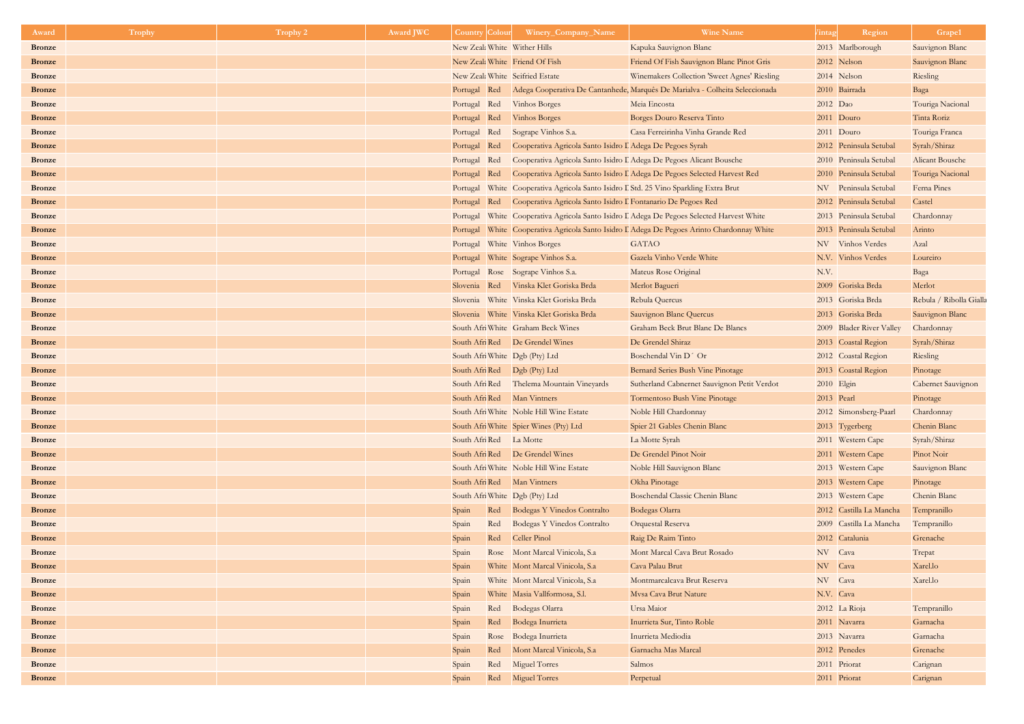| Award         | Trophy | Trophy 2 | <b>Award JWC</b> | <b>Country Colour</b>   |     | Winery_Company_Name                                                                  | <b>Wine Name</b>                                                                           | <i>l</i> intag | Region                   | Grape1                  |
|---------------|--------|----------|------------------|-------------------------|-----|--------------------------------------------------------------------------------------|--------------------------------------------------------------------------------------------|----------------|--------------------------|-------------------------|
| <b>Bronze</b> |        |          |                  |                         |     | New Zeal: White Wither Hills                                                         | Kapuka Sauvignon Blanc                                                                     |                | 2013 Marlborough         | Sauvignon Blanc         |
| <b>Bronze</b> |        |          |                  |                         |     | New Zeal: White Friend Of Fish                                                       | Friend Of Fish Sauvignon Blanc Pinot Gris                                                  |                | 2012 Nelson              | Sauvignon Blanc         |
| <b>Bronze</b> |        |          |                  |                         |     | New Zeal: White Seifried Estate                                                      | Winemakers Collection 'Sweet Agnes' Riesling                                               |                | 2014 Nelson              | Riesling                |
| <b>Bronze</b> |        |          |                  | Portugal Red            |     |                                                                                      | Adega Cooperativa De Cantanhede, Marquês De Marialva - Colheita Seleccionada               |                | 2010 Bairrada            | Baga                    |
| <b>Bronze</b> |        |          |                  | Portugal Red            |     | <b>Vinhos Borges</b>                                                                 | Meia Encosta                                                                               | 2012 Dao       |                          | Touriga Nacional        |
| <b>Bronze</b> |        |          |                  | Portugal Red            |     | Vinhos Borges                                                                        | Borges Douro Reserva Tinto                                                                 | 2011 Douro     |                          | Tinta Roriz             |
| <b>Bronze</b> |        |          |                  | Portugal Red            |     | Sogrape Vinhos S.a.                                                                  | Casa Ferreirinha Vinha Grande Red                                                          |                | 2011 Douro               | Touriga Franca          |
| <b>Bronze</b> |        |          |                  | Portugal Red            |     | Cooperativa Agricola Santo Isidro I Adega De Pegoes Syrah                            |                                                                                            |                | 2012 Peninsula Setubal   | Syrah/Shiraz            |
| <b>Bronze</b> |        |          |                  | Portugal Red            |     |                                                                                      | Cooperativa Agricola Santo Isidro I Adega De Pegoes Alicant Bousche                        |                | 2010 Peninsula Setubal   | <b>Alicant Bousche</b>  |
| <b>Bronze</b> |        |          |                  | Portugal Red            |     |                                                                                      | Cooperativa Agricola Santo Isidro I Adega De Pegoes Selected Harvest Red                   |                | 2010 Peninsula Setubal   | Touriga Nacional        |
| <b>Bronze</b> |        |          |                  |                         |     | Portugal White Cooperativa Agricola Santo Isidro I Std. 25 Vino Sparkling Extra Brut |                                                                                            |                | NV Peninsula Setubal     | Ferna Pines             |
| <b>Bronze</b> |        |          |                  | Portugal                |     | Red Cooperativa Agricola Santo Isidro I Fontanario De Pegoes Red                     |                                                                                            |                | 2012 Peninsula Setubal   | Castel                  |
| <b>Bronze</b> |        |          |                  | Portugal                |     |                                                                                      | White Cooperativa Agricola Santo Isidro I Adega De Pegoes Selected Harvest White           |                | 2013 Peninsula Setubal   | Chardonnay              |
| <b>Bronze</b> |        |          |                  |                         |     |                                                                                      | Portugal White Cooperativa Agricola Santo Isidro I Adega De Pegoes Arinto Chardonnay White |                | 2013 Peninsula Setubal   | Arinto                  |
| <b>Bronze</b> |        |          |                  |                         |     | Portugal White Vinhos Borges                                                         | <b>GATAO</b>                                                                               |                | NV Vinhos Verdes         | Azal                    |
| <b>Bronze</b> |        |          |                  |                         |     | Portugal White Sogrape Vinhos S.a.                                                   | Gazela Vinho Verde White                                                                   |                | N.V. Vinhos Verdes       | Loureiro                |
| <b>Bronze</b> |        |          |                  |                         |     | Portugal Rose Sogrape Vinhos S.a.                                                    | Mateus Rose Original                                                                       | N.V.           |                          | Baga                    |
| <b>Bronze</b> |        |          |                  |                         |     | Slovenia Red Vinska Klet Goriska Brda                                                | Merlot Bagueri                                                                             |                | 2009 Goriska Brda        | Merlot                  |
| <b>Bronze</b> |        |          |                  |                         |     | Slovenia White Vinska Klet Goriska Brda                                              | Rebula Quercus                                                                             |                | 2013 Goriska Brda        | Rebula / Ribolla Gialla |
| <b>Bronze</b> |        |          |                  |                         |     | Slovenia White Vinska Klet Goriska Brda                                              | Sauvignon Blanc Quercus                                                                    |                | 2013 Goriska Brda        | Sauvignon Blanc         |
| <b>Bronze</b> |        |          |                  |                         |     | South Afri White Graham Beck Wines                                                   | Graham Beck Brut Blanc De Blancs                                                           |                | 2009 Blader River Valley | Chardonnay              |
| <b>Bronze</b> |        |          |                  |                         |     | South Afri Red De Grendel Wines                                                      | De Grendel Shiraz                                                                          |                | 2013 Coastal Region      | Syrah/Shiraz            |
| <b>Bronze</b> |        |          |                  |                         |     | South Afri White Dgb (Pty) Ltd                                                       | Boschendal Vin D' Or                                                                       |                | 2012 Coastal Region      | Riesling                |
| <b>Bronze</b> |        |          |                  |                         |     | South Afri Red    Dgb (Pty) Ltd                                                      | Bernard Series Bush Vine Pinotage                                                          |                | 2013 Coastal Region      | Pinotage                |
| <b>Bronze</b> |        |          |                  | South Afri Red          |     | Thelema Mountain Vineyards                                                           | Sutherland Cabnernet Sauvignon Petit Verdot                                                | 2010 Elgin     |                          | Cabernet Sauvignon      |
| <b>Bronze</b> |        |          |                  |                         |     | South Afri Red Man Vintners                                                          | Tormentoso Bush Vine Pinotage                                                              | 2013 Pearl     |                          | Pinotage                |
| <b>Bronze</b> |        |          |                  |                         |     | South Afri White Noble Hill Wine Estate                                              | Noble Hill Chardonnay                                                                      |                | 2012 Simonsberg-Paarl    | Chardonnay              |
| <b>Bronze</b> |        |          |                  |                         |     | South Afri White Spier Wines (Pty) Ltd                                               | Spier 21 Gables Chenin Blanc                                                               |                | 2013 Tygerberg           | Chenin Blanc            |
| <b>Bronze</b> |        |          |                  | South Afri Red La Motte |     |                                                                                      | La Motte Syrah                                                                             |                | 2011 Western Cape        | Syrah/Shiraz            |
| <b>Bronze</b> |        |          |                  |                         |     | South Afri Red De Grendel Wines                                                      | De Grendel Pinot Noir                                                                      |                | 2011 Western Cape        | Pinot Noir              |
| <b>Bronze</b> |        |          |                  |                         |     | South Afri White Noble Hill Wine Estate                                              | Noble Hill Sauvignon Blanc                                                                 |                | 2013 Western Cape        | Sauvignon Blanc         |
| <b>Bronze</b> |        |          |                  |                         |     | South Afri Red Man Vintners                                                          | Okha Pinotage                                                                              |                | 2013 Western Cape        | Pinotage                |
| <b>Bronze</b> |        |          |                  |                         |     | South Afri White   Dgb (Pty) Ltd                                                     | Boschendal Classic Chenin Blanc                                                            |                | 2013 Western Cape        | Chenin Blanc            |
| <b>Bronze</b> |        |          |                  | Spain                   | Red | Bodegas Y Vinedos Contralto                                                          | Bodegas Olarra                                                                             |                | 2012 Castilla La Mancha  | Tempranillo             |
| <b>Bronze</b> |        |          |                  | Spain                   | Red | Bodegas Y Vinedos Contralto                                                          | Orquestal Reserva                                                                          |                | 2009 Castilla La Mancha  | Tempranillo             |
| <b>Bronze</b> |        |          |                  | Spain                   | Red | Celler Pinol                                                                         | Raig De Raim Tinto                                                                         |                | 2012 Catalunia           | Grenache                |
| <b>Bronze</b> |        |          |                  | Spain                   |     | Rose Mont Marcal Vinicola, S.a                                                       | Mont Marcal Cava Brut Rosado                                                               | NV Cava        |                          | Trepat                  |
| <b>Bronze</b> |        |          |                  | Spain                   |     | White Mont Marcal Vinicola, S.a                                                      | Cava Palau Brut                                                                            | NV Cava        |                          | Xarel.lo                |
| <b>Bronze</b> |        |          |                  | Spain                   |     | White Mont Marcal Vinicola, S.a                                                      | Montmarcalcava Brut Reserva                                                                | NV Cava        |                          | Xarel.lo                |
| <b>Bronze</b> |        |          |                  | Spain                   |     | White Masia Vallformosa, S.l.                                                        | Mvsa Cava Brut Nature                                                                      | N.V. Cava      |                          |                         |
| <b>Bronze</b> |        |          |                  | Spain                   | Red | Bodegas Olarra                                                                       | Ursa Maior                                                                                 |                | 2012 La Rioja            | Tempranillo             |
| <b>Bronze</b> |        |          |                  | Spain                   | Red | Bodega Inurrieta                                                                     | Inurrieta Sur, Tinto Roble                                                                 |                | 2011 Navarra             | Garnacha                |
| <b>Bronze</b> |        |          |                  | Spain                   |     | Rose Bodega Inurrieta                                                                | Inurrieta Mediodia                                                                         |                | 2013 Navarra             | Garnacha                |
| <b>Bronze</b> |        |          |                  | Spain                   | Red | Mont Marcal Vinicola, S.a                                                            | Garnacha Mas Marcal                                                                        |                | 2012 Penedes             | Grenache                |
| <b>Bronze</b> |        |          |                  | Spain                   | Red | Miguel Torres                                                                        | Salmos                                                                                     | 2011 Priorat   |                          | Carignan                |
| <b>Bronze</b> |        |          |                  | Spain                   |     | Red Miguel Torres                                                                    | Perpetual                                                                                  | 2011 Priorat   |                          | Carignan                |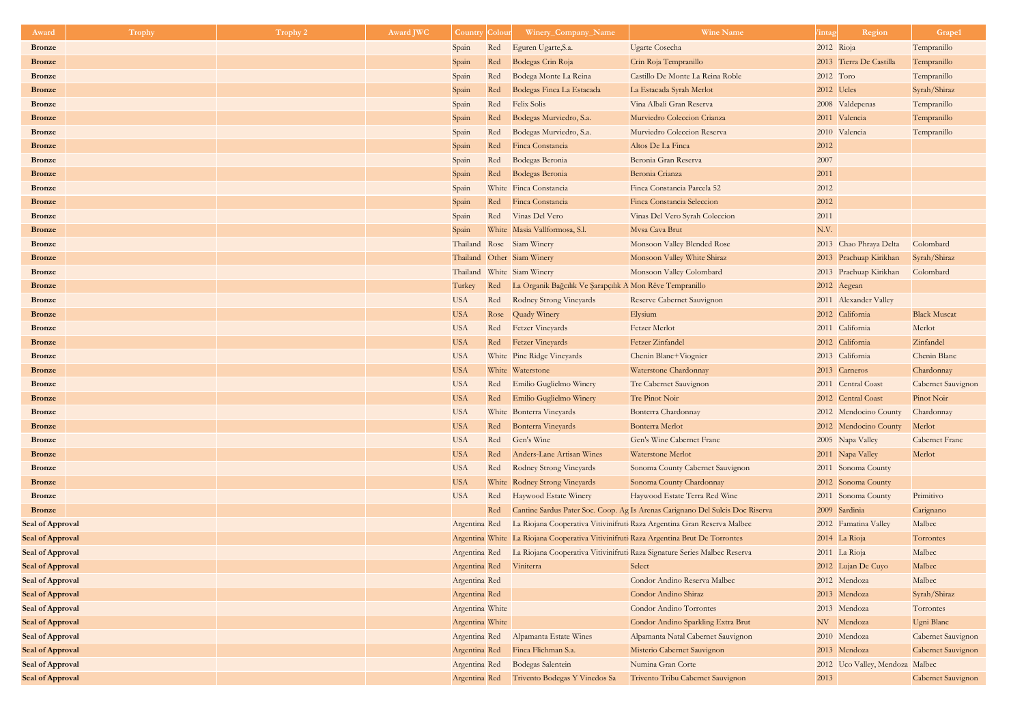| Award                                | Trophy | Trophy 2 | <b>Award JWC</b> | <b>Country</b>                 |      | Winery_Company_Name                                                                   | <b>Wine Name</b>                                                              | <i>l</i> intag | Region                          | Grape1                |
|--------------------------------------|--------|----------|------------------|--------------------------------|------|---------------------------------------------------------------------------------------|-------------------------------------------------------------------------------|----------------|---------------------------------|-----------------------|
| <b>Bronze</b>                        |        |          |                  | Spain                          | Red  | Eguren Ugarte, S.a.                                                                   | <b>Ugarte Cosecha</b>                                                         | 2012 Rioja     |                                 | Tempranillo           |
| <b>Bronze</b>                        |        |          |                  | Spain                          | Red  | Bodegas Crin Roja                                                                     | Crin Roja Tempranillo                                                         |                | 2013 Tierra De Castilla         | Tempranillo           |
| <b>Bronze</b>                        |        |          |                  | Spain                          | Red  | Bodega Monte La Reina                                                                 | Castillo De Monte La Reina Roble                                              | 2012 Toro      |                                 | Tempranillo           |
| <b>Bronze</b>                        |        |          |                  | Spain                          | Red  | Bodegas Finca La Estacada                                                             | La Estacada Syrah Merlot                                                      | 2012 Ucles     |                                 | Syrah/Shiraz          |
| <b>Bronze</b>                        |        |          |                  | Spain                          | Red  | <b>Felix Solis</b>                                                                    | Vina Albali Gran Reserva                                                      |                | 2008 Valdepenas                 | Tempranillo           |
| <b>Bronze</b>                        |        |          |                  | Spain                          | Red  | Bodegas Murviedro, S.a.                                                               | Murviedro Coleccion Crianza                                                   |                | 2011 Valencia                   | Tempranillo           |
| <b>Bronze</b>                        |        |          |                  | Spain                          | Red  | Bodegas Murviedro, S.a.                                                               | Murviedro Coleccion Reserva                                                   |                | 2010 Valencia                   | Tempranillo           |
| <b>Bronze</b>                        |        |          |                  | Spain                          | Red  | Finca Constancia                                                                      | Altos De La Finca                                                             | 2012           |                                 |                       |
| <b>Bronze</b>                        |        |          |                  | Spain                          | Red  | Bodegas Beronia                                                                       | Beronia Gran Reserva                                                          | 2007           |                                 |                       |
| <b>Bronze</b>                        |        |          |                  | Spain                          | Red  | Bodegas Beronia                                                                       | Beronia Crianza                                                               | 2011           |                                 |                       |
| <b>Bronze</b>                        |        |          |                  | Spain                          |      | White Finca Constancia                                                                | Finca Constancia Parcela 52                                                   | 2012           |                                 |                       |
| <b>Bronze</b>                        |        |          |                  | Spain                          | Red  | Finca Constancia                                                                      | Finca Constancia Seleccion                                                    | 2012           |                                 |                       |
| <b>Bronze</b>                        |        |          |                  | Spain                          | Red  | Vinas Del Vero                                                                        | Vinas Del Vero Syrah Coleccion                                                | 2011           |                                 |                       |
| <b>Bronze</b>                        |        |          |                  | Spain                          |      | White Masia Vallformosa, S.l.                                                         | Mvsa Cava Brut                                                                | N.V.           |                                 |                       |
| <b>Bronze</b>                        |        |          |                  |                                |      | Thailand Rose Siam Winery                                                             | Monsoon Valley Blended Rose                                                   |                | 2013 Chao Phraya Delta          | Colombard             |
| <b>Bronze</b>                        |        |          |                  |                                |      | Thailand Other Siam Winery                                                            | Monsoon Valley White Shiraz                                                   |                | 2013 Prachuap Kirikhan          | Syrah/Shiraz          |
| <b>Bronze</b>                        |        |          |                  |                                |      | Thailand White Siam Winery                                                            | Monsoon Valley Colombard                                                      |                | 2013 Prachuap Kirikhan          | Colombard             |
| <b>Bronze</b>                        |        |          |                  | Turkey                         | Red  | La Organik Bağcılık Ve Şarapçılık A Mon Rêve Tempranillo                              |                                                                               |                | 2012 Aegean                     |                       |
| <b>Bronze</b>                        |        |          |                  | <b>USA</b>                     | Red  | Rodney Strong Vineyards                                                               | Reserve Cabernet Sauvignon                                                    |                | 2011 Alexander Valley           |                       |
| <b>Bronze</b>                        |        |          |                  | <b>USA</b>                     | Rose | Quady Winery                                                                          | Elysium                                                                       |                | 2012 California                 | <b>Black Muscat</b>   |
| <b>Bronze</b>                        |        |          |                  | <b>USA</b>                     | Red  | <b>Fetzer Vineyards</b>                                                               | <b>Fetzer Merlot</b>                                                          |                | 2011 California                 | Merlot                |
| <b>Bronze</b>                        |        |          |                  | <b>USA</b>                     | Red  | <b>Fetzer Vineyards</b>                                                               | Fetzer Zinfandel                                                              |                | 2012 California                 | Zinfandel             |
| <b>Bronze</b>                        |        |          |                  | <b>USA</b>                     |      | White Pine Ridge Vineyards                                                            | Chenin Blanc+Viognier                                                         |                | 2013 California                 | Chenin Blanc          |
| <b>Bronze</b>                        |        |          |                  | <b>USA</b>                     |      | White Waterstone                                                                      | Waterstone Chardonnay                                                         |                | 2013 Carneros                   | Chardonnay            |
| <b>Bronze</b>                        |        |          |                  | <b>USA</b>                     | Red  | Emilio Guglielmo Winery                                                               | Tre Cabernet Sauvignon                                                        |                | 2011 Central Coast              | Cabernet Sauvignon    |
| <b>Bronze</b>                        |        |          |                  | <b>USA</b>                     | Red  | Emilio Guglielmo Winery                                                               | Tre Pinot Noir                                                                |                | 2012 Central Coast              | Pinot Noir            |
| <b>Bronze</b>                        |        |          |                  | <b>USA</b>                     |      | White Bonterra Vineyards                                                              | Bonterra Chardonnay                                                           |                | 2012 Mendocino County           | Chardonnay            |
| <b>Bronze</b>                        |        |          |                  | <b>USA</b>                     | Red  | Bonterra Vineyards                                                                    | Bonterra Merlot                                                               |                | 2012 Mendocino County           | Merlot                |
| <b>Bronze</b>                        |        |          |                  | <b>USA</b>                     | Red  | Gen's Wine                                                                            | Gen's Wine Cabernet Franc                                                     |                | 2005 Napa Valley                | <b>Cabernet Franc</b> |
| <b>Bronze</b>                        |        |          |                  | <b>USA</b>                     | Red  | Anders-Lane Artisan Wines                                                             | Waterstone Merlot                                                             |                | 2011 Napa Valley                | Merlot                |
| <b>Bronze</b>                        |        |          |                  | <b>USA</b>                     | Red  | Rodney Strong Vineyards                                                               | Sonoma County Cabernet Sauvignon                                              |                | 2011 Sonoma County              |                       |
| <b>Bronze</b>                        |        |          |                  | <b>USA</b>                     |      | White Rodney Strong Vineyards                                                         | Sonoma County Chardonnay                                                      |                | 2012 Sonoma County              |                       |
| <b>Bronze</b>                        |        |          |                  | <b>USA</b>                     | Red  | Haywood Estate Winery                                                                 | Haywood Estate Terra Red Wine                                                 |                | 2011 Sonoma County              | Primitivo             |
| <b>Bronze</b>                        |        |          |                  |                                | Red  |                                                                                       | Cantine Sardus Pater Soc. Coop. Ag Is Arenas Carignano Del Sulcis Doc Riserva |                | 2009 Sardinia                   | Carignano             |
| Seal of Approval                     |        |          |                  | Argentina Red                  |      |                                                                                       | La Riojana Cooperativa Vitivinifruti Raza Argentina Gran Reserva Malbec       |                | 2012 Famatina Valley            | Malbec                |
| Seal of Approval                     |        |          |                  |                                |      | Argentina White La Riojana Cooperativa Vitivinifruti Raza Argentina Brut De Torrontes |                                                                               |                | 2014 La Rioja                   | Torrontes             |
| Seal of Approval                     |        |          |                  | Argentina Red                  |      |                                                                                       | La Riojana Cooperativa Vitivinifruti Raza Signature Series Malbec Reserva     |                | 2011 La Rioja                   | Malbec                |
| <b>Seal of Approval</b>              |        |          |                  | Argentina Red                  |      | Viniterra                                                                             | Select                                                                        |                | 2012 Lujan De Cuyo              | Malbec                |
| Seal of Approval                     |        |          |                  | Argentina Red                  |      |                                                                                       | Condor Andino Reserva Malbec                                                  |                | 2012 Mendoza                    | Malbec                |
| Seal of Approval                     |        |          |                  | Argentina Red                  |      |                                                                                       | Condor Andino Shiraz                                                          |                | 2013 Mendoza                    | Syrah/Shiraz          |
| Seal of Approval                     |        |          |                  | Argentina White                |      |                                                                                       | <b>Condor Andino Torrontes</b>                                                |                | 2013 Mendoza                    | Torrontes             |
| Seal of Approval                     |        |          |                  | Argentina White                |      |                                                                                       | Condor Andino Sparkling Extra Brut                                            |                | NV Mendoza                      | Ugni Blanc            |
| Seal of Approval                     |        |          |                  | Argentina Red                  |      | Alpamanta Estate Wines                                                                | Alpamanta Natal Cabernet Sauvignon                                            |                | 2010 Mendoza                    | Cabernet Sauvignon    |
| Seal of Approval                     |        |          |                  | Argentina Red                  |      | Finca Flichman S.a.                                                                   | Misterio Cabernet Sauvignon<br>Numina Gran Corte                              |                | 2013 Mendoza                    | Cabernet Sauvignon    |
| Seal of Approval<br>Seal of Approval |        |          |                  | Argentina Red<br>Argentina Red |      | <b>Bodegas Salentein</b><br>Trivento Bodegas Y Vinedos Sa                             | Trivento Tribu Cabernet Sauvignon                                             | 2013           | 2012 Uco Valley, Mendoza Malbec | Cabernet Sauvignon    |
|                                      |        |          |                  |                                |      |                                                                                       |                                                                               |                |                                 |                       |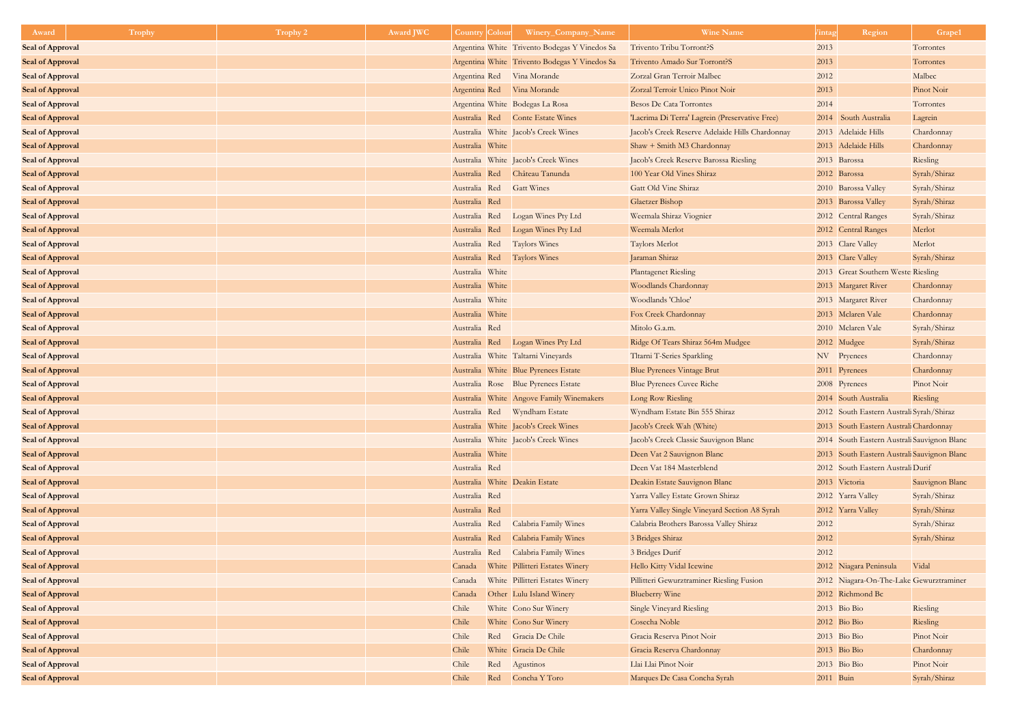| Award                   | Trophy | Trophy 2 | Award JWC | <b>Country Colour</b> | Winery_Company_Name                           | <b>Wine Name</b>                                | intag          | Region                                      | Grape1          |
|-------------------------|--------|----------|-----------|-----------------------|-----------------------------------------------|-------------------------------------------------|----------------|---------------------------------------------|-----------------|
| <b>Seal of Approval</b> |        |          |           |                       | Argentina White Trivento Bodegas Y Vinedos Sa | Trivento Tribu Torront?S                        | 2013           |                                             | Torrontes       |
| <b>Seal of Approval</b> |        |          |           |                       | Argentina White Trivento Bodegas Y Vinedos Sa | Trivento Amado Sur Torront?S                    | 2013           |                                             | Torrontes       |
| <b>Seal of Approval</b> |        |          |           |                       | Argentina Red Vina Morande                    | Zorzal Gran Terroir Malbec                      | 2012           |                                             | Malbec          |
| <b>Seal of Approval</b> |        |          |           |                       | Argentina Red Vina Morande                    | Zorzal Terroir Unico Pinot Noir                 | 2013           |                                             | Pinot Noir      |
| <b>Seal of Approval</b> |        |          |           |                       | Argentina White Bodegas La Rosa               | <b>Besos De Cata Torrontes</b>                  | 2014           |                                             | Torrontes       |
| <b>Seal of Approval</b> |        |          |           |                       | Australia Red Conte Estate Wines              | 'Lacrima Di Terra' Lagrein (Preservative Free)  |                | 2014 South Australia                        | Lagrein         |
| <b>Seal of Approval</b> |        |          |           |                       | Australia White Jacob's Creek Wines           | Jacob's Creek Reserve Adelaide Hills Chardonnay |                | 2013 Adelaide Hills                         | Chardonnay      |
| <b>Seal of Approval</b> |        |          |           | Australia White       |                                               | Shaw + Smith M3 Chardonnay                      |                | 2013 Adelaide Hills                         | Chardonnay      |
| <b>Seal of Approval</b> |        |          |           |                       | Australia White Jacob's Creek Wines           | Jacob's Creek Reserve Barossa Riesling          | 2013 Barossa   |                                             | Riesling        |
| <b>Seal of Approval</b> |        |          |           |                       | Australia Red Château Tanunda                 | 100 Year Old Vines Shiraz                       | 2012 Barossa   |                                             | Syrah/Shiraz    |
| <b>Seal of Approval</b> |        |          |           |                       | Australia Red Gatt Wines                      | Gatt Old Vine Shiraz                            |                | 2010 Barossa Valley                         | Syrah/Shiraz    |
| <b>Seal of Approval</b> |        |          |           | Australia Red         |                                               | Glaetzer Bishop                                 |                | 2013 Barossa Valley                         | Syrah/Shiraz    |
| <b>Seal of Approval</b> |        |          |           | Australia Red         | Logan Wines Pty Ltd                           | Weemala Shiraz Viognier                         |                | 2012 Central Ranges                         | Syrah/Shiraz    |
| <b>Seal of Approval</b> |        |          |           | Australia Red         | Logan Wines Pty Ltd                           | Weemala Merlot                                  |                | 2012 Central Ranges                         | Merlot          |
| <b>Seal of Approval</b> |        |          |           | Australia Red         | <b>Taylors Wines</b>                          | Taylors Merlot                                  |                | 2013 Clare Valley                           | Merlot          |
| <b>Seal of Approval</b> |        |          |           | Australia Red         | Taylors Wines                                 | Jaraman Shiraz                                  |                | 2013 Clare Valley                           | Syrah/Shiraz    |
| <b>Seal of Approval</b> |        |          |           | Australia White       |                                               | <b>Plantagenet Riesling</b>                     |                | 2013 Great Southern Weste Riesling          |                 |
| <b>Seal of Approval</b> |        |          |           | Australia White       |                                               | Woodlands Chardonnay                            |                | 2013 Margaret River                         | Chardonnay      |
| <b>Seal of Approval</b> |        |          |           | Australia White       |                                               | Woodlands 'Chloe'                               |                | 2013 Margaret River                         | Chardonnay      |
| <b>Seal of Approval</b> |        |          |           | Australia White       |                                               | Fox Creek Chardonnay                            |                | 2013 Mclaren Vale                           | Chardonnay      |
| <b>Seal of Approval</b> |        |          |           | Australia Red         |                                               | Mitolo G.a.m.                                   |                | 2010 Mclaren Vale                           | Syrah/Shiraz    |
| <b>Seal of Approval</b> |        |          |           |                       | Australia Red Logan Wines Pty Ltd             | Ridge Of Tears Shiraz 564m Mudgee               | 2012 Mudgee    |                                             | Syrah/Shiraz    |
| <b>Seal of Approval</b> |        |          |           |                       | Australia White Taltarni Vineyards            | Tltarni T-Series Sparkling                      | NV Pryenees    |                                             | Chardonnay      |
| <b>Seal of Approval</b> |        |          |           |                       | Australia White Blue Pyrenees Estate          | <b>Blue Pyrenees Vintage Brut</b>               | 2011 Pyrenees  |                                             | Chardonnay      |
| <b>Seal of Approval</b> |        |          |           |                       | Australia Rose Blue Pyrenees Estate           | <b>Blue Pyrenees Cuvee Riche</b>                | 2008 Pyrenees  |                                             | Pinot Noir      |
| <b>Seal of Approval</b> |        |          |           |                       | Australia White Angove Family Winemakers      | Long Row Riesling                               |                | 2014 South Australia                        | Riesling        |
| <b>Seal of Approval</b> |        |          |           |                       | Australia Red Wyndham Estate                  | Wyndham Estate Bin 555 Shiraz                   |                | 2012 South Eastern Australi Syrah/Shiraz    |                 |
| <b>Seal of Approval</b> |        |          |           |                       | Australia White Jacob's Creek Wines           | Jacob's Creek Wah (White)                       |                | 2013 South Eastern Australi Chardonnay      |                 |
| <b>Seal of Approval</b> |        |          |           |                       | Australia White Jacob's Creek Wines           | Jacob's Creek Classic Sauvignon Blanc           |                | 2014 South Eastern Australi Sauvignon Blanc |                 |
| <b>Seal of Approval</b> |        |          |           | Australia White       |                                               | Deen Vat 2 Sauvignon Blanc                      |                | 2013 South Eastern Australi Sauvignon Blanc |                 |
| <b>Seal of Approval</b> |        |          |           | Australia Red         |                                               | Deen Vat 184 Masterblend                        |                | 2012 South Eastern Australi Durif           |                 |
| <b>Seal of Approval</b> |        |          |           |                       | Australia White Deakin Estate                 | Deakin Estate Sauvignon Blanc                   | 2013 Victoria  |                                             | Sauvignon Blanc |
| <b>Seal of Approval</b> |        |          |           | Australia Red         |                                               | Yarra Valley Estate Grown Shiraz                |                | 2012 Yarra Valley                           | Syrah/Shiraz    |
| <b>Seal of Approval</b> |        |          |           | Australia Red         |                                               | Yarra Valley Single Vineyard Section A8 Syrah   |                | 2012 Yarra Valley                           | Syrah/Shiraz    |
| <b>Seal of Approval</b> |        |          |           | Australia Red         | Calabria Family Wines                         | Calabria Brothers Barossa Valley Shiraz         | 2012           |                                             | Syrah/Shiraz    |
| <b>Seal of Approval</b> |        |          |           | Australia Red         | Calabria Family Wines                         | 3 Bridges Shiraz                                | 2012           |                                             | Syrah/Shiraz    |
| <b>Seal of Approval</b> |        |          |           | Australia Red         | Calabria Family Wines                         | 3 Bridges Durif                                 | 2012           |                                             |                 |
| <b>Seal of Approval</b> |        |          |           | Canada                | White Pillitteri Estates Winery               | Hello Kitty Vidal Icewine                       |                | 2012 Niagara Peninsula                      | Vidal           |
| <b>Seal of Approval</b> |        |          |           | Canada                | White Pillitteri Estates Winery               | Pillitteri Gewurztraminer Riesling Fusion       |                | 2012 Niagara-On-The-Lake Gewurztraminer     |                 |
| <b>Seal of Approval</b> |        |          |           | Canada                | Other Lulu Island Winery                      | <b>Blueberry Wine</b>                           |                | 2012 Richmond Bc                            |                 |
| <b>Seal of Approval</b> |        |          |           | Chile                 | White Cono Sur Winery                         | <b>Single Vineyard Riesling</b>                 | 2013 Bio Bio   |                                             | Riesling        |
| <b>Seal of Approval</b> |        |          |           | Chile                 | White Cono Sur Winery                         | Cosecha Noble                                   | $2012$ Bio Bio |                                             | Riesling        |
| <b>Seal of Approval</b> |        |          |           | Chile                 | Red Gracia De Chile                           | Gracia Reserva Pinot Noir                       | 2013 Bio Bio   |                                             | Pinot Noir      |
| <b>Seal of Approval</b> |        |          |           | Chile                 | White Gracia De Chile                         | Gracia Reserva Chardonnay                       | $2013$ Bio Bio |                                             | Chardonnay      |
| <b>Seal of Approval</b> |        |          |           | Chile                 | Red<br>Agustinos                              | Llai Llai Pinot Noir                            | 2013 Bio Bio   |                                             | Pinot Noir      |
| <b>Seal of Approval</b> |        |          |           | Chile                 | Red Concha Y Toro                             | Marques De Casa Concha Syrah                    | 2011 Buin      |                                             | Syrah/Shiraz    |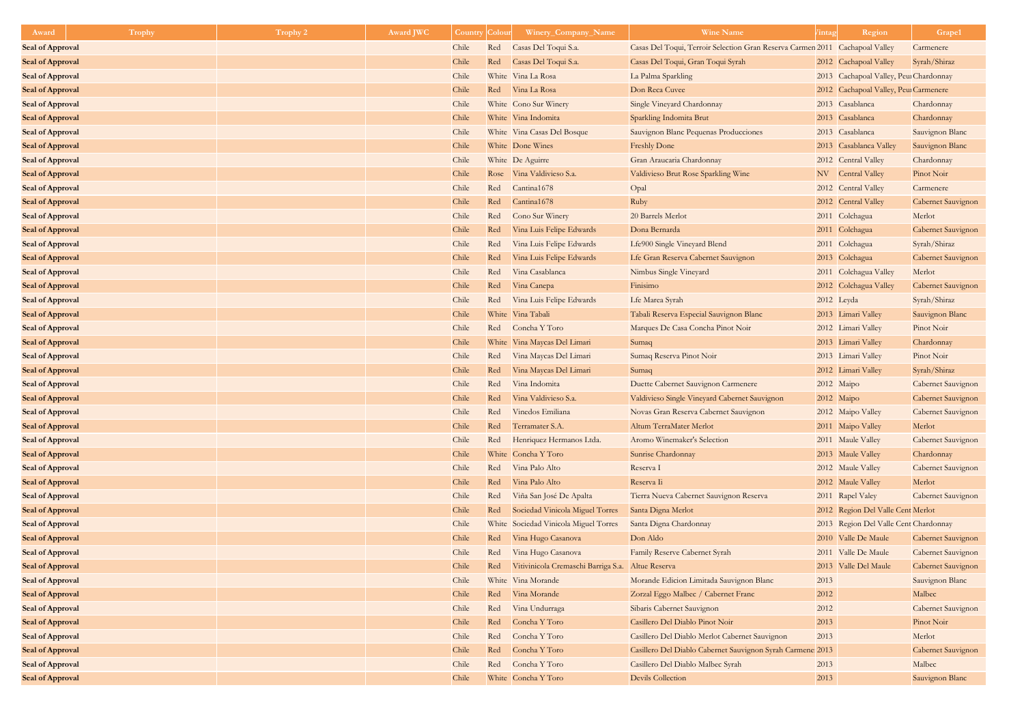| Award                   | <b>Trophy</b> | <b>Trophy 2</b> | <b>Award JWC</b> | <b>Country</b> | Colour | Winery_Company_Name                               | <b>Wine Name</b>                                                             | <sup>7</sup> intag | Region                                 | Grape1                    |
|-------------------------|---------------|-----------------|------------------|----------------|--------|---------------------------------------------------|------------------------------------------------------------------------------|--------------------|----------------------------------------|---------------------------|
| <b>Seal of Approval</b> |               |                 |                  | Chile          | Red    | Casas Del Toqui S.a.                              | Casas Del Toqui, Terroir Selection Gran Reserva Carmen 2011 Cachapoal Valley |                    |                                        | Carmenere                 |
| <b>Seal of Approval</b> |               |                 |                  | Chile          | Red    | Casas Del Toqui S.a.                              | Casas Del Toqui, Gran Toqui Syrah                                            |                    | 2012 Cachapoal Valley                  | Syrah/Shiraz              |
| <b>Seal of Approval</b> |               |                 |                  | Chile          |        | White Vina La Rosa                                | La Palma Sparkling                                                           |                    | 2013 Cachapoal Valley, Peur Chardonnay |                           |
| <b>Seal of Approval</b> |               |                 |                  | Chile          |        | Red Vina La Rosa                                  | Don Reca Cuvee                                                               |                    | 2012 Cachapoal Valley, Peu Carmenere   |                           |
| <b>Seal of Approval</b> |               |                 |                  | Chile          |        | White Cono Sur Winery                             | Single Vineyard Chardonnay                                                   |                    | 2013 Casablanca                        | Chardonnay                |
| <b>Seal of Approval</b> |               |                 |                  | Chile          |        | White Vina Indomita                               | Sparkling Indomita Brut                                                      |                    | 2013 Casablanca                        | Chardonnay                |
| <b>Seal of Approval</b> |               |                 |                  | Chile          |        | White Vina Casas Del Bosque                       | Sauvignon Blanc Pequenas Producciones                                        |                    | 2013 Casablanca                        | Sauvignon Blanc           |
| <b>Seal of Approval</b> |               |                 |                  | Chile          |        | White Done Wines                                  | <b>Freshly Done</b>                                                          |                    | 2013 Casablanca Valley                 | Sauvignon Blanc           |
| <b>Seal of Approval</b> |               |                 |                  | Chile          |        | White De Aguirre                                  | Gran Araucaria Chardonnay                                                    |                    | 2012 Central Valley                    | Chardonnay                |
| <b>Seal of Approval</b> |               |                 |                  | Chile          |        | Rose Vina Valdivieso S.a.                         | Valdivieso Brut Rose Sparkling Wine                                          |                    | NV Central Valley                      | Pinot Noir                |
| <b>Seal of Approval</b> |               |                 |                  | Chile          | Red    | Cantina1678                                       | Opal                                                                         |                    | 2012 Central Valley                    | Carmenere                 |
| <b>Seal of Approval</b> |               |                 |                  | Chile          | Red    | Cantina1678                                       | Ruby                                                                         |                    | 2012 Central Valley                    | Cabernet Sauvignon        |
| <b>Seal of Approval</b> |               |                 |                  | Chile          | Red    | Cono Sur Winery                                   | 20 Barrels Merlot                                                            |                    | 2011 Colchagua                         | Merlot                    |
| <b>Seal of Approval</b> |               |                 |                  | Chile          | Red    | Vina Luis Felipe Edwards                          | Dona Bernarda                                                                |                    | 2011 Colchagua                         | Cabernet Sauvignon        |
| <b>Seal of Approval</b> |               |                 |                  | Chile          | Red    | Vina Luis Felipe Edwards                          | Lfe900 Single Vineyard Blend                                                 |                    | 2011 Colchagua                         | Syrah/Shiraz              |
| <b>Seal of Approval</b> |               |                 |                  | Chile          | Red    | Vina Luis Felipe Edwards                          | Lfe Gran Reserva Cabernet Sauvignon                                          |                    | 2013 Colchagua                         | Cabernet Sauvignon        |
| <b>Seal of Approval</b> |               |                 |                  | Chile          | Red    | Vina Casablanca                                   | Nimbus Single Vineyard                                                       |                    | 2011 Colchagua Valley                  | Merlot                    |
| <b>Seal of Approval</b> |               |                 |                  | Chile          | Red    | Vina Canepa                                       | Finisimo                                                                     |                    | 2012 Colchagua Valley                  | Cabernet Sauvignon        |
| <b>Seal of Approval</b> |               |                 |                  | Chile          | Red    | Vina Luis Felipe Edwards                          | Lfe Marea Syrah                                                              |                    | 2012 Leyda                             | Syrah/Shiraz              |
| <b>Seal of Approval</b> |               |                 |                  | Chile          |        | White Vina Tabali                                 | Tabali Reserva Especial Sauvignon Blanc                                      |                    | 2013 Limari Valley                     | Sauvignon Blanc           |
| <b>Seal of Approval</b> |               |                 |                  | Chile          |        | Red Concha Y Toro                                 | Marques De Casa Concha Pinot Noir                                            |                    | 2012 Limari Valley                     | Pinot Noir                |
| <b>Seal of Approval</b> |               |                 |                  | Chile          |        | White Vina Maycas Del Limari                      | Sumaq                                                                        |                    | 2013 Limari Valley                     | Chardonnay                |
| <b>Seal of Approval</b> |               |                 |                  | Chile          | Red    | Vina Maycas Del Limari                            | Sumaq Reserva Pinot Noir                                                     |                    | 2013 Limari Valley                     | Pinot Noir                |
| <b>Seal of Approval</b> |               |                 |                  | Chile          | Red    | Vina Maycas Del Limari                            | Sumaq                                                                        |                    | 2012 Limari Valley                     | Syrah/Shiraz              |
| <b>Seal of Approval</b> |               |                 |                  | Chile          | Red    | Vina Indomita                                     | Duette Cabernet Sauvignon Carmenere                                          |                    | 2012 Maipo                             | <b>Cabernet Sauvignon</b> |
| <b>Seal of Approval</b> |               |                 |                  | Chile          | Red    | Vina Valdivieso S.a.                              | Valdivieso Single Vineyard Cabernet Sauvignon                                |                    | 2012 Maipo                             | Cabernet Sauvignon        |
| <b>Seal of Approval</b> |               |                 |                  | Chile          | Red    | Vinedos Emiliana                                  | Novas Gran Reserva Cabernet Sauvignon                                        |                    | 2012 Maipo Valley                      | <b>Cabernet Sauvignon</b> |
| <b>Seal of Approval</b> |               |                 |                  | Chile          | Red    | Terramater S.A.                                   | Altum TerraMater Merlot                                                      |                    | 2011 Maipo Valley                      | Merlot                    |
| <b>Seal of Approval</b> |               |                 |                  | Chile          | Red    | Henriquez Hermanos Ltda.                          | Aromo Winemaker's Selection                                                  |                    | 2011 Maule Valley                      | <b>Cabernet Sauvignon</b> |
| <b>Seal of Approval</b> |               |                 |                  | Chile          |        | White Concha Y Toro                               | Sunrise Chardonnay                                                           |                    | 2013 Maule Valley                      | Chardonnay                |
| <b>Seal of Approval</b> |               |                 |                  | Chile          | Red    | Vina Palo Alto                                    | Reserva I                                                                    |                    | 2012 Maule Valley                      | <b>Cabernet Sauvignon</b> |
| <b>Seal of Approval</b> |               |                 |                  | Chile          | Red    | Vina Palo Alto                                    | Reserva Ii                                                                   |                    | 2012 Maule Valley                      | Merlot                    |
| <b>Seal of Approval</b> |               |                 |                  | Chile          | Red    | Viña San José De Apalta                           | Tierra Nueva Cabernet Sauvignon Reserva                                      |                    | 2011 Rapel Valey                       | <b>Cabernet Sauvignon</b> |
| <b>Seal of Approval</b> |               |                 |                  | Chile          | Red    | Sociedad Vinicola Miguel Torres                   | Santa Digna Merlot                                                           |                    | 2012 Region Del Valle Cent Merlot      |                           |
| <b>Seal of Approval</b> |               |                 |                  | Chile          |        | White Sociedad Vinicola Miguel Torres             | Santa Digna Chardonnay                                                       |                    | 2013 Region Del Valle Cent Chardonnay  |                           |
| <b>Seal of Approval</b> |               |                 |                  | Chile          | Red    | Vina Hugo Casanova                                | Don Aldo                                                                     |                    | 2010 Valle De Maule                    | Cabernet Sauvignon        |
| <b>Seal of Approval</b> |               |                 |                  | Chile          | Red    | Vina Hugo Casanova                                | Family Reserve Cabernet Syrah                                                |                    | 2011 Valle De Maule                    | Cabernet Sauvignon        |
| <b>Seal of Approval</b> |               |                 |                  | Chile          | Red    | Vitivinicola Cremaschi Barriga S.a. Altue Reserva |                                                                              |                    | 2013 Valle Del Maule                   | Cabernet Sauvignon        |
| <b>Seal of Approval</b> |               |                 |                  | Chile          |        | White Vina Morande                                | Morande Edicion Limitada Sauvignon Blanc                                     | 2013               |                                        | Sauvignon Blanc           |
| <b>Seal of Approval</b> |               |                 |                  | Chile          | Red    | Vina Morande                                      | Zorzal Eggo Malbec / Cabernet Franc                                          | 2012               |                                        | Malbec                    |
| <b>Seal of Approval</b> |               |                 |                  | Chile          | Red    | Vina Undurraga                                    | Sibaris Cabernet Sauvignon                                                   | 2012               |                                        | <b>Cabernet Sauvignon</b> |
| <b>Seal of Approval</b> |               |                 |                  | Chile          | Red    | Concha Y Toro                                     | Casillero Del Diablo Pinot Noir                                              | 2013               |                                        | Pinot Noir                |
| <b>Seal of Approval</b> |               |                 |                  | Chile          | Red    | Concha Y Toro                                     | Casillero Del Diablo Merlot Cabernet Sauvignon                               | 2013               |                                        | Merlot                    |
| <b>Seal of Approval</b> |               |                 |                  | Chile          | Red    | Concha Y Toro                                     | Casillero Del Diablo Cabernet Sauvignon Syrah Carmene: 2013                  |                    |                                        | Cabernet Sauvignon        |
| <b>Seal of Approval</b> |               |                 |                  | Chile          |        | Red Concha Y Toro                                 | Casillero Del Diablo Malbec Syrah                                            | 2013               |                                        | Malbec                    |
| <b>Seal of Approval</b> |               |                 |                  | Chile          |        | White Concha Y Toro                               | <b>Devils Collection</b>                                                     | 2013               |                                        | Sauvignon Blanc           |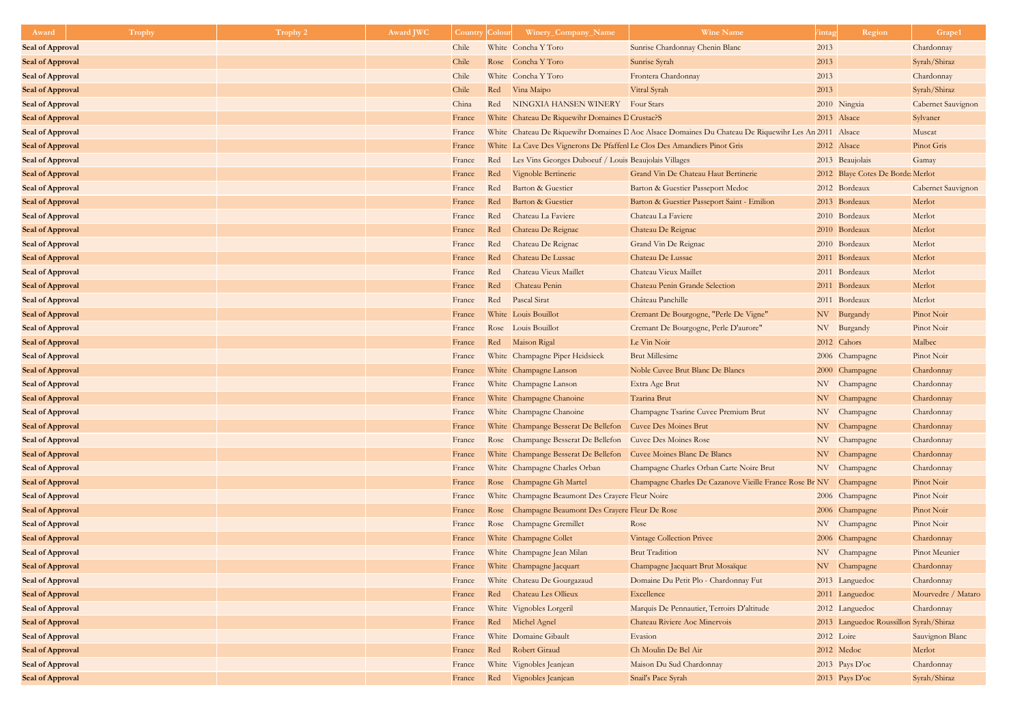| Award                   | Trophy | <b>Trophy 2</b> | <b>Award JWC</b> | Country | Colour | Winery_Company_Name                                                      | <b>Wine Name</b>                                                                                     | <sup>7</sup> intag | Region                                 | Grape1             |
|-------------------------|--------|-----------------|------------------|---------|--------|--------------------------------------------------------------------------|------------------------------------------------------------------------------------------------------|--------------------|----------------------------------------|--------------------|
| <b>Seal of Approval</b> |        |                 |                  | Chile   |        | White Concha Y Toro                                                      | Sunrise Chardonnay Chenin Blanc                                                                      | 2013               |                                        | Chardonnay         |
| <b>Seal of Approval</b> |        |                 |                  | Chile   |        | Rose Concha Y Toro                                                       | Sunrise Syrah                                                                                        | 2013               |                                        | Syrah/Shiraz       |
| <b>Seal of Approval</b> |        |                 |                  | Chile   |        | White Concha Y Toro                                                      | Frontera Chardonnay                                                                                  | 2013               |                                        | Chardonnay         |
| <b>Seal of Approval</b> |        |                 |                  | Chile   |        | Red Vina Maipo                                                           | Vitral Syrah                                                                                         | 2013               |                                        | Syrah/Shiraz       |
| <b>Seal of Approval</b> |        |                 |                  | China   | Red    | NINGXIA HANSEN WINERY                                                    | <b>Four Stars</b>                                                                                    |                    | 2010 Ningxia                           | Cabernet Sauvignon |
| <b>Seal of Approval</b> |        |                 |                  | France  |        | White Chateau De Riquewihr Domaines D Crustac?S                          |                                                                                                      |                    | 2013 Alsace                            | Sylvaner           |
| <b>Seal of Approval</b> |        |                 |                  | France  |        |                                                                          | White Chateau De Riquewihr Domaines D Aoc Alsace Domaines Du Chateau De Riquewihr Les An 2011 Alsace |                    |                                        | Muscat             |
| <b>Seal of Approval</b> |        |                 |                  | France  |        | White La Cave Des Vignerons De Pfaffenl Le Clos Des Amandiers Pinot Gris |                                                                                                      |                    | 2012 Alsace                            | Pinot Gris         |
| <b>Seal of Approval</b> |        |                 |                  | France  | Red    | Les Vins Georges Duboeuf / Louis Beaujolais Villages                     |                                                                                                      |                    | 2013 Beaujolais                        | Gamay              |
| <b>Seal of Approval</b> |        |                 |                  | France  | Red    | Vignoble Bertinerie                                                      | Grand Vin De Chateau Haut Bertinerie                                                                 |                    | 2012 Blaye Cotes De Borde Merlot       |                    |
| <b>Seal of Approval</b> |        |                 |                  | France  | Red    | Barton & Guestier                                                        | Barton & Guestier Passeport Medoc                                                                    |                    | 2012 Bordeaux                          | Cabernet Sauvignon |
| <b>Seal of Approval</b> |        |                 |                  | France  | Red    | Barton & Guestier                                                        | Barton & Guestier Passeport Saint - Emilion                                                          |                    | 2013 Bordeaux                          | Merlot             |
| <b>Seal of Approval</b> |        |                 |                  | France  | Red    | Chateau La Faviere                                                       | Chateau La Faviere                                                                                   |                    | 2010 Bordeaux                          | Merlot             |
| <b>Seal of Approval</b> |        |                 |                  | France  | Red    | Chateau De Reignac                                                       | Chateau De Reignac                                                                                   |                    | 2010 Bordeaux                          | Merlot             |
| <b>Seal of Approval</b> |        |                 |                  | France  | Red    | Chateau De Reignac                                                       | Grand Vin De Reignac                                                                                 |                    | 2010 Bordeaux                          | Merlot             |
| <b>Seal of Approval</b> |        |                 |                  | France  | Red    | Chateau De Lussac                                                        | Chateau De Lussac                                                                                    |                    | 2011 Bordeaux                          | Merlot             |
| <b>Seal of Approval</b> |        |                 |                  | France  | Red    | Chateau Vieux Maillet                                                    | Chateau Vieux Maillet                                                                                |                    | 2011 Bordeaux                          | Merlot             |
| <b>Seal of Approval</b> |        |                 |                  | France  | Red    | Chateau Penin                                                            | Chateau Penin Grande Selection                                                                       |                    | 2011 Bordeaux                          | Merlot             |
| <b>Seal of Approval</b> |        |                 |                  | France  | Red    | Pascal Sirat                                                             | Château Panchille                                                                                    |                    | 2011 Bordeaux                          | Merlot             |
| <b>Seal of Approval</b> |        |                 |                  | France  |        | White Louis Bouillot                                                     | Cremant De Bourgogne, "Perle De Vigne"                                                               |                    | NV Burgandy                            | Pinot Noir         |
| <b>Seal of Approval</b> |        |                 |                  | France  |        | Rose Louis Bouillot                                                      | Cremant De Bourgogne, Perle D'aurore"                                                                |                    | NV Burgandy                            | Pinot Noir         |
| <b>Seal of Approval</b> |        |                 |                  | France  |        | Red Maison Rigal                                                         | Le Vin Noir                                                                                          |                    | 2012 Cahors                            | Malbec             |
| <b>Seal of Approval</b> |        |                 |                  | France  |        | White Champagne Piper Heidsieck                                          | <b>Brut Millesime</b>                                                                                |                    | 2006 Champagne                         | Pinot Noir         |
| <b>Seal of Approval</b> |        |                 |                  | France  |        | White Champagne Lanson                                                   | Noble Cuvee Brut Blanc De Blancs                                                                     |                    | 2000 Champagne                         | Chardonnay         |
| <b>Seal of Approval</b> |        |                 |                  | France  |        | White Champagne Lanson                                                   | Extra Age Brut                                                                                       |                    | NV Champagne                           | Chardonnay         |
| <b>Seal of Approval</b> |        |                 |                  | France  |        | White Champagne Chanoine                                                 | Tzarina Brut                                                                                         |                    | NV Champagne                           | Chardonnay         |
| <b>Seal of Approval</b> |        |                 |                  | France  |        | White Champagne Chanoine                                                 | Champagne Tsarine Cuvee Premium Brut                                                                 |                    | NV Champagne                           | Chardonnay         |
| <b>Seal of Approval</b> |        |                 |                  | France  |        | White Champange Besserat De Bellefon                                     | <b>Cuvee Des Moines Brut</b>                                                                         |                    | NV Champagne                           | Chardonnay         |
| <b>Seal of Approval</b> |        |                 |                  | France  |        | Rose Champange Besserat De Bellefon                                      | <b>Cuvee Des Moines Rose</b>                                                                         |                    | NV Champagne                           | Chardonnay         |
| <b>Seal of Approval</b> |        |                 |                  | France  |        | White Champange Besserat De Bellefon                                     | Cuvee Moines Blanc De Blancs                                                                         |                    | NV Champagne                           | Chardonnay         |
| <b>Seal of Approval</b> |        |                 |                  | France  |        | White Champagne Charles Orban                                            | Champagne Charles Orban Carte Noire Brut                                                             |                    | NV Champagne                           | Chardonnay         |
| <b>Seal of Approval</b> |        |                 |                  | France  |        | Rose Champagne Gh Martel                                                 | Champagne Charles De Cazanove Vieille France Rose Br NV Champagne                                    |                    |                                        | Pinot Noir         |
| <b>Seal of Approval</b> |        |                 |                  | France  |        | White Champagne Beaumont Des Crayere Fleur Noire                         |                                                                                                      |                    | 2006 Champagne                         | Pinot Noir         |
| <b>Seal of Approval</b> |        |                 |                  | France  |        | Rose Champagne Beaumont Des Crayere Fleur De Rose                        |                                                                                                      |                    | 2006 Champagne                         | Pinot Noir         |
| <b>Seal of Approval</b> |        |                 |                  | France  |        | Rose Champagne Gremillet                                                 | Rose                                                                                                 |                    | NV Champagne                           | Pinot Noir         |
| <b>Seal of Approval</b> |        |                 |                  | France  |        | White Champagne Collet                                                   | <b>Vintage Collection Privee</b>                                                                     |                    | 2006 Champagne                         | Chardonnay         |
| <b>Seal of Approval</b> |        |                 |                  | France  |        | White Champagne Jean Milan                                               | <b>Brut Tradition</b>                                                                                |                    | NV Champagne                           | Pinot Meunier      |
| <b>Seal of Approval</b> |        |                 |                  | France  |        | White Champagne Jacquart                                                 | Champagne Jacquart Brut Mosaïque                                                                     |                    | NV Champagne                           | Chardonnay         |
| <b>Seal of Approval</b> |        |                 |                  | France  |        | White Chateau De Gourgazaud                                              | Domaine Du Petit Plo - Chardonnay Fut                                                                |                    | 2013 Languedoc                         | Chardonnay         |
| <b>Seal of Approval</b> |        |                 |                  | France  |        | Red Chateau Les Ollieux                                                  | Excellence                                                                                           |                    | 2011 Languedoc                         | Mourvedre / Mataro |
| <b>Seal of Approval</b> |        |                 |                  | France  |        | White Vignobles Lorgeril                                                 | Marquis De Pennautier, Terroirs D'altitude                                                           |                    | 2012 Languedoc                         | Chardonnay         |
| <b>Seal of Approval</b> |        |                 |                  | France  |        | Red Michel Agnel                                                         | Chateau Riviere Aoc Minervois                                                                        |                    | 2013 Languedoc Roussillon Syrah/Shiraz |                    |
| <b>Seal of Approval</b> |        |                 |                  | France  |        | White Domaine Gibault                                                    | Evasion                                                                                              |                    | 2012 Loire                             | Sauvignon Blanc    |
| <b>Seal of Approval</b> |        |                 |                  | France  |        | Red Robert Giraud                                                        | Ch Moulin De Bel Air                                                                                 |                    | 2012 Medoc                             | Merlot             |
| <b>Seal of Approval</b> |        |                 |                  | France  |        | White Vignobles Jeanjean                                                 | Maison Du Sud Chardonnay                                                                             |                    | $2013$ Pays D'oc                       | Chardonnay         |
| <b>Seal of Approval</b> |        |                 |                  | France  |        | Red Vignobles Jeanjean                                                   | Snail's Pace Syrah                                                                                   |                    | 2013 Pays $D'oc$                       | Syrah/Shiraz       |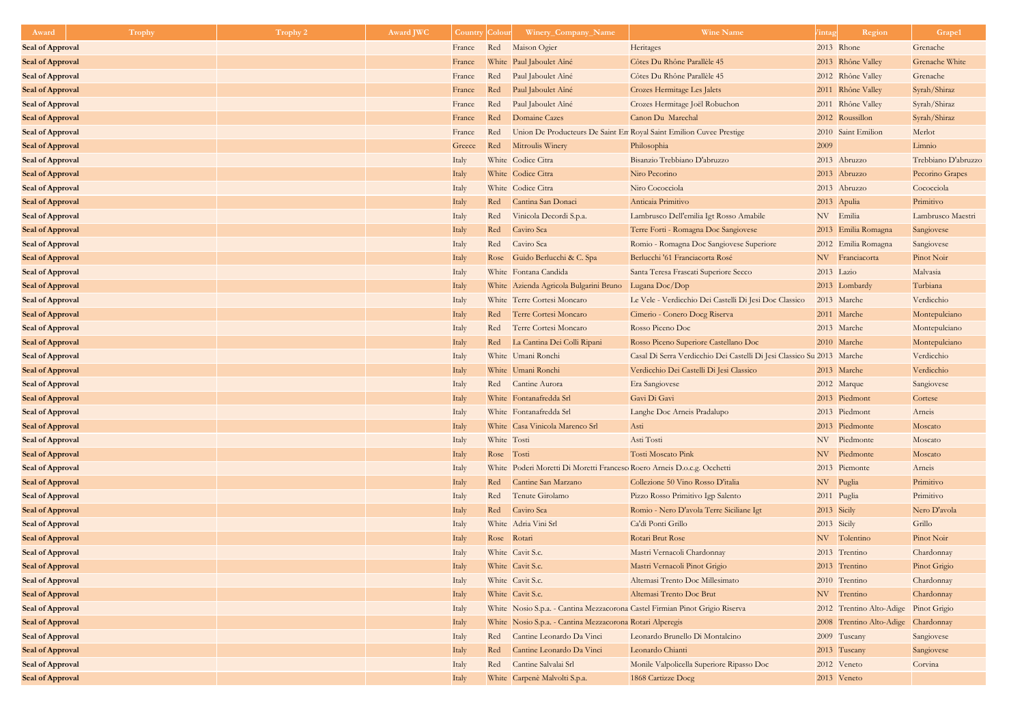| Award                                              | <b>Trophy</b> | Trophy 2 | Award JWC | <b>Country</b> | Colour      | Winery_Company_Name                                                     | <b>Wine Name</b>                                                             | /intag      | Region                                | Grape1                     |
|----------------------------------------------------|---------------|----------|-----------|----------------|-------------|-------------------------------------------------------------------------|------------------------------------------------------------------------------|-------------|---------------------------------------|----------------------------|
| <b>Seal of Approval</b>                            |               |          |           | France         | Red         | Maison Ogier                                                            | Heritages                                                                    |             | 2013 Rhone                            | Grenache                   |
| <b>Seal of Approval</b>                            |               |          |           | France         |             | White Paul Jaboulet Aîné                                                | Côtes Du Rhône Parallèle 45                                                  |             | 2013 Rhône Valley                     | Grenache White             |
| <b>Seal of Approval</b>                            |               |          |           | France         | Red         | Paul Jaboulet Aîné                                                      | Côtes Du Rhône Parallèle 45                                                  |             | 2012 Rhône Valley                     | Grenache                   |
| <b>Seal of Approval</b>                            |               |          |           | France         | Red         | Paul Jaboulet Aîné                                                      | Crozes Hermitage Les Jalets                                                  |             | 2011 Rhône Valley                     | Syrah/Shiraz               |
| <b>Seal of Approval</b>                            |               |          |           | France         | Red         | Paul Jaboulet Aîné                                                      | Crozes Hermitage Joël Robuchon                                               |             | 2011 Rhône Valley                     | Syrah/Shiraz               |
| <b>Seal of Approval</b>                            |               |          |           | France         | Red         | Domaine Cazes                                                           | Canon Du Marechal                                                            |             | 2012 Roussillon                       | Syrah/Shiraz               |
| <b>Seal of Approval</b>                            |               |          |           | France         | Red         | Union De Producteurs De Saint En Royal Saint Emilion Cuvee Prestige     |                                                                              |             | 2010 Saint Emilion                    | Merlot                     |
| <b>Seal of Approval</b>                            |               |          |           | Greece         |             | Red Mitroulis Winery                                                    | Philosophia                                                                  | 2009        |                                       | Limnio                     |
| <b>Seal of Approval</b>                            |               |          |           | Italy          |             | White Codice Citra                                                      | Bisanzio Trebbiano D'abruzzo                                                 |             | 2013 Abruzzo                          | Trebbiano D'abruzzo        |
| <b>Seal of Approval</b>                            |               |          |           | Italy          |             | White Codice Citra                                                      | Niro Pecorino                                                                |             | 2013 Abruzzo                          | Pecorino Grapes            |
| <b>Seal of Approval</b>                            |               |          |           | Italy          |             | White Codice Citra                                                      | Niro Cococciola                                                              |             | 2013 Abruzzo                          | Cococciola                 |
| <b>Seal of Approval</b>                            |               |          |           | Italy          | Red         | Cantina San Donaci                                                      | Anticaia Primitivo                                                           |             | 2013 Apulia                           | Primitivo                  |
| <b>Seal of Approval</b>                            |               |          |           | Italy          | Red         | Vinicola Decordi S.p.a.                                                 | Lambrusco Dell'emilia Igt Rosso Amabile                                      |             | NV Emilia                             | Lambrusco Maestri          |
| <b>Seal of Approval</b>                            |               |          |           | Italy          | Red         | Caviro Sca                                                              | Terre Forti - Romagna Doc Sangiovese                                         |             | 2013 Emilia Romagna                   | Sangiovese                 |
| <b>Seal of Approval</b>                            |               |          |           | Italy          | Red         | Caviro Sca                                                              | Romio - Romagna Doc Sangiovese Superiore                                     |             | 2012 Emilia Romagna                   | Sangiovese                 |
| <b>Seal of Approval</b>                            |               |          |           | Italy          |             | Rose Guido Berlucchi & C. Spa                                           | Berlucchi '61 Franciacorta Rosé                                              |             | NV Franciacorta                       | Pinot Noir                 |
| <b>Seal of Approval</b>                            |               |          |           | Italy          |             | White Fontana Candida                                                   | Santa Teresa Frascati Superiore Secco                                        | 2013 Lazio  |                                       | Malvasia                   |
| <b>Seal of Approval</b>                            |               |          |           | Italy          |             | White Azienda Agricola Bulgarini Bruno                                  | Lugana Doc/Dop                                                               |             | 2013 Lombardy                         | Turbiana                   |
| <b>Seal of Approval</b>                            |               |          |           | Italy          |             | White Terre Cortesi Moncaro                                             | Le Vele - Verdicchio Dei Castelli Di Jesi Doc Classico                       |             | 2013 Marche                           | Verdicchio                 |
| <b>Seal of Approval</b>                            |               |          |           | Italy          | Red         | Terre Cortesi Moncaro                                                   | Cimerio - Conero Docg Riserva                                                |             | 2011 Marche                           | Montepulciano              |
| <b>Seal of Approval</b>                            |               |          |           | Italy          | Red         | Terre Cortesi Moncaro                                                   | Rosso Piceno Doc                                                             |             | 2013 Marche                           | Montepulciano              |
| <b>Seal of Approval</b>                            |               |          |           | Italy          | Red         | La Cantina Dei Colli Ripani                                             | Rosso Piceno Superiore Castellano Doc                                        |             | 2010 Marche                           | Montepulciano              |
| <b>Seal of Approval</b>                            |               |          |           | Italy          |             | White Umani Ronchi                                                      | Casal Di Serra Verdicchio Dei Castelli Di Jesi Classico Su 2013 Marche       |             |                                       | Verdicchio                 |
| <b>Seal of Approval</b>                            |               |          |           | Italy          |             | White Umani Ronchi                                                      | Verdicchio Dei Castelli Di Jesi Classico                                     |             | 2013 Marche                           | Verdicchio                 |
| <b>Seal of Approval</b>                            |               |          |           | Italy          |             | Red Cantine Aurora                                                      | Era Sangiovese                                                               |             | 2012 Marque                           | Sangiovese                 |
| <b>Seal of Approval</b>                            |               |          |           | Italy          |             | White Fontanafredda Srl                                                 | Gavi Di Gavi                                                                 |             | 2013 Piedmont                         | Cortese                    |
| <b>Seal of Approval</b>                            |               |          |           | Italy          |             | White Fontanafredda Srl                                                 | Langhe Doc Arneis Pradalupo                                                  |             | 2013 Piedmont                         | Arneis                     |
| <b>Seal of Approval</b>                            |               |          |           | Italy          |             | White Casa Vinicola Marenco Srl                                         | Asti                                                                         |             | 2013 Piedmonte                        | Moscato                    |
| <b>Seal of Approval</b>                            |               |          |           | Italy          | White Tosti |                                                                         | Asti Tosti                                                                   |             | NV Piedmonte                          | Moscato                    |
| <b>Seal of Approval</b>                            |               |          |           | Italy          | Rose Tosti  |                                                                         | Tosti Moscato Pink                                                           |             | NV Piedmonte                          | Moscato                    |
| <b>Seal of Approval</b>                            |               |          |           | Italy          |             | White Poderi Moretti Di Moretti Francesc Roero Arneis D.o.c.g. Occhetti |                                                                              |             | 2013 Piemonte                         | Arneis                     |
| <b>Seal of Approval</b>                            |               |          |           | Italy          |             | Red Cantine San Marzano                                                 | Collezione 50 Vino Rosso D'italia                                            | NV Puglia   |                                       | Primitivo                  |
| <b>Seal of Approval</b>                            |               |          |           | Italy          | Red         | Tenute Girolamo                                                         | Pizzo Rosso Primitivo Igp Salento                                            |             | 2011 Puglia                           | Primitivo                  |
| <b>Seal of Approval</b>                            |               |          |           | Italy          | Red         | Caviro Sca<br>White Adria Vini Srl                                      | Romio - Nero D'avola Terre Siciliane Igt                                     | 2013 Sicily |                                       | Nero D'avola               |
| <b>Seal of Approval</b>                            |               |          |           | Italy          |             |                                                                         | Ca'di Ponti Grillo<br>Rotari Brut Rose                                       | 2013 Sicily |                                       | Grillo<br>Pinot Noir       |
| <b>Seal of Approval</b>                            |               |          |           | Italy          | Rose Rotari | White Cavit S.c.                                                        |                                                                              |             | NV Tolentino<br>2013 Trentino         |                            |
| <b>Seal of Approval</b>                            |               |          |           | Italy          |             | White Cavit S.c.                                                        | Mastri Vernacoli Chardonnay                                                  |             | 2013 Trentino                         | Chardonnay                 |
| <b>Seal of Approval</b>                            |               |          |           | Italy          |             | White Cavit S.c.                                                        | Mastri Vernacoli Pinot Grigio<br>Altemasi Trento Doc Millesimato             |             | 2010 Trentino                         | Pinot Grigio<br>Chardonnay |
| <b>Seal of Approval</b><br><b>Seal of Approval</b> |               |          |           | Italy          |             | White Cavit S.c.                                                        | Altemasi Trento Doc Brut                                                     |             | NV Trentino                           | Chardonnay                 |
|                                                    |               |          |           | Italy          |             |                                                                         | White Nosio S.p.a. - Cantina Mezzacorona Castel Firmian Pinot Grigio Riserva |             | 2012 Trentino Alto-Adige Pinot Grigio |                            |
| <b>Seal of Approval</b><br><b>Seal of Approval</b> |               |          |           | Italy<br>Italy |             | White Nosio S.p.a. - Cantina Mezzacorona Rotari Alperegis               |                                                                              |             | 2008 Trentino Alto-Adige Chardonnay   |                            |
| <b>Seal of Approval</b>                            |               |          |           | Italy          | Red         | Cantine Leonardo Da Vinci                                               | Leonardo Brunello Di Montalcino                                              |             | 2009 Tuscany                          | Sangiovese                 |
| <b>Seal of Approval</b>                            |               |          |           | Italy          | Red         | Cantine Leonardo Da Vinci                                               | Leonardo Chianti                                                             |             | 2013 Tuscany                          | Sangiovese                 |
| <b>Seal of Approval</b>                            |               |          |           | Italy          |             | Red Cantine Salvalai Srl                                                | Monile Valpolicella Superiore Ripasso Doc                                    |             | 2012 Veneto                           | Corvina                    |
| <b>Seal of Approval</b>                            |               |          |           | Italy          |             | White Carpenè Malvolti S.p.a.                                           | 1868 Cartizze Docg                                                           |             | 2013 Veneto                           |                            |
|                                                    |               |          |           |                |             |                                                                         |                                                                              |             |                                       |                            |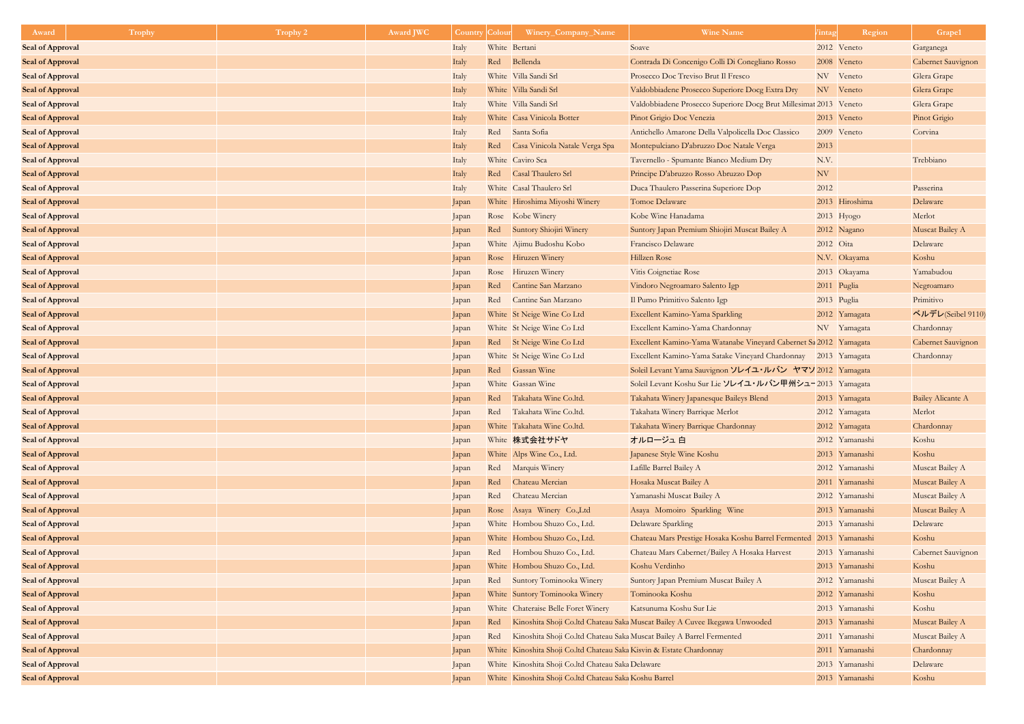| Award                   | <b>Trophy</b> | Trophy 2 | <b>Award JWC</b> | <b>Country</b> | Coloui | Winery_Company_Name                                                  | <b>Wine Name</b>                                                           | intag     | Region         | Grape1                    |
|-------------------------|---------------|----------|------------------|----------------|--------|----------------------------------------------------------------------|----------------------------------------------------------------------------|-----------|----------------|---------------------------|
| <b>Seal of Approval</b> |               |          |                  | Italy          |        | White Bertani                                                        | Soave                                                                      |           | 2012 Veneto    | Garganega                 |
| <b>Seal of Approval</b> |               |          |                  | Italy          | Red    | Bellenda                                                             | Contrada Di Concenigo Colli Di Conegliano Rosso                            |           | 2008 Veneto    | Cabernet Sauvignon        |
| <b>Seal of Approval</b> |               |          |                  | Italy          |        | White Villa Sandi Srl                                                | Prosecco Doc Treviso Brut Il Fresco                                        |           | NV Veneto      | Glera Grape               |
| <b>Seal of Approval</b> |               |          |                  | Italy          |        | White Villa Sandi Srl                                                | Valdobbiadene Prosecco Superiore Docg Extra Dry                            |           | NV Veneto      | Glera Grape               |
| <b>Seal of Approval</b> |               |          |                  | Italy          |        | White Villa Sandi Srl                                                | Valdobbiadene Prosecco Superiore Docg Brut Millesimat 2013 Veneto          |           |                | Glera Grape               |
| <b>Seal of Approval</b> |               |          |                  | Italy          |        | White Casa Vinicola Botter                                           | Pinot Grigio Doc Venezia                                                   |           | 2013 Veneto    | Pinot Grigio              |
| <b>Seal of Approval</b> |               |          |                  | Italy          |        | Red Santa Sofia                                                      | Antichello Amarone Della Valpolicella Doc Classico                         |           | 2009 Veneto    | Corvina                   |
| <b>Seal of Approval</b> |               |          |                  | Italy          | Red    | Casa Vinicola Natale Verga Spa                                       | Montepulciano D'abruzzo Doc Natale Verga                                   | 2013      |                |                           |
| <b>Seal of Approval</b> |               |          |                  | Italy          |        | White Caviro Sca                                                     | Tavernello - Spumante Bianco Medium Dry                                    | N.V.      |                | Trebbiano                 |
| <b>Seal of Approval</b> |               |          |                  | Italy          |        | Red Casal Thaulero Srl                                               | Principe D'abruzzo Rosso Abruzzo Dop                                       | NV        |                |                           |
| <b>Seal of Approval</b> |               |          |                  | Italy          |        | White Casal Thaulero Srl                                             | Duca Thaulero Passerina Superiore Dop                                      | 2012      |                | Passerina                 |
| <b>Seal of Approval</b> |               |          |                  | Japan          |        | White Hiroshima Miyoshi Winery                                       | Tomoe Delaware                                                             |           | 2013 Hiroshima | Delaware                  |
| <b>Seal of Approval</b> |               |          |                  | Japan          |        | Rose Kobe Winery                                                     | Kobe Wine Hanadama                                                         |           | $2013$ Hyogo   | Merlot                    |
| <b>Seal of Approval</b> |               |          |                  | Japan          | Red    | Suntory Shiojiri Winery                                              | Suntory Japan Premium Shiojiri Muscat Bailey A                             |           | 2012 Nagano    | Muscat Bailey A           |
| <b>Seal of Approval</b> |               |          |                  | Japan          |        | White Ajimu Budoshu Kobo                                             | Francisco Delaware                                                         | 2012 Oita |                | Delaware                  |
| <b>Seal of Approval</b> |               |          |                  | Japan          |        | Rose Hiruzen Winery                                                  | Hillzen Rose                                                               |           | N.V. Okayama   | Koshu                     |
| <b>Seal of Approval</b> |               |          |                  | Japan          |        | Rose Hiruzen Winery                                                  | Vitis Coignetiae Rose                                                      |           | 2013 Okayama   | Yamabudou                 |
| <b>Seal of Approval</b> |               |          |                  | Japan          | Red    | Cantine San Marzano                                                  | Vindoro Negroamaro Salento Igp                                             |           | 2011 Puglia    | Negroamaro                |
| <b>Seal of Approval</b> |               |          |                  | Japan          |        | Red Cantine San Marzano                                              | Il Pumo Primitivo Salento Igp                                              |           | 2013 Puglia    | Primitivo                 |
| <b>Seal of Approval</b> |               |          |                  | Japan          |        | White St Neige Wine Co Ltd                                           | Excellent Kamino-Yama Sparkling                                            |           | 2012 Yamagata  | ペルデレ(Seibel 9110)         |
| <b>Seal of Approval</b> |               |          |                  | Japan          |        | White St Neige Wine Co Ltd                                           | Excellent Kamino-Yama Chardonnay                                           |           | NV Yamagata    | Chardonnay                |
| <b>Seal of Approval</b> |               |          |                  | Japan          |        | Red St Neige Wine Co Ltd                                             | Excellent Kamino-Yama Watanabe Vineyard Cabernet Sa 2012 Yamagata          |           |                | <b>Cabernet Sauvignon</b> |
| <b>Seal of Approval</b> |               |          |                  | Japan          |        | White St Neige Wine Co Ltd                                           | Excellent Kamino-Yama Satake Vineyard Chardonnay 2013 Yamagata             |           |                | Chardonnay                |
| <b>Seal of Approval</b> |               |          |                  | Japan          | Red    | <b>Gassan Wine</b>                                                   | Soleil Levant Yama Sauvignon ソレイユ・ルバン ヤマソ 2012 Yamagata                    |           |                |                           |
| <b>Seal of Approval</b> |               |          |                  | Japan          |        | White Gassan Wine                                                    | Soleil Levant Koshu Sur Lie ソレイユ・ルバン甲州シュー2013 Yamagata                     |           |                |                           |
| <b>Seal of Approval</b> |               |          |                  | Japan          | Red    | Takahata Wine Co.ltd.                                                | Takahata Winery Japanesque Baileys Blend                                   |           | 2013 Yamagata  | <b>Bailey Alicante A</b>  |
| <b>Seal of Approval</b> |               |          |                  | Japan          | Red    | Takahata Wine Co.ltd.                                                | Takahata Winery Barrique Merlot                                            |           | 2012 Yamagata  | Merlot                    |
| <b>Seal of Approval</b> |               |          |                  | Japan          |        | White Takahata Wine Co.ltd.                                          | Takahata Winery Barrique Chardonnay                                        |           | 2012 Yamagata  | Chardonnay                |
| <b>Seal of Approval</b> |               |          |                  | Japan          |        | White 株式会社サドヤ                                                        | オルロージュ白                                                                    |           | 2012 Yamanashi | Koshu                     |
| <b>Seal of Approval</b> |               |          |                  | Japan          |        | White Alps Wine Co., Ltd.                                            | Japanese Style Wine Koshu                                                  |           | 2013 Yamanashi | Koshu                     |
| <b>Seal of Approval</b> |               |          |                  | Japan          |        | Red Marquis Winery                                                   | Lafille Barrel Bailey A                                                    |           | 2012 Yamanashi | Muscat Bailey A           |
| <b>Seal of Approval</b> |               |          |                  | Japan          | Red    | Chateau Mercian                                                      | Hosaka Muscat Bailey A                                                     |           | 2011 Yamanashi | Muscat Bailey A           |
| <b>Seal of Approval</b> |               |          |                  | Japan          | Red    | Chateau Mercian                                                      | Yamanashi Muscat Bailey A                                                  |           | 2012 Yamanashi | Muscat Bailey A           |
| <b>Seal of Approval</b> |               |          |                  | Japan          |        | Rose Asaya Winery Co., Ltd                                           | Asaya Momoiro Sparkling Wine                                               |           | 2013 Yamanashi | Muscat Bailey A           |
| <b>Seal of Approval</b> |               |          |                  | Japan          |        | White Hombou Shuzo Co., Ltd.                                         | Delaware Sparkling                                                         |           | 2013 Yamanashi | Delaware                  |
| <b>Seal of Approval</b> |               |          |                  | Japan          |        | White Hombou Shuzo Co., Ltd.                                         | Chateau Mars Prestige Hosaka Koshu Barrel Fermented                        |           | 2013 Yamanashi | Koshu                     |
| <b>Seal of Approval</b> |               |          |                  | Japan          |        | Red Hombou Shuzo Co., Ltd.                                           | Chateau Mars Cabernet/Bailey A Hosaka Harvest                              |           | 2013 Yamanashi | <b>Cabernet Sauvignon</b> |
| <b>Seal of Approval</b> |               |          |                  | Japan          |        | White Hombou Shuzo Co., Ltd.                                         | Koshu Verdinho                                                             |           | 2013 Yamanashi | Koshu                     |
| <b>Seal of Approval</b> |               |          |                  | Japan          |        | Red Suntory Tominooka Winery                                         | Suntory Japan Premium Muscat Bailey A                                      |           | 2012 Yamanashi | Muscat Bailey A           |
| <b>Seal of Approval</b> |               |          |                  | Japan          |        | White Suntory Tominooka Winery                                       | Tominooka Koshu                                                            |           | 2012 Yamanashi | Koshu                     |
| <b>Seal of Approval</b> |               |          |                  | Japan          |        | White Chateraise Belle Foret Winery                                  | Katsunuma Koshu Sur Lie                                                    |           | 2013 Yamanashi | Koshu                     |
| <b>Seal of Approval</b> |               |          |                  | Japan          | Red    |                                                                      | Kinoshita Shoji Co.ltd Chateau Saka Muscat Bailey A Cuvee Ikegawa Unwooded |           | 2013 Yamanashi | Muscat Bailey A           |
| <b>Seal of Approval</b> |               |          |                  | Japan          | Red    | Kinoshita Shoji Co.ltd Chateau Saka Muscat Bailey A Barrel Fermented |                                                                            |           | 2011 Yamanashi | Muscat Bailey A           |
| <b>Seal of Approval</b> |               |          |                  | Japan          |        | White Kinoshita Shoji Co.ltd Chateau Saka Kisvin & Estate Chardonnay |                                                                            |           | 2011 Yamanashi | Chardonnay                |
| <b>Seal of Approval</b> |               |          |                  | Japan          |        | White Kinoshita Shoji Co.ltd Chateau Saka Delaware                   |                                                                            |           | 2013 Yamanashi | Delaware                  |
| <b>Seal of Approval</b> |               |          |                  | Japan          |        | White Kinoshita Shoji Co.ltd Chateau Saka Koshu Barrel               |                                                                            |           | 2013 Yamanashi | Koshu                     |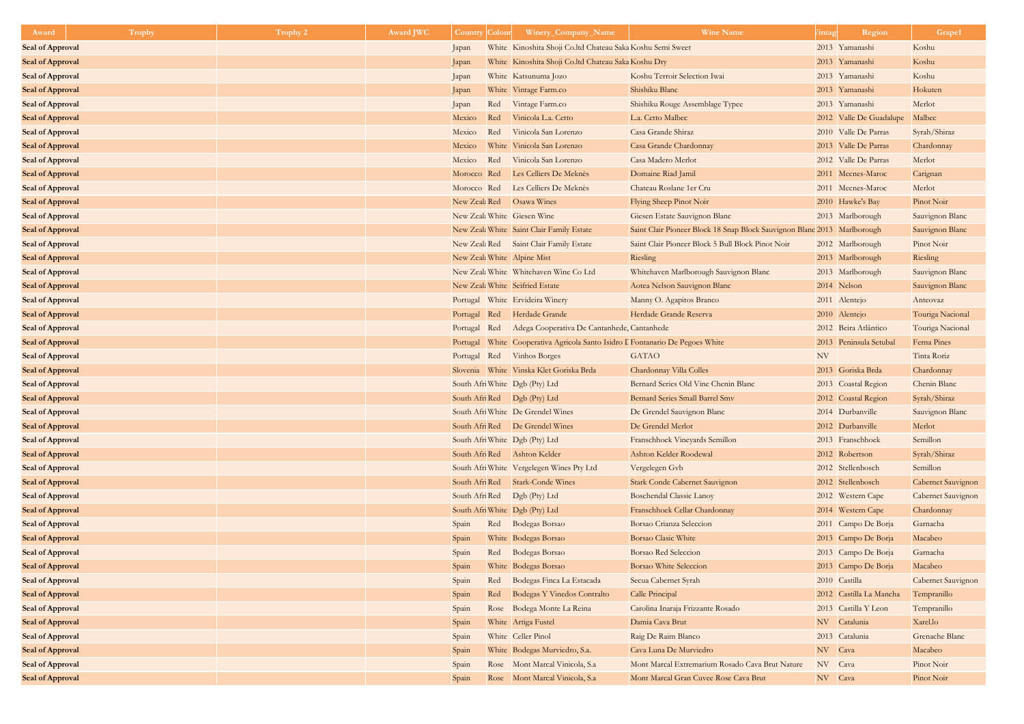| Award                   | <b>Trophy</b> | Trophy 2 | <b>Award JWC</b> | <b>Country Colour</b> |     | Winery_Company_Name                                                  | <b>Wine Name</b>                                                         | intag   | Region                  | Grape1                    |
|-------------------------|---------------|----------|------------------|-----------------------|-----|----------------------------------------------------------------------|--------------------------------------------------------------------------|---------|-------------------------|---------------------------|
| <b>Seal of Approval</b> |               |          |                  | Japan                 |     | White Kinoshita Shoji Co.ltd Chateau Saka Koshu Semi Sweet           |                                                                          |         | 2013 Yamanashi          | Koshu                     |
| <b>Seal of Approval</b> |               |          |                  | Japan                 |     | White Kinoshita Shoji Co.ltd Chateau Saka Koshu Dry                  |                                                                          |         | 2013 Yamanashi          | Koshu                     |
| <b>Seal of Approval</b> |               |          |                  | Japan                 |     | White Katsunuma Jozo                                                 | Koshu Terroir Selection Iwai                                             |         | 2013 Yamanashi          | Koshu                     |
| <b>Seal of Approval</b> |               |          |                  | Japan                 |     | White Vintage Farm.co                                                | Shishiku Blanc                                                           |         | 2013 Yamanashi          | Hokuten                   |
| <b>Seal of Approval</b> |               |          |                  | Japan                 |     | Red Vintage Farm.co                                                  | Shishiku Rouge Assemblage Typee                                          |         | 2013 Yamanashi          | Merlot                    |
| <b>Seal of Approval</b> |               |          |                  | Mexico                | Red | Vinicola L.a. Cetto                                                  | L.a. Cetto Malbec                                                        |         | 2012 Valle De Guadalupe | Malbec                    |
| <b>Seal of Approval</b> |               |          |                  | Mexico                | Red | Vinicola San Lorenzo                                                 | Casa Grande Shiraz                                                       |         | 2010 Valle De Parras    | Syrah/Shiraz              |
| <b>Seal of Approval</b> |               |          |                  | Mexico                |     | White Vinicola San Lorenzo                                           | Casa Grande Chardonnay                                                   |         | 2013 Valle De Parras    | Chardonnay                |
| <b>Seal of Approval</b> |               |          |                  | Mexico                |     | Red Vinicola San Lorenzo                                             | Casa Madero Merlot                                                       |         | 2012 Valle De Parras    | Merlot                    |
| <b>Seal of Approval</b> |               |          |                  |                       |     | Morocco Red Les Celliers De Meknès                                   | Domaine Riad Jamil                                                       |         | 2011 Mecnes-Maroc       | Carignan                  |
| <b>Seal of Approval</b> |               |          |                  |                       |     | Morocco Red Les Celliers De Meknès                                   | Chateau Roslane 1er Cru                                                  |         | 2011 Mecnes-Maroc       | Merlot                    |
| <b>Seal of Approval</b> |               |          |                  |                       |     | New Zeal: Red Osawa Wines                                            | Flying Sheep Pinot Noir                                                  |         | 2010 Hawke's Bay        | Pinot Noir                |
| <b>Seal of Approval</b> |               |          |                  |                       |     | New Zeal: White Giesen Wine                                          | Giesen Estate Sauvignon Blanc                                            |         | 2013 Marlborough        | Sauvignon Blanc           |
| <b>Seal of Approval</b> |               |          |                  |                       |     | New Zeal: White Saint Clair Family Estate                            | Saint Clair Pioneer Block 18 Snap Block Sauvignon Blanc 2013 Marlborough |         |                         | Sauvignon Blanc           |
| <b>Seal of Approval</b> |               |          |                  |                       |     | New Zeal: Red Saint Clair Family Estate                              | Saint Clair Pioneer Block 5 Bull Block Pinot Noir                        |         | 2012 Marlborough        | Pinot Noir                |
| <b>Seal of Approval</b> |               |          |                  |                       |     | New Zeal: White Alpine Mist                                          | Riesling                                                                 |         | 2013 Marlborough        | Riesling                  |
| <b>Seal of Approval</b> |               |          |                  |                       |     | New Zeal: White   Whitehaven Wine Co Ltd                             | Whitehaven Marlborough Sauvignon Blanc                                   |         | 2013 Marlborough        | Sauvignon Blanc           |
| <b>Seal of Approval</b> |               |          |                  |                       |     | New Zeal: White Seifried Estate                                      | Aotea Nelson Sauvignon Blanc                                             |         | 2014 Nelson             | Sauvignon Blanc           |
| <b>Seal of Approval</b> |               |          |                  |                       |     | Portugal White Ervideira Winery                                      | Manny O. Agapitos Branco                                                 |         | 2011 Alentejo           | Anteovaz                  |
| <b>Seal of Approval</b> |               |          |                  |                       |     | Portugal Red Herdade Grande                                          | Herdade Grande Reserva                                                   |         | 2010 Alentejo           | Touriga Nacional          |
| <b>Seal of Approval</b> |               |          |                  | Portugal              | Red | Adega Cooperativa De Cantanhede, Cantanhede                          |                                                                          |         | 2012 Beira Atlântico    | Touriga Nacional          |
| <b>Seal of Approval</b> |               |          |                  | Portugal              |     | White Cooperativa Agricola Santo Isidro I Fontanario De Pegoes White |                                                                          |         | 2013 Peninsula Setubal  | Ferna Pines               |
| <b>Seal of Approval</b> |               |          |                  | Portugal              |     | Red Vinhos Borges                                                    | <b>GATAO</b>                                                             | NV      |                         | Tinta Roriz               |
| <b>Seal of Approval</b> |               |          |                  |                       |     | Slovenia White Vinska Klet Goriska Brda                              | Chardonnay Villa Colles                                                  |         | 2013 Goriska Brda       | Chardonnay                |
| <b>Seal of Approval</b> |               |          |                  |                       |     | South Afri White Dgb (Pty) Ltd                                       | Bernard Series Old Vine Chenin Blanc                                     |         | 2013 Coastal Region     | Chenin Blanc              |
| <b>Seal of Approval</b> |               |          |                  |                       |     | South Afri Red Dgb (Pty) Ltd                                         | <b>Bernard Series Small Barrel Smv</b>                                   |         | 2012 Coastal Region     | Syrah/Shiraz              |
| <b>Seal of Approval</b> |               |          |                  |                       |     | South Afri White De Grendel Wines                                    | De Grendel Sauvignon Blanc                                               |         | 2014 Durbanville        | Sauvignon Blanc           |
| <b>Seal of Approval</b> |               |          |                  |                       |     | South Afri Red De Grendel Wines                                      | De Grendel Merlot                                                        |         | 2012 Durbanville        | Merlot                    |
| <b>Seal of Approval</b> |               |          |                  |                       |     | South Afri White Dgb (Pty) Ltd                                       | Franschhoek Vineyards Semillon                                           |         | 2013 Franschhoek        | Semillon                  |
| <b>Seal of Approval</b> |               |          |                  |                       |     | South Afri Red Ashton Kelder                                         | Ashton Kelder Roodewal                                                   |         | 2012 Robertson          | Syrah/Shiraz              |
| <b>Seal of Approval</b> |               |          |                  |                       |     | South Afri White Vergelegen Wines Pty Ltd                            | Vergelegen Gvb                                                           |         | 2012 Stellenbosch       | Semillon                  |
| <b>Seal of Approval</b> |               |          |                  |                       |     | South Afri Red Stark-Conde Wines                                     | <b>Stark Conde Cabernet Sauvignon</b>                                    |         | 2012 Stellenbosch       | Cabernet Sauvignon        |
| <b>Seal of Approval</b> |               |          |                  |                       |     | South Afri Red Dgb (Pty) Ltd                                         | <b>Boschendal Classic Lanoy</b>                                          |         | 2012 Western Cape       | <b>Cabernet Sauvignon</b> |
| <b>Seal of Approval</b> |               |          |                  |                       |     | South Afri White   Dgb (Pty) Ltd                                     | Franschhoek Cellar Chardonnay                                            |         | 2014 Western Cape       | Chardonnay                |
| <b>Seal of Approval</b> |               |          |                  | Spain                 |     | Red Bodegas Borsao                                                   | Borsao Crianza Seleccion                                                 |         | 2011 Campo De Borja     | Garnacha                  |
| <b>Seal of Approval</b> |               |          |                  | Spain                 |     | White Bodegas Borsao                                                 | <b>Borsao Clasic White</b>                                               |         | 2013 Campo De Borja     | Macabeo                   |
| <b>Seal of Approval</b> |               |          |                  | Spain                 |     | Red Bodegas Borsao                                                   | <b>Borsao Red Seleccion</b>                                              |         | 2013 Campo De Borja     | Garnacha                  |
| <b>Seal of Approval</b> |               |          |                  | Spain                 |     | White Bodegas Borsao                                                 | <b>Borsao White Seleccion</b>                                            |         | 2013 Campo De Borja     | Macabeo                   |
| <b>Seal of Approval</b> |               |          |                  | Spain                 |     | Red Bodegas Finca La Estacada                                        | Secua Cabernet Syrah                                                     |         | 2010 Castilla           | Cabernet Sauvignon        |
| <b>Seal of Approval</b> |               |          |                  | Spain                 |     | Red Bodegas Y Vinedos Contralto                                      | Calle Principal                                                          |         | 2012 Castilla La Mancha | Tempranillo               |
| <b>Seal of Approval</b> |               |          |                  | Spain                 |     | Rose Bodega Monte La Reina                                           | Carolina Inaraja Frizzante Rosado                                        |         | 2013 Castilla Y Leon    | Tempranillo               |
| <b>Seal of Approval</b> |               |          |                  | Spain                 |     | White Artiga Fustel                                                  | Damia Cava Brut                                                          |         | NV Catalunia            | Xarel.lo                  |
| <b>Seal of Approval</b> |               |          |                  | Spain                 |     | White Celler Pinol                                                   | Raig De Raim Blanco                                                      |         | 2013 Catalunia          | Grenache Blanc            |
| <b>Seal of Approval</b> |               |          |                  | Spain                 |     | White Bodegas Murviedro, S.a.                                        | Cava Luna De Murviedro                                                   | NV Cava |                         | Macabeo                   |
| <b>Seal of Approval</b> |               |          |                  | Spain                 |     | Rose Mont Marcal Vinicola, S.a.                                      | Mont Marcal Extremarium Rosado Cava Brut Nature                          | NV Cava |                         | Pinot Noir                |
| <b>Seal of Approval</b> |               |          |                  | Spain                 |     | Rose Mont Marcal Vinicola, S.a.                                      | Mont Marcal Gran Cuvee Rose Cava Brut                                    | NV Cava |                         | Pinot Noir                |